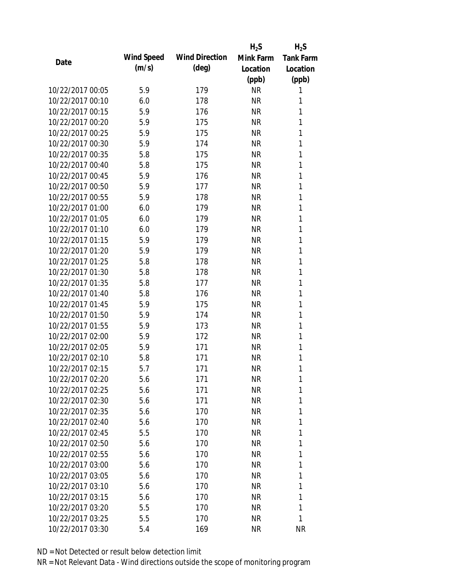|                  |                   |                       | $H_2S$    | $H_2S$           |
|------------------|-------------------|-----------------------|-----------|------------------|
| Date             | <b>Wind Speed</b> | <b>Wind Direction</b> | Mink Farm | <b>Tank Farm</b> |
|                  | (m/s)             | $(\text{deg})$        | Location  | Location         |
|                  |                   |                       | (ppb)     | (ppb)            |
| 10/22/2017 00:05 | 5.9               | 179                   | <b>NR</b> | 1                |
| 10/22/2017 00:10 | 6.0               | 178                   | <b>NR</b> | 1                |
| 10/22/2017 00:15 | 5.9               | 176                   | <b>NR</b> | 1                |
| 10/22/2017 00:20 | 5.9               | 175                   | <b>NR</b> | 1                |
| 10/22/2017 00:25 | 5.9               | 175                   | <b>NR</b> | 1                |
| 10/22/2017 00:30 | 5.9               | 174                   | <b>NR</b> | 1                |
| 10/22/2017 00:35 | 5.8               | 175                   | <b>NR</b> | 1                |
| 10/22/2017 00:40 | 5.8               | 175                   | <b>NR</b> | 1                |
| 10/22/2017 00:45 | 5.9               | 176                   | <b>NR</b> | 1                |
| 10/22/2017 00:50 | 5.9               | 177                   | <b>NR</b> | 1                |
| 10/22/2017 00:55 | 5.9               | 178                   | <b>NR</b> | 1                |
| 10/22/2017 01:00 | 6.0               | 179                   | <b>NR</b> | 1                |
| 10/22/2017 01:05 | 6.0               | 179                   | <b>NR</b> | 1                |
| 10/22/2017 01:10 | 6.0               | 179                   | <b>NR</b> | 1                |
| 10/22/2017 01:15 | 5.9               | 179                   | <b>NR</b> | 1                |
| 10/22/2017 01:20 | 5.9               | 179                   | <b>NR</b> | 1                |
| 10/22/2017 01:25 | 5.8               | 178                   | <b>NR</b> | 1                |
| 10/22/2017 01:30 | 5.8               | 178                   | <b>NR</b> | 1                |
| 10/22/2017 01:35 | 5.8               | 177                   | <b>NR</b> | 1                |
| 10/22/2017 01:40 | 5.8               | 176                   | <b>NR</b> | 1                |
| 10/22/2017 01:45 | 5.9               | 175                   | <b>NR</b> | 1                |
| 10/22/2017 01:50 | 5.9               | 174                   | <b>NR</b> | 1                |
| 10/22/2017 01:55 | 5.9               | 173                   | <b>NR</b> | 1                |
| 10/22/2017 02:00 | 5.9               | 172                   | <b>NR</b> | 1                |
| 10/22/2017 02:05 | 5.9               | 171                   | <b>NR</b> | 1                |
| 10/22/2017 02:10 | 5.8               | 171                   | <b>NR</b> | 1                |
| 10/22/2017 02:15 | 5.7               | 171                   | <b>NR</b> | 1                |
| 10/22/2017 02:20 | 5.6               | 171                   | NR        | 1                |
| 10/22/2017 02:25 | 5.6               | 171                   | <b>NR</b> | 1                |
| 10/22/2017 02:30 | 5.6               | 171                   | <b>NR</b> | 1                |
| 10/22/2017 02:35 | 5.6               | 170                   | <b>NR</b> | 1                |
| 10/22/2017 02:40 | 5.6               | 170                   | <b>NR</b> | 1                |
| 10/22/2017 02:45 | 5.5               | 170                   | NR        | 1                |
| 10/22/2017 02:50 | 5.6               | 170                   | <b>NR</b> | 1                |
| 10/22/2017 02:55 | 5.6               | 170                   | NR        | 1                |
| 10/22/2017 03:00 | 5.6               | 170                   | NR        | 1                |
| 10/22/2017 03:05 | 5.6               | 170                   | NR        | 1                |
| 10/22/2017 03:10 | 5.6               | 170                   | NR        | 1                |
| 10/22/2017 03:15 | 5.6               | 170                   | <b>NR</b> | 1                |
| 10/22/2017 03:20 | 5.5               | 170                   | NR        | 1                |
| 10/22/2017 03:25 | 5.5               | 170                   | <b>NR</b> | 1                |
| 10/22/2017 03:30 | 5.4               | 169                   | <b>NR</b> | <b>NR</b>        |
|                  |                   |                       |           |                  |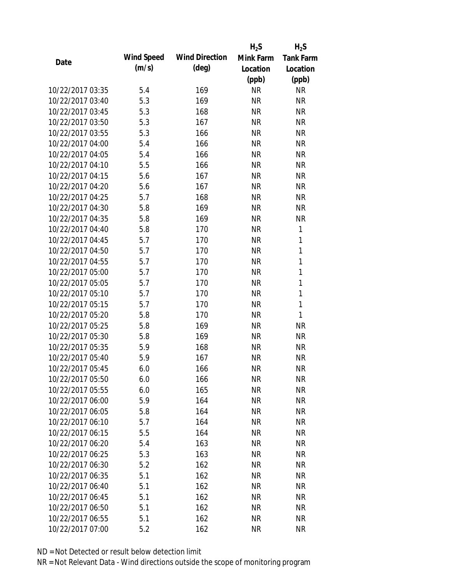|                  |                   |                       | $H_2S$    | $H_2S$           |
|------------------|-------------------|-----------------------|-----------|------------------|
| Date             | <b>Wind Speed</b> | <b>Wind Direction</b> | Mink Farm | <b>Tank Farm</b> |
|                  | (m/s)             | $(\text{deg})$        | Location  | Location         |
|                  |                   |                       | (ppb)     | (ppb)            |
| 10/22/2017 03:35 | 5.4               | 169                   | <b>NR</b> | <b>NR</b>        |
| 10/22/2017 03:40 | 5.3               | 169                   | <b>NR</b> | <b>NR</b>        |
| 10/22/2017 03:45 | 5.3               | 168                   | <b>NR</b> | <b>NR</b>        |
| 10/22/2017 03:50 | 5.3               | 167                   | <b>NR</b> | <b>NR</b>        |
| 10/22/2017 03:55 | 5.3               | 166                   | <b>NR</b> | <b>NR</b>        |
| 10/22/2017 04:00 | 5.4               | 166                   | <b>NR</b> | <b>NR</b>        |
| 10/22/2017 04:05 | 5.4               | 166                   | <b>NR</b> | <b>NR</b>        |
| 10/22/2017 04:10 | 5.5               | 166                   | <b>NR</b> | <b>NR</b>        |
| 10/22/2017 04:15 | 5.6               | 167                   | <b>NR</b> | <b>NR</b>        |
| 10/22/2017 04:20 | 5.6               | 167                   | <b>NR</b> | <b>NR</b>        |
| 10/22/2017 04:25 | 5.7               | 168                   | <b>NR</b> | <b>NR</b>        |
| 10/22/2017 04:30 | 5.8               | 169                   | NR        | <b>NR</b>        |
| 10/22/2017 04:35 | 5.8               | 169                   | <b>NR</b> | <b>NR</b>        |
| 10/22/2017 04:40 | 5.8               | 170                   | <b>NR</b> | 1                |
| 10/22/2017 04:45 | 5.7               | 170                   | <b>NR</b> | 1                |
| 10/22/2017 04:50 | 5.7               | 170                   | <b>NR</b> | $\mathbf{1}$     |
| 10/22/2017 04:55 | 5.7               | 170                   | <b>NR</b> | $\mathbf{1}$     |
| 10/22/2017 05:00 | 5.7               | 170                   | <b>NR</b> | $\mathbf{1}$     |
| 10/22/2017 05:05 | 5.7               | 170                   | <b>NR</b> | $\mathbf{1}$     |
| 10/22/2017 05:10 | 5.7               | 170                   | <b>NR</b> | 1                |
| 10/22/2017 05:15 | 5.7               | 170                   | <b>NR</b> | $\mathbf{1}$     |
| 10/22/2017 05:20 | 5.8               | 170                   | <b>NR</b> | 1                |
| 10/22/2017 05:25 | 5.8               | 169                   | <b>NR</b> | <b>NR</b>        |
| 10/22/2017 05:30 | 5.8               | 169                   | <b>NR</b> | <b>NR</b>        |
| 10/22/2017 05:35 | 5.9               | 168                   | <b>NR</b> | <b>NR</b>        |
| 10/22/2017 05:40 | 5.9               | 167                   | <b>NR</b> | <b>NR</b>        |
| 10/22/2017 05:45 | 6.0               | 166                   | <b>NR</b> | <b>NR</b>        |
| 10/22/2017 05:50 | 6.0               | 166                   | NR        | <b>NR</b>        |
| 10/22/2017 05:55 | 6.0               | 165                   | <b>NR</b> | <b>NR</b>        |
| 10/22/2017 06:00 | 5.9               | 164                   | <b>NR</b> | <b>NR</b>        |
| 10/22/2017 06:05 | 5.8               | 164                   | <b>NR</b> | <b>NR</b>        |
| 10/22/2017 06:10 | 5.7               | 164                   | <b>NR</b> | <b>NR</b>        |
| 10/22/2017 06:15 | 5.5               | 164                   | <b>NR</b> | <b>NR</b>        |
| 10/22/2017 06:20 | 5.4               | 163                   | <b>NR</b> | <b>NR</b>        |
| 10/22/2017 06:25 | 5.3               | 163                   | NR        | <b>NR</b>        |
| 10/22/2017 06:30 | 5.2               | 162                   | <b>NR</b> | <b>NR</b>        |
| 10/22/2017 06:35 | 5.1               | 162                   | <b>NR</b> | <b>NR</b>        |
| 10/22/2017 06:40 | 5.1               | 162                   | <b>NR</b> | <b>NR</b>        |
| 10/22/2017 06:45 | 5.1               | 162                   | <b>NR</b> | <b>NR</b>        |
| 10/22/2017 06:50 | 5.1               | 162                   | NR        | <b>NR</b>        |
| 10/22/2017 06:55 | 5.1               | 162                   | <b>NR</b> | <b>NR</b>        |
| 10/22/2017 07:00 | 5.2               | 162                   | <b>NR</b> | <b>NR</b>        |
|                  |                   |                       |           |                  |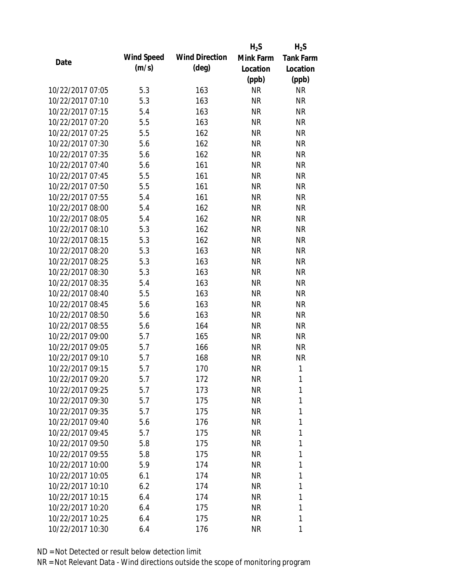|                  |                   |                       | $H_2S$    | $H_2S$           |
|------------------|-------------------|-----------------------|-----------|------------------|
| Date             | <b>Wind Speed</b> | <b>Wind Direction</b> | Mink Farm | <b>Tank Farm</b> |
|                  | (m/s)             | $(\text{deg})$        | Location  | Location         |
|                  |                   |                       | (ppb)     | (ppb)            |
| 10/22/2017 07:05 | 5.3               | 163                   | <b>NR</b> | <b>NR</b>        |
| 10/22/2017 07:10 | 5.3               | 163                   | <b>NR</b> | <b>NR</b>        |
| 10/22/2017 07:15 | 5.4               | 163                   | <b>NR</b> | <b>NR</b>        |
| 10/22/2017 07:20 | 5.5               | 163                   | <b>NR</b> | <b>NR</b>        |
| 10/22/2017 07:25 | 5.5               | 162                   | <b>NR</b> | <b>NR</b>        |
| 10/22/2017 07:30 | 5.6               | 162                   | <b>NR</b> | <b>NR</b>        |
| 10/22/2017 07:35 | 5.6               | 162                   | <b>NR</b> | <b>NR</b>        |
| 10/22/2017 07:40 | 5.6               | 161                   | <b>NR</b> | <b>NR</b>        |
| 10/22/2017 07:45 | 5.5               | 161                   | <b>NR</b> | <b>NR</b>        |
| 10/22/2017 07:50 | 5.5               | 161                   | <b>NR</b> | <b>NR</b>        |
| 10/22/2017 07:55 | 5.4               | 161                   | <b>NR</b> | <b>NR</b>        |
| 10/22/2017 08:00 | 5.4               | 162                   | <b>NR</b> | <b>NR</b>        |
| 10/22/2017 08:05 | 5.4               | 162                   | <b>NR</b> | <b>NR</b>        |
| 10/22/2017 08:10 | 5.3               | 162                   | <b>NR</b> | <b>NR</b>        |
| 10/22/2017 08:15 | 5.3               | 162                   | <b>NR</b> | <b>NR</b>        |
| 10/22/2017 08:20 | 5.3               | 163                   | <b>NR</b> | <b>NR</b>        |
| 10/22/2017 08:25 | 5.3               | 163                   | <b>NR</b> | <b>NR</b>        |
| 10/22/2017 08:30 | 5.3               | 163                   | <b>NR</b> | <b>NR</b>        |
| 10/22/2017 08:35 | 5.4               | 163                   | <b>NR</b> | <b>NR</b>        |
| 10/22/2017 08:40 | 5.5               | 163                   | <b>NR</b> | <b>NR</b>        |
| 10/22/2017 08:45 | 5.6               | 163                   | <b>NR</b> | <b>NR</b>        |
| 10/22/2017 08:50 | 5.6               | 163                   | <b>NR</b> | <b>NR</b>        |
| 10/22/2017 08:55 | 5.6               | 164                   | <b>NR</b> | <b>NR</b>        |
| 10/22/2017 09:00 | 5.7               | 165                   | <b>NR</b> | <b>NR</b>        |
| 10/22/2017 09:05 | 5.7               | 166                   | <b>NR</b> | <b>NR</b>        |
| 10/22/2017 09:10 | 5.7               | 168                   | <b>NR</b> | <b>NR</b>        |
| 10/22/2017 09:15 | 5.7               | 170                   | <b>NR</b> | 1                |
| 10/22/2017 09:20 | 5.7               | 172                   | NR        | 1                |
| 10/22/2017 09:25 | 5.7               | 173                   | <b>NR</b> | 1                |
| 10/22/2017 09:30 | 5.7               | 175                   | NR        | 1                |
| 10/22/2017 09:35 | 5.7               | 175                   | <b>NR</b> | 1                |
| 10/22/2017 09:40 | 5.6               | 176                   | <b>NR</b> | 1                |
| 10/22/2017 09:45 | 5.7               | 175                   | NR        | 1                |
| 10/22/2017 09:50 | 5.8               | 175                   | <b>NR</b> | 1                |
| 10/22/2017 09:55 | 5.8               | 175                   | NR        | 1                |
| 10/22/2017 10:00 | 5.9               | 174                   | <b>NR</b> | 1                |
| 10/22/2017 10:05 | 6.1               | 174                   | NR        | 1                |
| 10/22/2017 10:10 | 6.2               | 174                   | NR        | 1                |
| 10/22/2017 10:15 | 6.4               | 174                   | <b>NR</b> | 1                |
| 10/22/2017 10:20 | 6.4               | 175                   | NR        | 1                |
| 10/22/2017 10:25 | 6.4               | 175                   | <b>NR</b> | 1                |
| 10/22/2017 10:30 | 6.4               | 176                   | <b>NR</b> | 1                |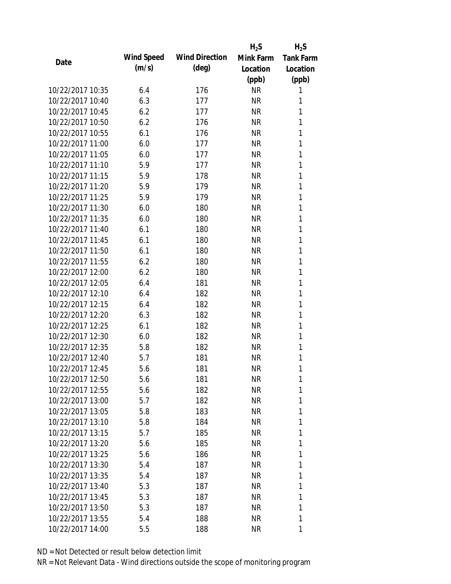|                  |            |                       | $H_2S$    | $H_2S$           |
|------------------|------------|-----------------------|-----------|------------------|
| Date             | Wind Speed | <b>Wind Direction</b> | Mink Farm | <b>Tank Farm</b> |
|                  | (m/s)      | $(\text{deg})$        | Location  | Location         |
|                  |            |                       | (ppb)     | (ppb)            |
| 10/22/2017 10:35 | 6.4        | 176                   | <b>NR</b> | 1                |
| 10/22/2017 10:40 | 6.3        | 177                   | <b>NR</b> | 1                |
| 10/22/2017 10:45 | 6.2        | 177                   | <b>NR</b> | 1                |
| 10/22/2017 10:50 | 6.2        | 176                   | <b>NR</b> | 1                |
| 10/22/2017 10:55 | 6.1        | 176                   | <b>NR</b> | 1                |
| 10/22/2017 11:00 | 6.0        | 177                   | <b>NR</b> | 1                |
| 10/22/2017 11:05 | 6.0        | 177                   | <b>NR</b> | 1                |
| 10/22/2017 11:10 | 5.9        | 177                   | <b>NR</b> | 1                |
| 10/22/2017 11:15 | 5.9        | 178                   | <b>NR</b> | 1                |
| 10/22/2017 11:20 | 5.9        | 179                   | <b>NR</b> | 1                |
| 10/22/2017 11:25 | 5.9        | 179                   | <b>NR</b> | 1                |
| 10/22/2017 11:30 | 6.0        | 180                   | <b>NR</b> | 1                |
| 10/22/2017 11:35 | 6.0        | 180                   | <b>NR</b> | 1                |
| 10/22/2017 11:40 | 6.1        | 180                   | <b>NR</b> | 1                |
| 10/22/2017 11:45 | 6.1        | 180                   | <b>NR</b> | 1                |
| 10/22/2017 11:50 | 6.1        | 180                   | <b>NR</b> | 1                |
| 10/22/2017 11:55 | 6.2        | 180                   | <b>NR</b> | 1                |
| 10/22/2017 12:00 | 6.2        | 180                   | <b>NR</b> | 1                |
| 10/22/2017 12:05 | 6.4        | 181                   | <b>NR</b> | 1                |
| 10/22/2017 12:10 | 6.4        | 182                   | <b>NR</b> | 1                |
| 10/22/2017 12:15 | 6.4        | 182                   | <b>NR</b> | 1                |
| 10/22/2017 12:20 | 6.3        | 182                   | <b>NR</b> | 1                |
| 10/22/2017 12:25 | 6.1        | 182                   | <b>NR</b> | 1                |
| 10/22/2017 12:30 | 6.0        | 182                   | <b>NR</b> | 1                |
| 10/22/2017 12:35 | 5.8        | 182                   | <b>NR</b> | 1                |
| 10/22/2017 12:40 | 5.7        | 181                   | <b>NR</b> | 1                |
| 10/22/2017 12:45 | 5.6        | 181                   | <b>NR</b> | 1                |
| 10/22/2017 12:50 | 5.6        | 181                   | ΝR        | 1                |
| 10/22/2017 12:55 | 5.6        | 182                   | <b>NR</b> | 1                |
| 10/22/2017 13:00 | 5.7        | 182                   | NR        | 1                |
| 10/22/2017 13:05 | 5.8        | 183                   | <b>NR</b> | 1                |
| 10/22/2017 13:10 | 5.8        | 184                   | <b>NR</b> | 1                |
| 10/22/2017 13:15 | 5.7        | 185                   | NR        | 1                |
| 10/22/2017 13:20 | 5.6        | 185                   | <b>NR</b> | 1                |
| 10/22/2017 13:25 | 5.6        | 186                   | NR        | 1                |
| 10/22/2017 13:30 | 5.4        | 187                   | <b>NR</b> | 1                |
| 10/22/2017 13:35 | 5.4        | 187                   | NR        | 1                |
| 10/22/2017 13:40 | 5.3        | 187                   | NR        | 1                |
| 10/22/2017 13:45 | 5.3        | 187                   | <b>NR</b> | 1                |
| 10/22/2017 13:50 | 5.3        | 187                   | NR        | 1                |
| 10/22/2017 13:55 | 5.4        | 188                   | <b>NR</b> | 1                |
| 10/22/2017 14:00 | 5.5        | 188                   | <b>NR</b> | 1                |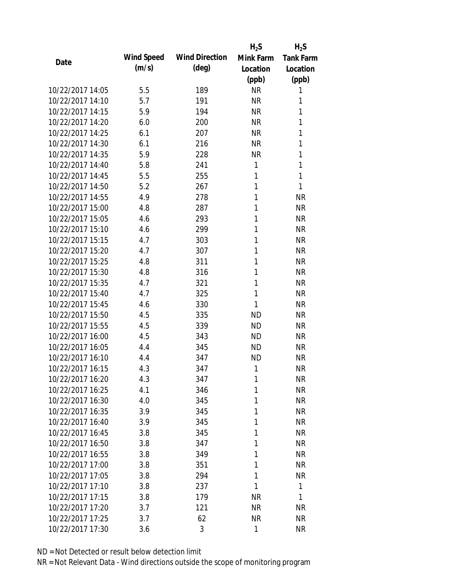|                  |                   |                       | $H_2S$    | $H_2S$           |
|------------------|-------------------|-----------------------|-----------|------------------|
| Date             | <b>Wind Speed</b> | <b>Wind Direction</b> | Mink Farm | <b>Tank Farm</b> |
|                  | (m/s)             | $(\text{deg})$        | Location  | Location         |
|                  |                   |                       | (ppb)     | (ppb)            |
| 10/22/2017 14:05 | 5.5               | 189                   | <b>NR</b> | 1                |
| 10/22/2017 14:10 | 5.7               | 191                   | <b>NR</b> | 1                |
| 10/22/2017 14:15 | 5.9               | 194                   | <b>NR</b> | 1                |
| 10/22/2017 14:20 | 6.0               | 200                   | <b>NR</b> | 1                |
| 10/22/2017 14:25 | 6.1               | 207                   | <b>NR</b> | 1                |
| 10/22/2017 14:30 | 6.1               | 216                   | <b>NR</b> | 1                |
| 10/22/2017 14:35 | 5.9               | 228                   | <b>NR</b> | 1                |
| 10/22/2017 14:40 | 5.8               | 241                   | 1         | 1                |
| 10/22/2017 14:45 | 5.5               | 255                   | 1         | $\mathbf{1}$     |
| 10/22/2017 14:50 | 5.2               | 267                   | 1         | 1                |
| 10/22/2017 14:55 | 4.9               | 278                   | 1         | <b>NR</b>        |
| 10/22/2017 15:00 | 4.8               | 287                   | 1         | <b>NR</b>        |
| 10/22/2017 15:05 | 4.6               | 293                   | 1         | <b>NR</b>        |
| 10/22/2017 15:10 | 4.6               | 299                   | 1         | <b>NR</b>        |
| 10/22/2017 15:15 | 4.7               | 303                   | 1         | <b>NR</b>        |
| 10/22/2017 15:20 | 4.7               | 307                   | 1         | <b>NR</b>        |
| 10/22/2017 15:25 | 4.8               | 311                   | 1         | <b>NR</b>        |
| 10/22/2017 15:30 | 4.8               | 316                   | 1         | <b>NR</b>        |
| 10/22/2017 15:35 | 4.7               | 321                   | 1         | <b>NR</b>        |
| 10/22/2017 15:40 | 4.7               | 325                   | 1         | <b>NR</b>        |
| 10/22/2017 15:45 | 4.6               | 330                   | 1         | <b>NR</b>        |
| 10/22/2017 15:50 | 4.5               | 335                   | <b>ND</b> | <b>NR</b>        |
| 10/22/2017 15:55 | 4.5               | 339                   | <b>ND</b> | <b>NR</b>        |
| 10/22/2017 16:00 | 4.5               | 343                   | <b>ND</b> | <b>NR</b>        |
| 10/22/2017 16:05 | 4.4               | 345                   | <b>ND</b> | <b>NR</b>        |
| 10/22/2017 16:10 | 4.4               | 347                   | <b>ND</b> | <b>NR</b>        |
| 10/22/2017 16:15 | 4.3               | 347                   | 1         | <b>NR</b>        |
| 10/22/2017 16:20 | 4.3               | 347                   | 1         | <b>NR</b>        |
| 10/22/2017 16:25 | 4.1               | 346                   | 1         | <b>NR</b>        |
| 10/22/2017 16:30 | 4.0               | 345                   | 1         | <b>NR</b>        |
| 10/22/2017 16:35 | 3.9               | 345                   | 1         | <b>NR</b>        |
| 10/22/2017 16:40 | 3.9               | 345                   | 1         | <b>NR</b>        |
| 10/22/2017 16:45 | 3.8               | 345                   | 1         | <b>NR</b>        |
| 10/22/2017 16:50 | 3.8               | 347                   | 1         | <b>NR</b>        |
| 10/22/2017 16:55 | 3.8               | 349                   | 1         | <b>NR</b>        |
| 10/22/2017 17:00 | 3.8               | 351                   | 1         | <b>NR</b>        |
| 10/22/2017 17:05 | 3.8               | 294                   | 1         | <b>NR</b>        |
| 10/22/2017 17:10 | 3.8               | 237                   | 1         | 1                |
| 10/22/2017 17:15 | 3.8               | 179                   | <b>NR</b> | 1                |
| 10/22/2017 17:20 | 3.7               | 121                   | <b>NR</b> | NR               |
| 10/22/2017 17:25 | 3.7               | 62                    | <b>NR</b> | <b>NR</b>        |
| 10/22/2017 17:30 | 3.6               | 3                     | 1         | <b>NR</b>        |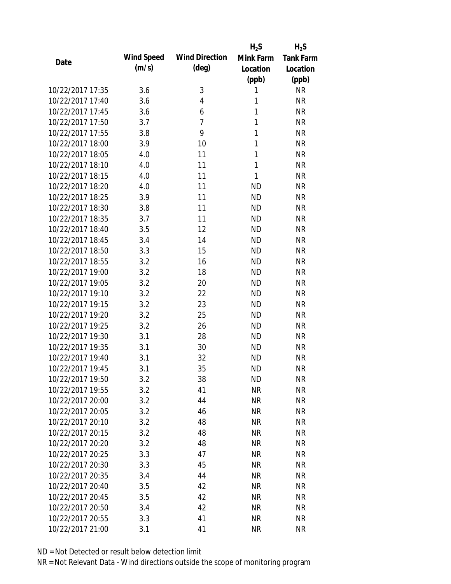|                  |                   |                       | $H_2S$    | $H_2S$           |
|------------------|-------------------|-----------------------|-----------|------------------|
| Date             | <b>Wind Speed</b> | <b>Wind Direction</b> | Mink Farm | <b>Tank Farm</b> |
|                  | (m/s)             | (deg)                 | Location  | Location         |
|                  |                   |                       | (ppb)     | (ppb)            |
| 10/22/2017 17:35 | 3.6               | 3                     | 1         | <b>NR</b>        |
| 10/22/2017 17:40 | 3.6               | 4                     | 1         | <b>NR</b>        |
| 10/22/2017 17:45 | 3.6               | 6                     | 1         | <b>NR</b>        |
| 10/22/2017 17:50 | 3.7               | $\overline{7}$        | 1         | <b>NR</b>        |
| 10/22/2017 17:55 | 3.8               | 9                     | 1         | <b>NR</b>        |
| 10/22/2017 18:00 | 3.9               | 10                    | 1         | <b>NR</b>        |
| 10/22/2017 18:05 | 4.0               | 11                    | 1         | <b>NR</b>        |
| 10/22/2017 18:10 | 4.0               | 11                    | 1         | <b>NR</b>        |
| 10/22/2017 18:15 | 4.0               | 11                    | 1         | <b>NR</b>        |
| 10/22/2017 18:20 | 4.0               | 11                    | <b>ND</b> | <b>NR</b>        |
| 10/22/2017 18:25 | 3.9               | 11                    | <b>ND</b> | <b>NR</b>        |
| 10/22/2017 18:30 | 3.8               | 11                    | <b>ND</b> | <b>NR</b>        |
| 10/22/2017 18:35 | 3.7               | 11                    | <b>ND</b> | <b>NR</b>        |
| 10/22/2017 18:40 | 3.5               | 12                    | <b>ND</b> | <b>NR</b>        |
| 10/22/2017 18:45 | 3.4               | 14                    | <b>ND</b> | <b>NR</b>        |
| 10/22/2017 18:50 | 3.3               | 15                    | <b>ND</b> | <b>NR</b>        |
| 10/22/2017 18:55 | 3.2               | 16                    | <b>ND</b> | <b>NR</b>        |
| 10/22/2017 19:00 | 3.2               | 18                    | <b>ND</b> | <b>NR</b>        |
| 10/22/2017 19:05 | 3.2               | 20                    | <b>ND</b> | <b>NR</b>        |
| 10/22/2017 19:10 | 3.2               | 22                    | <b>ND</b> | <b>NR</b>        |
| 10/22/2017 19:15 | 3.2               | 23                    | <b>ND</b> | <b>NR</b>        |
| 10/22/2017 19:20 | 3.2               | 25                    | <b>ND</b> | <b>NR</b>        |
| 10/22/2017 19:25 | 3.2               | 26                    | <b>ND</b> | <b>NR</b>        |
| 10/22/2017 19:30 | 3.1               | 28                    | <b>ND</b> | <b>NR</b>        |
| 10/22/2017 19:35 | 3.1               | 30                    | <b>ND</b> | <b>NR</b>        |
| 10/22/2017 19:40 | 3.1               | 32                    | <b>ND</b> | <b>NR</b>        |
| 10/22/2017 19:45 | 3.1               | 35                    | <b>ND</b> | <b>NR</b>        |
| 10/22/2017 19:50 | 3.2               | 38                    | ND        | <b>NR</b>        |
| 10/22/2017 19:55 | 3.2               | 41                    | <b>NR</b> | <b>NR</b>        |
| 10/22/2017 20:00 | 3.2               | 44                    | <b>NR</b> | <b>NR</b>        |
| 10/22/2017 20:05 | 3.2               | 46                    | <b>NR</b> | <b>NR</b>        |
| 10/22/2017 20:10 | 3.2               | 48                    | <b>NR</b> | <b>NR</b>        |
| 10/22/2017 20:15 | 3.2               | 48                    | <b>NR</b> | <b>NR</b>        |
| 10/22/2017 20:20 | 3.2               | 48                    | <b>NR</b> | <b>NR</b>        |
| 10/22/2017 20:25 | 3.3               | 47                    | <b>NR</b> | <b>NR</b>        |
| 10/22/2017 20:30 | 3.3               | 45                    | <b>NR</b> | <b>NR</b>        |
| 10/22/2017 20:35 | 3.4               | 44                    | <b>NR</b> | <b>NR</b>        |
| 10/22/2017 20:40 | 3.5               | 42                    | <b>NR</b> | <b>NR</b>        |
| 10/22/2017 20:45 | 3.5               | 42                    | NR        | <b>NR</b>        |
| 10/22/2017 20:50 | 3.4               | 42                    | <b>NR</b> | <b>NR</b>        |
| 10/22/2017 20:55 | 3.3               | 41                    | <b>NR</b> | <b>NR</b>        |
| 10/22/2017 21:00 | 3.1               | 41                    | <b>NR</b> | <b>NR</b>        |
|                  |                   |                       |           |                  |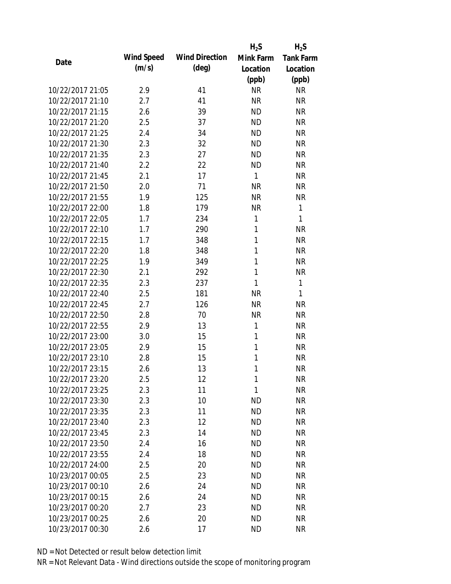|                  |                   |                       | $H_2S$    | $H_2S$           |
|------------------|-------------------|-----------------------|-----------|------------------|
| Date             | <b>Wind Speed</b> | <b>Wind Direction</b> | Mink Farm | <b>Tank Farm</b> |
|                  | (m/s)             | (deg)                 | Location  | Location         |
|                  |                   |                       | (ppb)     | (ppb)            |
| 10/22/2017 21:05 | 2.9               | 41                    | <b>NR</b> | <b>NR</b>        |
| 10/22/2017 21:10 | 2.7               | 41                    | <b>NR</b> | <b>NR</b>        |
| 10/22/2017 21:15 | 2.6               | 39                    | <b>ND</b> | <b>NR</b>        |
| 10/22/2017 21:20 | 2.5               | 37                    | <b>ND</b> | <b>NR</b>        |
| 10/22/2017 21:25 | 2.4               | 34                    | <b>ND</b> | <b>NR</b>        |
| 10/22/2017 21:30 | 2.3               | 32                    | <b>ND</b> | <b>NR</b>        |
| 10/22/2017 21:35 | 2.3               | 27                    | <b>ND</b> | <b>NR</b>        |
| 10/22/2017 21:40 | 2.2               | 22                    | <b>ND</b> | <b>NR</b>        |
| 10/22/2017 21:45 | 2.1               | 17                    | 1         | <b>NR</b>        |
| 10/22/2017 21:50 | 2.0               | 71                    | <b>NR</b> | <b>NR</b>        |
| 10/22/2017 21:55 | 1.9               | 125                   | <b>NR</b> | <b>NR</b>        |
| 10/22/2017 22:00 | 1.8               | 179                   | <b>NR</b> | $\mathbf{1}$     |
| 10/22/2017 22:05 | 1.7               | 234                   | 1         | $\mathbf{1}$     |
| 10/22/2017 22:10 | 1.7               | 290                   | 1         | <b>NR</b>        |
| 10/22/2017 22:15 | 1.7               | 348                   | 1         | <b>NR</b>        |
| 10/22/2017 22:20 | 1.8               | 348                   | 1         | <b>NR</b>        |
| 10/22/2017 22:25 | 1.9               | 349                   | 1         | <b>NR</b>        |
| 10/22/2017 22:30 | 2.1               | 292                   | 1         | <b>NR</b>        |
| 10/22/2017 22:35 | 2.3               | 237                   | 1         | 1                |
| 10/22/2017 22:40 | 2.5               | 181                   | <b>NR</b> | 1                |
| 10/22/2017 22:45 | 2.7               | 126                   | <b>NR</b> | <b>NR</b>        |
| 10/22/2017 22:50 | 2.8               | 70                    | <b>NR</b> | <b>NR</b>        |
| 10/22/2017 22:55 | 2.9               | 13                    | 1         | <b>NR</b>        |
| 10/22/2017 23:00 | 3.0               | 15                    | 1         | <b>NR</b>        |
| 10/22/2017 23:05 | 2.9               | 15                    | 1         | <b>NR</b>        |
| 10/22/2017 23:10 | 2.8               | 15                    | 1         | <b>NR</b>        |
| 10/22/2017 23:15 | 2.6               | 13                    | 1         | <b>NR</b>        |
| 10/22/2017 23:20 | 2.5               | 12                    | 1         | <b>NR</b>        |
| 10/22/2017 23:25 | 2.3               | 11                    | 1         | <b>NR</b>        |
| 10/22/2017 23:30 | 2.3               | 10                    | <b>ND</b> | <b>NR</b>        |
| 10/22/2017 23:35 | 2.3               | 11                    | <b>ND</b> | <b>NR</b>        |
| 10/22/2017 23:40 | 2.3               | 12                    | <b>ND</b> | <b>NR</b>        |
| 10/22/2017 23:45 | 2.3               | 14                    | <b>ND</b> | <b>NR</b>        |
| 10/22/2017 23:50 | 2.4               | 16                    | <b>ND</b> | <b>NR</b>        |
| 10/22/2017 23:55 | 2.4               | 18                    | ND        | <b>NR</b>        |
| 10/22/2017 24:00 | 2.5               | 20                    | <b>ND</b> | <b>NR</b>        |
| 10/23/2017 00:05 | 2.5               | 23                    | ND.       | <b>NR</b>        |
| 10/23/2017 00:10 | 2.6               | 24                    | <b>ND</b> | <b>NR</b>        |
| 10/23/2017 00:15 | 2.6               | 24                    | <b>ND</b> | <b>NR</b>        |
| 10/23/2017 00:20 | 2.7               | 23                    | <b>ND</b> | <b>NR</b>        |
| 10/23/2017 00:25 | 2.6               | 20                    | <b>ND</b> | <b>NR</b>        |
| 10/23/2017 00:30 | 2.6               | 17                    | <b>ND</b> | <b>NR</b>        |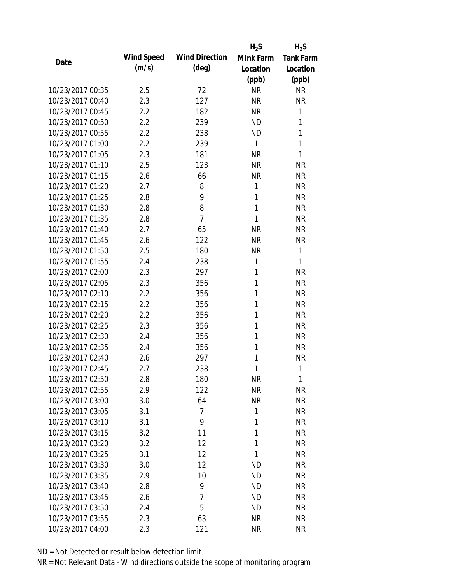|                  |                   |                       | $H_2S$    | $H_2S$           |
|------------------|-------------------|-----------------------|-----------|------------------|
| Date             | <b>Wind Speed</b> | <b>Wind Direction</b> | Mink Farm | <b>Tank Farm</b> |
|                  | (m/s)             | $(\text{deg})$        | Location  | Location         |
|                  |                   |                       | (ppb)     | (ppb)            |
| 10/23/2017 00:35 | 2.5               | 72                    | <b>NR</b> | <b>NR</b>        |
| 10/23/2017 00:40 | 2.3               | 127                   | <b>NR</b> | <b>NR</b>        |
| 10/23/2017 00:45 | 2.2               | 182                   | <b>NR</b> | 1                |
| 10/23/2017 00:50 | 2.2               | 239                   | <b>ND</b> | 1                |
| 10/23/2017 00:55 | 2.2               | 238                   | <b>ND</b> | 1                |
| 10/23/2017 01:00 | 2.2               | 239                   | 1         | 1                |
| 10/23/2017 01:05 | 2.3               | 181                   | <b>NR</b> | 1                |
| 10/23/2017 01:10 | 2.5               | 123                   | <b>NR</b> | <b>NR</b>        |
| 10/23/2017 01:15 | 2.6               | 66                    | <b>NR</b> | <b>NR</b>        |
| 10/23/2017 01:20 | 2.7               | 8                     | 1         | <b>NR</b>        |
| 10/23/2017 01:25 | 2.8               | 9                     | 1         | <b>NR</b>        |
| 10/23/2017 01:30 | 2.8               | 8                     | 1         | <b>NR</b>        |
| 10/23/2017 01:35 | 2.8               | $\overline{7}$        | 1         | <b>NR</b>        |
| 10/23/2017 01:40 | 2.7               | 65                    | <b>NR</b> | <b>NR</b>        |
| 10/23/2017 01:45 | 2.6               | 122                   | <b>NR</b> | <b>NR</b>        |
| 10/23/2017 01:50 | 2.5               | 180                   | <b>NR</b> | 1                |
| 10/23/2017 01:55 | 2.4               | 238                   | 1         | 1                |
| 10/23/2017 02:00 | 2.3               | 297                   | 1         | <b>NR</b>        |
| 10/23/2017 02:05 | 2.3               | 356                   | 1         | <b>NR</b>        |
| 10/23/2017 02:10 | 2.2               | 356                   | 1         | <b>NR</b>        |
| 10/23/2017 02:15 | 2.2               | 356                   | 1         | <b>NR</b>        |
| 10/23/2017 02:20 | 2.2               | 356                   | 1         | <b>NR</b>        |
| 10/23/2017 02:25 | 2.3               | 356                   | 1         | <b>NR</b>        |
| 10/23/2017 02:30 | 2.4               | 356                   | 1         | <b>NR</b>        |
| 10/23/2017 02:35 | 2.4               | 356                   | 1         | <b>NR</b>        |
| 10/23/2017 02:40 | 2.6               | 297                   | 1         | <b>NR</b>        |
| 10/23/2017 02:45 | 2.7               | 238                   | 1         | 1                |
| 10/23/2017 02:50 | 2.8               | 180                   | NR        | 1                |
| 10/23/2017 02:55 | 2.9               | 122                   | <b>NR</b> | <b>NR</b>        |
| 10/23/2017 03:00 | 3.0               | 64                    | <b>NR</b> | <b>NR</b>        |
| 10/23/2017 03:05 | 3.1               | $\overline{7}$        | 1         | <b>NR</b>        |
| 10/23/2017 03:10 | 3.1               | 9                     | 1         | <b>NR</b>        |
| 10/23/2017 03:15 | 3.2               | 11                    | 1         | <b>NR</b>        |
| 10/23/2017 03:20 | 3.2               | 12                    | 1         | <b>NR</b>        |
| 10/23/2017 03:25 | 3.1               | 12                    | 1         | <b>NR</b>        |
| 10/23/2017 03:30 | 3.0               | 12                    | <b>ND</b> | <b>NR</b>        |
| 10/23/2017 03:35 | 2.9               | 10                    | <b>ND</b> | <b>NR</b>        |
| 10/23/2017 03:40 | 2.8               | 9                     | <b>ND</b> | <b>NR</b>        |
| 10/23/2017 03:45 | 2.6               | $\overline{7}$        | <b>ND</b> | <b>NR</b>        |
| 10/23/2017 03:50 | 2.4               | 5                     | <b>ND</b> | <b>NR</b>        |
| 10/23/2017 03:55 | 2.3               | 63                    | <b>NR</b> | <b>NR</b>        |
| 10/23/2017 04:00 | 2.3               | 121                   | <b>NR</b> | <b>NR</b>        |
|                  |                   |                       |           |                  |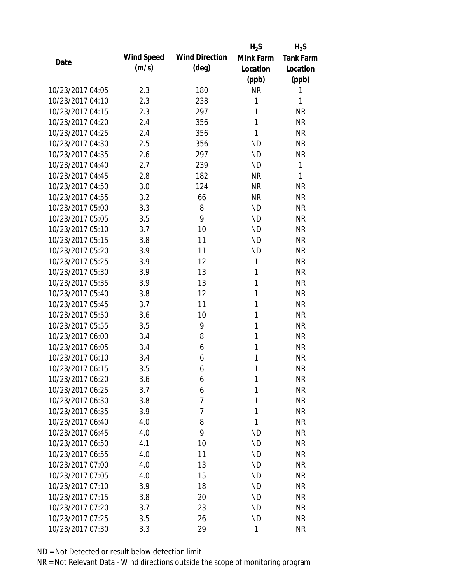|                  |                   |                       | $H_2S$       | $H_2S$           |
|------------------|-------------------|-----------------------|--------------|------------------|
| Date             | <b>Wind Speed</b> | <b>Wind Direction</b> | Mink Farm    | <b>Tank Farm</b> |
|                  | (m/s)             | $(\text{deg})$        | Location     | Location         |
|                  |                   |                       | (ppb)        | (ppb)            |
| 10/23/2017 04:05 | 2.3               | 180                   | <b>NR</b>    | 1                |
| 10/23/2017 04:10 | 2.3               | 238                   | 1            | 1                |
| 10/23/2017 04:15 | 2.3               | 297                   | 1            | <b>NR</b>        |
| 10/23/2017 04:20 | 2.4               | 356                   | 1            | <b>NR</b>        |
| 10/23/2017 04:25 | 2.4               | 356                   | 1            | <b>NR</b>        |
| 10/23/2017 04:30 | 2.5               | 356                   | <b>ND</b>    | <b>NR</b>        |
| 10/23/2017 04:35 | 2.6               | 297                   | <b>ND</b>    | <b>NR</b>        |
| 10/23/2017 04:40 | 2.7               | 239                   | <b>ND</b>    | $\mathbf{1}$     |
| 10/23/2017 04:45 | 2.8               | 182                   | <b>NR</b>    | 1                |
| 10/23/2017 04:50 | 3.0               | 124                   | <b>NR</b>    | <b>NR</b>        |
| 10/23/2017 04:55 | 3.2               | 66                    | <b>NR</b>    | <b>NR</b>        |
| 10/23/2017 05:00 | 3.3               | 8                     | <b>ND</b>    | <b>NR</b>        |
| 10/23/2017 05:05 | 3.5               | 9                     | <b>ND</b>    | <b>NR</b>        |
| 10/23/2017 05:10 | 3.7               | 10                    | <b>ND</b>    | <b>NR</b>        |
| 10/23/2017 05:15 | 3.8               | 11                    | <b>ND</b>    | <b>NR</b>        |
| 10/23/2017 05:20 | 3.9               | 11                    | <b>ND</b>    | <b>NR</b>        |
| 10/23/2017 05:25 | 3.9               | 12                    | 1            | <b>NR</b>        |
| 10/23/2017 05:30 | 3.9               | 13                    | $\mathbf{1}$ | <b>NR</b>        |
| 10/23/2017 05:35 | 3.9               | 13                    | $\mathbf{1}$ | <b>NR</b>        |
| 10/23/2017 05:40 | 3.8               | 12                    | 1            | <b>NR</b>        |
| 10/23/2017 05:45 | 3.7               | 11                    | 1            | <b>NR</b>        |
| 10/23/2017 05:50 | 3.6               | 10                    | 1            | <b>NR</b>        |
| 10/23/2017 05:55 | 3.5               | 9                     | 1            | <b>NR</b>        |
| 10/23/2017 06:00 | 3.4               | 8                     | 1            | <b>NR</b>        |
| 10/23/2017 06:05 | 3.4               | 6                     | 1            | <b>NR</b>        |
| 10/23/2017 06:10 | 3.4               | 6                     | 1            | <b>NR</b>        |
| 10/23/2017 06:15 | 3.5               | 6                     | 1            | <b>NR</b>        |
| 10/23/2017 06:20 | 3.6               | 6                     | 1            | <b>NR</b>        |
| 10/23/2017 06:25 | 3.7               | 6                     | 1            | <b>NR</b>        |
| 10/23/2017 06:30 | 3.8               | 7                     | 1            | <b>NR</b>        |
| 10/23/2017 06:35 | 3.9               | 7                     | 1            | <b>NR</b>        |
| 10/23/2017 06:40 | 4.0               | 8                     | 1            | <b>NR</b>        |
| 10/23/2017 06:45 | 4.0               | 9                     | <b>ND</b>    | <b>NR</b>        |
| 10/23/2017 06:50 | 4.1               | 10                    | <b>ND</b>    | <b>NR</b>        |
| 10/23/2017 06:55 | 4.0               | 11                    | <b>ND</b>    | <b>NR</b>        |
| 10/23/2017 07:00 | 4.0               | 13                    | <b>ND</b>    | <b>NR</b>        |
| 10/23/2017 07:05 | 4.0               | 15                    | <b>ND</b>    | <b>NR</b>        |
| 10/23/2017 07:10 | 3.9               | 18                    | <b>ND</b>    | <b>NR</b>        |
| 10/23/2017 07:15 | 3.8               | 20                    | <b>ND</b>    | <b>NR</b>        |
| 10/23/2017 07:20 | 3.7               | 23                    | <b>ND</b>    | NR               |
| 10/23/2017 07:25 | 3.5               | 26                    | <b>ND</b>    | <b>NR</b>        |
| 10/23/2017 07:30 | 3.3               | 29                    | 1            | <b>NR</b>        |
|                  |                   |                       |              |                  |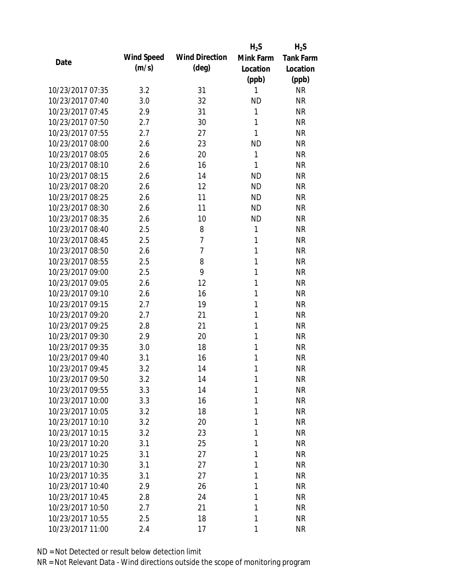|                  |                   |                       | $H_2S$    | $H_2S$           |
|------------------|-------------------|-----------------------|-----------|------------------|
| Date             | <b>Wind Speed</b> | <b>Wind Direction</b> | Mink Farm | <b>Tank Farm</b> |
|                  | (m/s)             | $(\text{deg})$        | Location  | Location         |
|                  |                   |                       | (ppb)     | (ppb)            |
| 10/23/2017 07:35 | 3.2               | 31                    | 1         | <b>NR</b>        |
| 10/23/2017 07:40 | 3.0               | 32                    | <b>ND</b> | <b>NR</b>        |
| 10/23/2017 07:45 | 2.9               | 31                    | 1         | <b>NR</b>        |
| 10/23/2017 07:50 | 2.7               | 30                    | 1         | <b>NR</b>        |
| 10/23/2017 07:55 | 2.7               | 27                    | 1         | <b>NR</b>        |
| 10/23/2017 08:00 | 2.6               | 23                    | <b>ND</b> | <b>NR</b>        |
| 10/23/2017 08:05 | 2.6               | 20                    | 1         | <b>NR</b>        |
| 10/23/2017 08:10 | 2.6               | 16                    | 1         | <b>NR</b>        |
| 10/23/2017 08:15 | 2.6               | 14                    | <b>ND</b> | <b>NR</b>        |
| 10/23/2017 08:20 | 2.6               | 12                    | <b>ND</b> | <b>NR</b>        |
| 10/23/2017 08:25 | 2.6               | 11                    | <b>ND</b> | <b>NR</b>        |
| 10/23/2017 08:30 | 2.6               | 11                    | <b>ND</b> | <b>NR</b>        |
| 10/23/2017 08:35 | 2.6               | 10                    | <b>ND</b> | <b>NR</b>        |
| 10/23/2017 08:40 | 2.5               | 8                     | 1         | <b>NR</b>        |
| 10/23/2017 08:45 | 2.5               | $\overline{7}$        | 1         | <b>NR</b>        |
| 10/23/2017 08:50 | 2.6               | 7                     | 1         | <b>NR</b>        |
| 10/23/2017 08:55 | 2.5               | 8                     | 1         | <b>NR</b>        |
| 10/23/2017 09:00 | 2.5               | 9                     | 1         | <b>NR</b>        |
| 10/23/2017 09:05 | 2.6               | 12                    | 1         | <b>NR</b>        |
| 10/23/2017 09:10 | 2.6               | 16                    | 1         | <b>NR</b>        |
| 10/23/2017 09:15 | 2.7               | 19                    | 1         | <b>NR</b>        |
| 10/23/2017 09:20 | 2.7               | 21                    | 1         | <b>NR</b>        |
| 10/23/2017 09:25 | 2.8               | 21                    | 1         | <b>NR</b>        |
| 10/23/2017 09:30 | 2.9               | 20                    | 1         | <b>NR</b>        |
| 10/23/2017 09:35 | 3.0               | 18                    | 1         | <b>NR</b>        |
| 10/23/2017 09:40 | 3.1               | 16                    | 1         | <b>NR</b>        |
| 10/23/2017 09:45 | 3.2               | 14                    | 1         | <b>NR</b>        |
| 10/23/2017 09:50 | 3.2               | 14                    | 1         | <b>NR</b>        |
| 10/23/2017 09:55 | 3.3               | 14                    | 1         | <b>NR</b>        |
| 10/23/2017 10:00 | 3.3               | 16                    | 1         | <b>NR</b>        |
| 10/23/2017 10:05 | 3.2               | 18                    | 1         | <b>NR</b>        |
| 10/23/2017 10:10 | 3.2               | 20                    | 1         | <b>NR</b>        |
| 10/23/2017 10:15 | 3.2               | 23                    | 1         | <b>NR</b>        |
| 10/23/2017 10:20 | 3.1               | 25                    | 1         | <b>NR</b>        |
| 10/23/2017 10:25 | 3.1               | 27                    | 1         | <b>NR</b>        |
| 10/23/2017 10:30 | 3.1               | 27                    | 1         | <b>NR</b>        |
| 10/23/2017 10:35 | 3.1               | 27                    | 1         | <b>NR</b>        |
| 10/23/2017 10:40 | 2.9               | 26                    | 1         | <b>NR</b>        |
| 10/23/2017 10:45 | 2.8               | 24                    | 1         | <b>NR</b>        |
| 10/23/2017 10:50 | 2.7               | 21                    | 1         | <b>NR</b>        |
| 10/23/2017 10:55 | 2.5               | 18                    | 1         | <b>NR</b>        |
| 10/23/2017 11:00 | 2.4               | 17                    | 1         | <b>NR</b>        |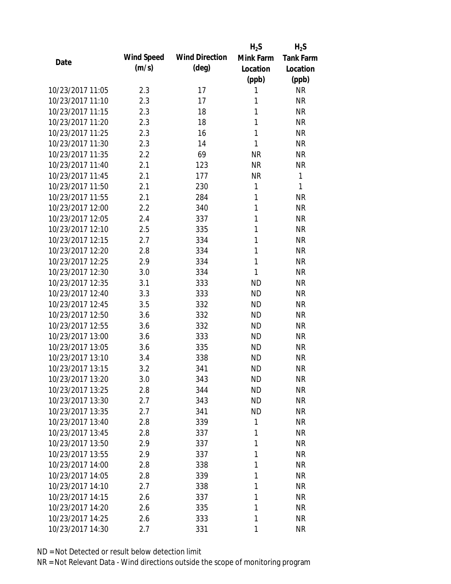|                  |                   |                       | $H_2S$       | $H_2S$           |
|------------------|-------------------|-----------------------|--------------|------------------|
| Date             | <b>Wind Speed</b> | <b>Wind Direction</b> | Mink Farm    | <b>Tank Farm</b> |
|                  | (m/s)             | $(\text{deg})$        | Location     | Location         |
|                  |                   |                       | (ppb)        | (ppb)            |
| 10/23/2017 11:05 | 2.3               | 17                    | 1            | <b>NR</b>        |
| 10/23/2017 11:10 | 2.3               | 17                    | 1            | <b>NR</b>        |
| 10/23/2017 11:15 | 2.3               | 18                    | 1            | <b>NR</b>        |
| 10/23/2017 11:20 | 2.3               | 18                    | 1            | <b>NR</b>        |
| 10/23/2017 11:25 | 2.3               | 16                    | 1            | <b>NR</b>        |
| 10/23/2017 11:30 | 2.3               | 14                    | 1            | <b>NR</b>        |
| 10/23/2017 11:35 | 2.2               | 69                    | <b>NR</b>    | <b>NR</b>        |
| 10/23/2017 11:40 | 2.1               | 123                   | <b>NR</b>    | <b>NR</b>        |
| 10/23/2017 11:45 | 2.1               | 177                   | <b>NR</b>    | 1                |
| 10/23/2017 11:50 | 2.1               | 230                   | 1            | 1                |
| 10/23/2017 11:55 | 2.1               | 284                   | 1            | <b>NR</b>        |
| 10/23/2017 12:00 | 2.2               | 340                   | $\mathbf{1}$ | <b>NR</b>        |
| 10/23/2017 12:05 | 2.4               | 337                   | 1            | <b>NR</b>        |
| 10/23/2017 12:10 | 2.5               | 335                   | 1            | <b>NR</b>        |
| 10/23/2017 12:15 | 2.7               | 334                   | 1            | <b>NR</b>        |
| 10/23/2017 12:20 | 2.8               | 334                   | 1            | <b>NR</b>        |
| 10/23/2017 12:25 | 2.9               | 334                   | 1            | <b>NR</b>        |
| 10/23/2017 12:30 | 3.0               | 334                   | $\mathbf{1}$ | <b>NR</b>        |
| 10/23/2017 12:35 | 3.1               | 333                   | <b>ND</b>    | <b>NR</b>        |
| 10/23/2017 12:40 | 3.3               | 333                   | <b>ND</b>    | <b>NR</b>        |
| 10/23/2017 12:45 | 3.5               | 332                   | <b>ND</b>    | <b>NR</b>        |
| 10/23/2017 12:50 | 3.6               | 332                   | <b>ND</b>    | <b>NR</b>        |
| 10/23/2017 12:55 | 3.6               | 332                   | <b>ND</b>    | <b>NR</b>        |
| 10/23/2017 13:00 | 3.6               | 333                   | <b>ND</b>    | <b>NR</b>        |
| 10/23/2017 13:05 | 3.6               | 335                   | <b>ND</b>    | <b>NR</b>        |
| 10/23/2017 13:10 | 3.4               | 338                   | <b>ND</b>    | <b>NR</b>        |
| 10/23/2017 13:15 | 3.2               | 341                   | <b>ND</b>    | <b>NR</b>        |
| 10/23/2017 13:20 | 3.0               | 343                   | <b>ND</b>    | <b>NR</b>        |
| 10/23/2017 13:25 | 2.8               | 344                   | <b>ND</b>    | <b>NR</b>        |
| 10/23/2017 13:30 | 2.7               | 343                   | <b>ND</b>    | <b>NR</b>        |
| 10/23/2017 13:35 | 2.7               | 341                   | <b>ND</b>    | <b>NR</b>        |
| 10/23/2017 13:40 | 2.8               | 339                   | 1            | NR               |
| 10/23/2017 13:45 | 2.8               | 337                   | 1            | <b>NR</b>        |
| 10/23/2017 13:50 | 2.9               | 337                   | 1            | <b>NR</b>        |
| 10/23/2017 13:55 | 2.9               | 337                   | 1            | <b>NR</b>        |
| 10/23/2017 14:00 | 2.8               | 338                   | 1            | <b>NR</b>        |
| 10/23/2017 14:05 | 2.8               | 339                   | 1            | <b>NR</b>        |
| 10/23/2017 14:10 | 2.7               | 338                   | 1            | <b>NR</b>        |
| 10/23/2017 14:15 | 2.6               | 337                   | 1            | <b>NR</b>        |
| 10/23/2017 14:20 | 2.6               | 335                   | 1            | <b>NR</b>        |
| 10/23/2017 14:25 | 2.6               | 333                   | 1            | <b>NR</b>        |
| 10/23/2017 14:30 | 2.7               | 331                   | 1            | <b>NR</b>        |
|                  |                   |                       |              |                  |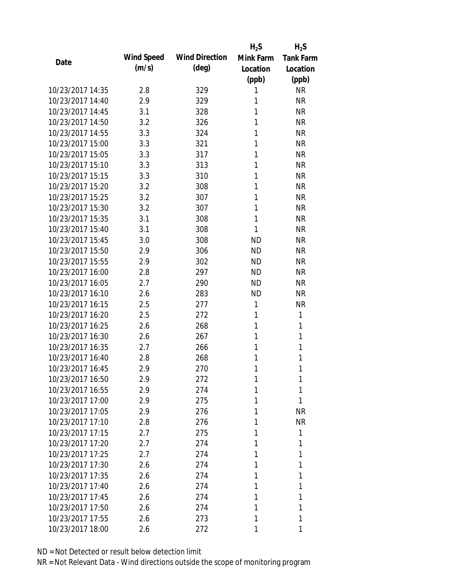|                  |                   |                       | $H_2S$    | $H_2S$           |
|------------------|-------------------|-----------------------|-----------|------------------|
| Date             | <b>Wind Speed</b> | <b>Wind Direction</b> | Mink Farm | <b>Tank Farm</b> |
|                  | (m/s)             | $(\text{deg})$        | Location  | Location         |
|                  |                   |                       | (ppb)     | (ppb)            |
| 10/23/2017 14:35 | 2.8               | 329                   | 1         | <b>NR</b>        |
| 10/23/2017 14:40 | 2.9               | 329                   | 1         | <b>NR</b>        |
| 10/23/2017 14:45 | 3.1               | 328                   | 1         | <b>NR</b>        |
| 10/23/2017 14:50 | 3.2               | 326                   | 1         | <b>NR</b>        |
| 10/23/2017 14:55 | 3.3               | 324                   | 1         | <b>NR</b>        |
| 10/23/2017 15:00 | 3.3               | 321                   | 1         | <b>NR</b>        |
| 10/23/2017 15:05 | 3.3               | 317                   | 1         | <b>NR</b>        |
| 10/23/2017 15:10 | 3.3               | 313                   | 1         | <b>NR</b>        |
| 10/23/2017 15:15 | 3.3               | 310                   | 1         | <b>NR</b>        |
| 10/23/2017 15:20 | 3.2               | 308                   | 1         | <b>NR</b>        |
| 10/23/2017 15:25 | 3.2               | 307                   | 1         | <b>NR</b>        |
| 10/23/2017 15:30 | 3.2               | 307                   | 1         | <b>NR</b>        |
| 10/23/2017 15:35 | 3.1               | 308                   | 1         | <b>NR</b>        |
| 10/23/2017 15:40 | 3.1               | 308                   | 1         | <b>NR</b>        |
| 10/23/2017 15:45 | 3.0               | 308                   | <b>ND</b> | <b>NR</b>        |
| 10/23/2017 15:50 | 2.9               | 306                   | <b>ND</b> | <b>NR</b>        |
| 10/23/2017 15:55 | 2.9               | 302                   | <b>ND</b> | <b>NR</b>        |
| 10/23/2017 16:00 | 2.8               | 297                   | <b>ND</b> | <b>NR</b>        |
| 10/23/2017 16:05 | 2.7               | 290                   | <b>ND</b> | <b>NR</b>        |
| 10/23/2017 16:10 | 2.6               | 283                   | <b>ND</b> | <b>NR</b>        |
| 10/23/2017 16:15 | 2.5               | 277                   | 1         | <b>NR</b>        |
| 10/23/2017 16:20 | 2.5               | 272                   | 1         | 1                |
| 10/23/2017 16:25 | 2.6               | 268                   | 1         | 1                |
| 10/23/2017 16:30 | 2.6               | 267                   | 1         | 1                |
| 10/23/2017 16:35 | 2.7               | 266                   | 1         | 1                |
| 10/23/2017 16:40 | 2.8               | 268                   | 1         | 1                |
| 10/23/2017 16:45 | 2.9               | 270                   | 1         | 1                |
| 10/23/2017 16:50 | 2.9               | 272                   | 1         | 1                |
| 10/23/2017 16:55 | 2.9               | 274                   | 1         | 1                |
| 10/23/2017 17:00 | 2.9               | 275                   | 1         | 1                |
| 10/23/2017 17:05 | 2.9               | 276                   | 1         | <b>NR</b>        |
| 10/23/2017 17:10 | 2.8               | 276                   | 1         | <b>NR</b>        |
| 10/23/2017 17:15 | 2.7               | 275                   | 1         | 1                |
| 10/23/2017 17:20 | 2.7               | 274                   | 1         | 1                |
| 10/23/2017 17:25 | 2.7               | 274                   | 1         | 1                |
| 10/23/2017 17:30 | 2.6               | 274                   | 1         | 1                |
| 10/23/2017 17:35 | 2.6               | 274                   | 1         | 1                |
| 10/23/2017 17:40 | 2.6               | 274                   | 1         | 1                |
| 10/23/2017 17:45 | 2.6               | 274                   | 1         | 1                |
| 10/23/2017 17:50 | 2.6               | 274                   | 1         | 1                |
| 10/23/2017 17:55 | 2.6               | 273                   | 1         | 1                |
| 10/23/2017 18:00 | 2.6               | 272                   |           | 1                |
|                  |                   |                       |           |                  |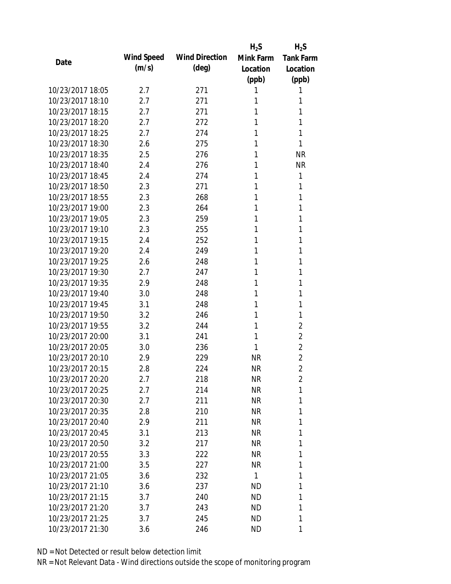|                  |            |                       | $H_2S$          | $H_2S$           |
|------------------|------------|-----------------------|-----------------|------------------|
| Date             | Wind Speed | <b>Wind Direction</b> | Mink Farm       | <b>Tank Farm</b> |
|                  | (m/s)      | $(\text{deg})$        | Location        | Location         |
|                  |            |                       | (ppb)           | (ppb)            |
| 10/23/2017 18:05 | 2.7        | 271                   | 1               | 1                |
| 10/23/2017 18:10 | 2.7        | 271                   | 1               | 1                |
| 10/23/2017 18:15 | 2.7        | 271                   | 1               | 1                |
| 10/23/2017 18:20 | 2.7        | 272                   | 1               | 1                |
| 10/23/2017 18:25 | 2.7        | 274                   | 1               | 1                |
| 10/23/2017 18:30 | 2.6        | 275                   | 1               | 1                |
| 10/23/2017 18:35 | 2.5        | 276                   | 1               | <b>NR</b>        |
| 10/23/2017 18:40 | 2.4        | 276                   | 1               | <b>NR</b>        |
| 10/23/2017 18:45 | 2.4        | 274                   | 1               | 1                |
| 10/23/2017 18:50 | 2.3        | 271                   | 1               | 1                |
| 10/23/2017 18:55 | 2.3        | 268                   | 1               | 1                |
| 10/23/2017 19:00 | 2.3        | 264                   | 1               | 1                |
| 10/23/2017 19:05 | 2.3        | 259                   | 1               | 1                |
| 10/23/2017 19:10 | 2.3        | 255                   | 1               | 1                |
| 10/23/2017 19:15 | 2.4        | 252                   | 1               | 1                |
| 10/23/2017 19:20 | 2.4        | 249                   | 1               | 1                |
| 10/23/2017 19:25 | 2.6        | 248                   | 1               | 1                |
| 10/23/2017 19:30 | 2.7        | 247                   | 1               | 1                |
| 10/23/2017 19:35 | 2.9        | 248                   | 1               | 1                |
| 10/23/2017 19:40 | 3.0        | 248                   | 1               | 1                |
| 10/23/2017 19:45 | 3.1        | 248                   | 1               | 1                |
| 10/23/2017 19:50 | 3.2        | 246                   | 1               | 1                |
| 10/23/2017 19:55 | 3.2        | 244                   | 1               | $\overline{2}$   |
| 10/23/2017 20:00 | 3.1        | 241                   | 1               | $\overline{2}$   |
| 10/23/2017 20:05 | 3.0        | 236                   | 1               | $\overline{2}$   |
| 10/23/2017 20:10 | 2.9        | 229                   | <b>NR</b>       | $\overline{c}$   |
| 10/23/2017 20:15 | 2.8        | 224                   | <b>NR</b>       | $\overline{2}$   |
| 10/23/2017 20:20 | 2.7        | 218                   | NR              | 2                |
| 10/23/2017 20:25 | 2.7        | 214                   | <b>NR</b>       | 1                |
| 10/23/2017 20:30 | 2.7        | 211                   | NR              | 1                |
| 10/23/2017 20:35 | 2.8        | 210                   | <b>NR</b>       | 1                |
| 10/23/2017 20:40 | 2.9        | 211                   | NR              | 1                |
| 10/23/2017 20:45 | 3.1        | 213                   | NR              | 1                |
| 10/23/2017 20:50 | 3.2        | 217                   | <b>NR</b>       | 1                |
| 10/23/2017 20:55 | 3.3        | 222                   | NR              | 1                |
| 10/23/2017 21:00 | 3.5        | 227                   | <b>NR</b>       | 1                |
| 10/23/2017 21:05 | 3.6        | 232                   | $\mathbf{1}$    | 1                |
| 10/23/2017 21:10 |            |                       |                 |                  |
| 10/23/2017 21:15 | 3.6<br>3.7 | 237                   | ND<br><b>ND</b> | 1<br>1           |
| 10/23/2017 21:20 |            | 240                   |                 |                  |
|                  | 3.7        | 243                   | ND              | 1                |
| 10/23/2017 21:25 | 3.7        | 245                   | <b>ND</b>       | 1                |
| 10/23/2017 21:30 | 3.6        | 246                   | ND              | 1                |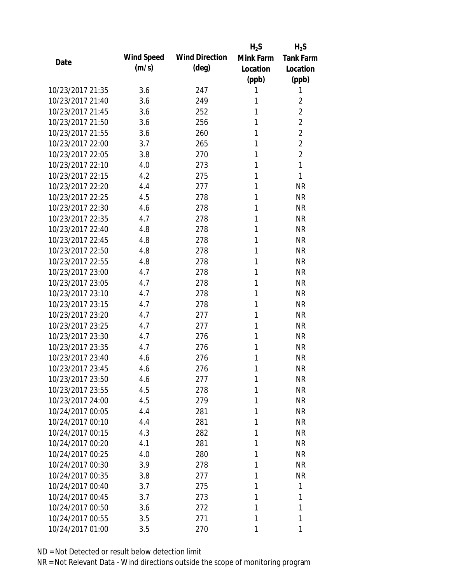|                  |                   |                       | $H_2S$    | $H_2S$           |
|------------------|-------------------|-----------------------|-----------|------------------|
| Date             | <b>Wind Speed</b> | <b>Wind Direction</b> | Mink Farm | <b>Tank Farm</b> |
|                  | (m/s)             | $(\text{deg})$        | Location  | Location         |
|                  |                   |                       | (ppb)     | (ppb)            |
| 10/23/2017 21:35 | 3.6               | 247                   | 1         | 1                |
| 10/23/2017 21:40 | 3.6               | 249                   | 1         | $\overline{2}$   |
| 10/23/2017 21:45 | 3.6               | 252                   | 1         | $\overline{2}$   |
| 10/23/2017 21:50 | 3.6               | 256                   | 1         | $\overline{2}$   |
| 10/23/2017 21:55 | 3.6               | 260                   | 1         | $\overline{2}$   |
| 10/23/2017 22:00 | 3.7               | 265                   | 1         | $\overline{2}$   |
| 10/23/2017 22:05 | 3.8               | 270                   | 1         | $\overline{2}$   |
| 10/23/2017 22:10 | 4.0               | 273                   | 1         | 1                |
| 10/23/2017 22:15 | 4.2               | 275                   | 1         | 1                |
| 10/23/2017 22:20 | 4.4               | 277                   | 1         | <b>NR</b>        |
| 10/23/2017 22:25 | 4.5               | 278                   | 1         | <b>NR</b>        |
| 10/23/2017 22:30 | 4.6               | 278                   | 1         | <b>NR</b>        |
| 10/23/2017 22:35 | 4.7               | 278                   | 1         | <b>NR</b>        |
| 10/23/2017 22:40 | 4.8               | 278                   | 1         | <b>NR</b>        |
| 10/23/2017 22:45 | 4.8               | 278                   | 1         | <b>NR</b>        |
| 10/23/2017 22:50 | 4.8               | 278                   | 1         | <b>NR</b>        |
| 10/23/2017 22:55 | 4.8               | 278                   | 1         | <b>NR</b>        |
| 10/23/2017 23:00 | 4.7               | 278                   | 1         | <b>NR</b>        |
| 10/23/2017 23:05 | 4.7               | 278                   | 1         | <b>NR</b>        |
| 10/23/2017 23:10 | 4.7               | 278                   | 1         | <b>NR</b>        |
| 10/23/2017 23:15 | 4.7               | 278                   | 1         | <b>NR</b>        |
| 10/23/2017 23:20 | 4.7               | 277                   | 1         | <b>NR</b>        |
| 10/23/2017 23:25 | 4.7               | 277                   | 1         | <b>NR</b>        |
| 10/23/2017 23:30 | 4.7               | 276                   | 1         | <b>NR</b>        |
| 10/23/2017 23:35 | 4.7               | 276                   | 1         | <b>NR</b>        |
| 10/23/2017 23:40 | 4.6               | 276                   | 1         | <b>NR</b>        |
| 10/23/2017 23:45 | 4.6               | 276                   | 1         | <b>NR</b>        |
| 10/23/2017 23:50 | 4.6               | 277                   | 1         | <b>NR</b>        |
| 10/23/2017 23:55 | 4.5               | 278                   | 1         | <b>NR</b>        |
| 10/23/2017 24:00 | 4.5               | 279                   | 1         | <b>NR</b>        |
| 10/24/2017 00:05 | 4.4               | 281                   | 1         | <b>NR</b>        |
| 10/24/2017 00:10 | 4.4               | 281                   | 1         | <b>NR</b>        |
| 10/24/2017 00:15 | 4.3               | 282                   | 1         | <b>NR</b>        |
| 10/24/2017 00:20 | 4.1               | 281                   | 1         | <b>NR</b>        |
| 10/24/2017 00:25 | 4.0               | 280                   | 1         | <b>NR</b>        |
| 10/24/2017 00:30 | 3.9               | 278                   | 1         | <b>NR</b>        |
| 10/24/2017 00:35 | 3.8               | 277                   | 1         | <b>NR</b>        |
| 10/24/2017 00:40 | 3.7               | 275                   | 1         | 1                |
| 10/24/2017 00:45 | 3.7               | 273                   | 1         | 1                |
| 10/24/2017 00:50 | 3.6               | 272                   | 1         | 1                |
| 10/24/2017 00:55 | 3.5               | 271                   | 1         | 1                |
| 10/24/2017 01:00 | 3.5               | 270                   | 1         | 1                |
|                  |                   |                       |           |                  |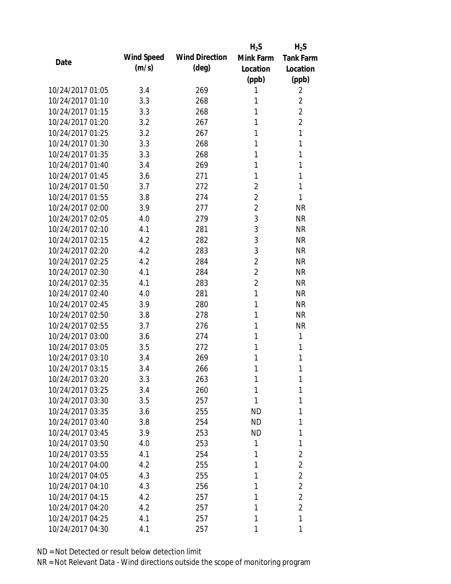|                  |                   |                       | $H_2S$         | $H_2S$           |
|------------------|-------------------|-----------------------|----------------|------------------|
| Date             | <b>Wind Speed</b> | <b>Wind Direction</b> | Mink Farm      | <b>Tank Farm</b> |
|                  | (m/s)             | $(\text{deg})$        | Location       | Location         |
|                  |                   |                       | (ppb)          | (ppb)            |
| 10/24/2017 01:05 | 3.4               | 269                   | 1              | 2                |
| 10/24/2017 01:10 | 3.3               | 268                   | 1              | 2                |
| 10/24/2017 01:15 | 3.3               | 268                   | 1              | $\overline{2}$   |
| 10/24/2017 01:20 | 3.2               | 267                   | 1              | $\overline{2}$   |
| 10/24/2017 01:25 | 3.2               | 267                   | 1              | 1                |
| 10/24/2017 01:30 | 3.3               | 268                   | 1              | 1                |
| 10/24/2017 01:35 | 3.3               | 268                   | 1              | 1                |
| 10/24/2017 01:40 | 3.4               | 269                   | 1              | 1                |
| 10/24/2017 01:45 | 3.6               | 271                   | 1              | 1                |
| 10/24/2017 01:50 | 3.7               | 272                   | $\overline{2}$ | 1                |
| 10/24/2017 01:55 | 3.8               | 274                   | $\overline{2}$ | 1                |
| 10/24/2017 02:00 | 3.9               | 277                   | $\overline{2}$ | <b>NR</b>        |
| 10/24/2017 02:05 | 4.0               | 279                   | 3              | <b>NR</b>        |
| 10/24/2017 02:10 | 4.1               | 281                   | 3              | <b>NR</b>        |
| 10/24/2017 02:15 | 4.2               | 282                   | 3              | <b>NR</b>        |
| 10/24/2017 02:20 | 4.2               | 283                   | 3              | <b>NR</b>        |
| 10/24/2017 02:25 | 4.2               | 284                   | $\overline{2}$ | <b>NR</b>        |
| 10/24/2017 02:30 | 4.1               | 284                   | $\overline{2}$ | <b>NR</b>        |
| 10/24/2017 02:35 | 4.1               | 283                   | $\overline{2}$ | <b>NR</b>        |
| 10/24/2017 02:40 | 4.0               | 281                   | 1              | <b>NR</b>        |
| 10/24/2017 02:45 | 3.9               | 280                   | 1              | <b>NR</b>        |
| 10/24/2017 02:50 | 3.8               | 278                   | 1              | <b>NR</b>        |
| 10/24/2017 02:55 | 3.7               | 276                   | 1              | <b>NR</b>        |
| 10/24/2017 03:00 | 3.6               | 274                   | 1              | 1                |
| 10/24/2017 03:05 | 3.5               | 272                   | 1              | 1                |
| 10/24/2017 03:10 | 3.4               | 269                   | 1              | 1                |
| 10/24/2017 03:15 | 3.4               | 266                   | 1              | 1                |
| 10/24/2017 03:20 | 3.3               | 263                   | 1              | 1                |
| 10/24/2017 03:25 | 3.4               | 260                   | 1              | 1                |
| 10/24/2017 03:30 | 3.5               | 257                   | 1              | 1                |
| 10/24/2017 03:35 | 3.6               | 255                   | <b>ND</b>      | 1                |
| 10/24/2017 03:40 | 3.8               | 254                   | <b>ND</b>      | 1                |
| 10/24/2017 03:45 | 3.9               | 253                   | ND             | 1                |
| 10/24/2017 03:50 | 4.0               | 253                   | 1              | 1                |
| 10/24/2017 03:55 | 4.1               | 254                   | 1              | $\overline{2}$   |
| 10/24/2017 04:00 | 4.2               | 255                   | 1              | $\overline{2}$   |
| 10/24/2017 04:05 | 4.3               | 255                   | 1              | $\overline{2}$   |
| 10/24/2017 04:10 | 4.3               | 256                   | 1              | $\overline{2}$   |
| 10/24/2017 04:15 | 4.2               | 257                   | 1              | $\overline{2}$   |
| 10/24/2017 04:20 | 4.2               | 257                   | 1              | $\overline{2}$   |
| 10/24/2017 04:25 | 4.1               | 257                   | 1              | 1                |
| 10/24/2017 04:30 | 4.1               | 257                   | 1              | 1                |
|                  |                   |                       |                |                  |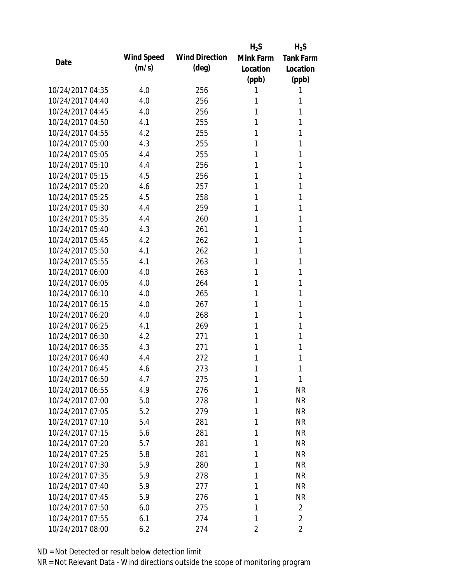|                  |                   |                       | $H_2S$    | $H_2S$           |
|------------------|-------------------|-----------------------|-----------|------------------|
| Date             | <b>Wind Speed</b> | <b>Wind Direction</b> | Mink Farm | <b>Tank Farm</b> |
|                  | (m/s)             | (deg)                 | Location  | Location         |
|                  |                   |                       | (ppb)     | (ppb)            |
| 10/24/2017 04:35 | 4.0               | 256                   | 1         | 1                |
| 10/24/2017 04:40 | 4.0               | 256                   | 1         | 1                |
| 10/24/2017 04:45 | 4.0               | 256                   | 1         | 1                |
| 10/24/2017 04:50 | 4.1               | 255                   | 1         | 1                |
| 10/24/2017 04:55 | 4.2               | 255                   | 1         | 1                |
| 10/24/2017 05:00 | 4.3               | 255                   | 1         | 1                |
| 10/24/2017 05:05 | 4.4               | 255                   | 1         | 1                |
| 10/24/2017 05:10 | 4.4               | 256                   | 1         | 1                |
| 10/24/2017 05:15 | 4.5               | 256                   | 1         | 1                |
| 10/24/2017 05:20 | 4.6               | 257                   | 1         | 1                |
| 10/24/2017 05:25 | 4.5               | 258                   | 1         | 1                |
| 10/24/2017 05:30 | 4.4               | 259                   | 1         | 1                |
| 10/24/2017 05:35 | 4.4               | 260                   | 1         | 1                |
| 10/24/2017 05:40 | 4.3               | 261                   | 1         | 1                |
| 10/24/2017 05:45 | 4.2               | 262                   | 1         | 1                |
| 10/24/2017 05:50 | 4.1               | 262                   | 1         | 1                |
| 10/24/2017 05:55 | 4.1               | 263                   | 1         | 1                |
| 10/24/2017 06:00 | 4.0               | 263                   | 1         | 1                |
| 10/24/2017 06:05 | 4.0               | 264                   | 1         | 1                |
| 10/24/2017 06:10 | 4.0               | 265                   | 1         | 1                |
| 10/24/2017 06:15 | 4.0               | 267                   | 1         | 1                |
| 10/24/2017 06:20 | 4.0               | 268                   | 1         | 1                |
| 10/24/2017 06:25 | 4.1               | 269                   | 1         | 1                |
| 10/24/2017 06:30 | 4.2               | 271                   | 1         | 1                |
| 10/24/2017 06:35 | 4.3               | 271                   | 1         | 1                |
| 10/24/2017 06:40 | 4.4               | 272                   | 1         | 1                |
| 10/24/2017 06:45 | 4.6               | 273                   | 1         | 1                |
| 10/24/2017 06:50 | 4.7               | 275                   | 1         | 1                |
| 10/24/2017 06:55 | 4.9               | 276                   | 1         | <b>NR</b>        |
| 10/24/2017 07:00 | 5.0               | 278                   | 1         | <b>NR</b>        |
| 10/24/2017 07:05 | 5.2               | 279                   | 1         | <b>NR</b>        |
| 10/24/2017 07:10 | 5.4               | 281                   | 1         | <b>NR</b>        |
| 10/24/2017 07:15 | 5.6               | 281                   | 1         | <b>NR</b>        |
| 10/24/2017 07:20 | 5.7               | 281                   | 1         | <b>NR</b>        |
| 10/24/2017 07:25 | 5.8               | 281                   | 1         | <b>NR</b>        |
| 10/24/2017 07:30 | 5.9               | 280                   | 1         | <b>NR</b>        |
| 10/24/2017 07:35 | 5.9               | 278                   | 1         | <b>NR</b>        |
| 10/24/2017 07:40 | 5.9               | 277                   | 1         | <b>NR</b>        |
| 10/24/2017 07:45 | 5.9               | 276                   | 1         | <b>NR</b>        |
| 10/24/2017 07:50 | 6.0               | 275                   | 1         | $\overline{2}$   |
| 10/24/2017 07:55 | 6.1               | 274                   | 1         | $\overline{2}$   |
| 10/24/2017 08:00 | 6.2               | 274                   | 2         | 2                |
|                  |                   |                       |           |                  |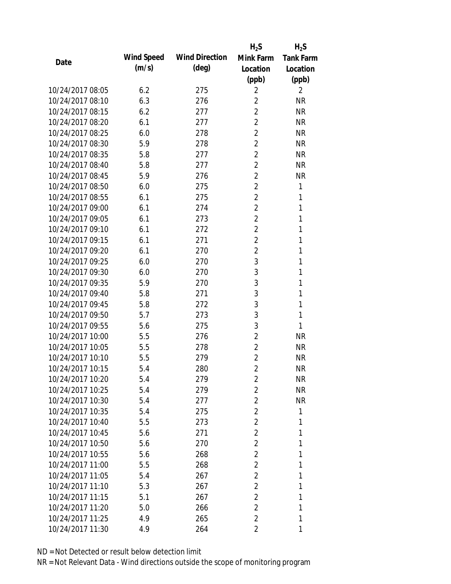|                  |            |                       | $H_2S$         | $H_2S$           |
|------------------|------------|-----------------------|----------------|------------------|
| Date             | Wind Speed | <b>Wind Direction</b> | Mink Farm      | <b>Tank Farm</b> |
|                  | (m/s)      | $(\text{deg})$        | Location       | Location         |
|                  |            |                       | (ppb)          | (ppb)            |
| 10/24/2017 08:05 | 6.2        | 275                   | 2              | $\overline{2}$   |
| 10/24/2017 08:10 | 6.3        | 276                   | $\overline{2}$ | <b>NR</b>        |
| 10/24/2017 08:15 | 6.2        | 277                   | $\overline{2}$ | <b>NR</b>        |
| 10/24/2017 08:20 | 6.1        | 277                   | $\overline{c}$ | <b>NR</b>        |
| 10/24/2017 08:25 | 6.0        | 278                   | $\overline{2}$ | <b>NR</b>        |
| 10/24/2017 08:30 | 5.9        | 278                   | $\overline{2}$ | <b>NR</b>        |
| 10/24/2017 08:35 | 5.8        | 277                   | $\overline{2}$ | <b>NR</b>        |
| 10/24/2017 08:40 | 5.8        | 277                   | $\overline{2}$ | <b>NR</b>        |
| 10/24/2017 08:45 | 5.9        | 276                   | $\overline{2}$ | <b>NR</b>        |
| 10/24/2017 08:50 | 6.0        | 275                   | $\overline{2}$ | $\mathbf{1}$     |
| 10/24/2017 08:55 | 6.1        | 275                   | $\overline{2}$ | 1                |
| 10/24/2017 09:00 | 6.1        | 274                   | $\overline{2}$ | 1                |
| 10/24/2017 09:05 | 6.1        | 273                   | $\overline{2}$ | 1                |
| 10/24/2017 09:10 | 6.1        | 272                   | $\overline{2}$ | 1                |
| 10/24/2017 09:15 | 6.1        | 271                   | $\overline{2}$ | 1                |
| 10/24/2017 09:20 | 6.1        | 270                   | $\overline{2}$ | 1                |
| 10/24/2017 09:25 | 6.0        | 270                   | 3              | 1                |
| 10/24/2017 09:30 | 6.0        | 270                   | 3              | 1                |
| 10/24/2017 09:35 | 5.9        | 270                   | 3              | 1                |
| 10/24/2017 09:40 | 5.8        | 271                   | 3              | 1                |
| 10/24/2017 09:45 | 5.8        | 272                   | 3              | 1                |
| 10/24/2017 09:50 | 5.7        | 273                   | 3              | 1                |
| 10/24/2017 09:55 | 5.6        | 275                   | 3              | 1                |
| 10/24/2017 10:00 | 5.5        | 276                   | $\overline{2}$ | <b>NR</b>        |
| 10/24/2017 10:05 | 5.5        | 278                   | $\overline{2}$ | <b>NR</b>        |
| 10/24/2017 10:10 | 5.5        | 279                   | $\overline{2}$ | <b>NR</b>        |
| 10/24/2017 10:15 | 5.4        | 280                   | $\overline{2}$ | <b>NR</b>        |
| 10/24/2017 10:20 | 5.4        | 279                   | $\overline{2}$ | NR               |
| 10/24/2017 10:25 | 5.4        | 279                   | $\overline{2}$ | <b>NR</b>        |
| 10/24/2017 10:30 | 5.4        | 277                   | 2              | <b>NR</b>        |
| 10/24/2017 10:35 | 5.4        | 275                   | $\overline{2}$ | 1                |
| 10/24/2017 10:40 | 5.5        | 273                   | $\overline{2}$ | 1                |
| 10/24/2017 10:45 | 5.6        | 271                   | $\overline{2}$ | 1                |
| 10/24/2017 10:50 | 5.6        | 270                   | $\overline{2}$ | 1                |
| 10/24/2017 10:55 | 5.6        | 268                   | $\overline{2}$ | 1                |
| 10/24/2017 11:00 | 5.5        | 268                   | 2              | 1                |
| 10/24/2017 11:05 | 5.4        | 267                   | $\overline{2}$ | 1                |
| 10/24/2017 11:10 | 5.3        | 267                   | 2              | 1                |
| 10/24/2017 11:15 | 5.1        | 267                   | $\overline{2}$ | 1                |
| 10/24/2017 11:20 | 5.0        | 266                   | $\overline{2}$ | 1                |
| 10/24/2017 11:25 | 4.9        | 265                   | $\overline{2}$ | 1                |
| 10/24/2017 11:30 | 4.9        | 264                   | $\overline{2}$ | 1                |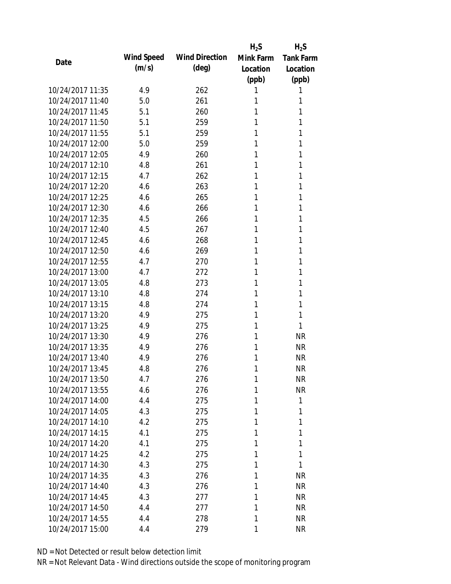|                  |                   |                       | $H_2S$    | $H_2S$           |
|------------------|-------------------|-----------------------|-----------|------------------|
| Date             | <b>Wind Speed</b> | <b>Wind Direction</b> | Mink Farm | <b>Tank Farm</b> |
|                  | (m/s)             | $(\text{deg})$        | Location  | Location         |
|                  |                   |                       | (ppb)     | (ppb)            |
| 10/24/2017 11:35 | 4.9               | 262                   | 1         | 1                |
| 10/24/2017 11:40 | 5.0               | 261                   | 1         | 1                |
| 10/24/2017 11:45 | 5.1               | 260                   | 1         | 1                |
| 10/24/2017 11:50 | 5.1               | 259                   | 1         | 1                |
| 10/24/2017 11:55 | 5.1               | 259                   | 1         | 1                |
| 10/24/2017 12:00 | 5.0               | 259                   | 1         | 1                |
| 10/24/2017 12:05 | 4.9               | 260                   | 1         | 1                |
| 10/24/2017 12:10 | 4.8               | 261                   | 1         | 1                |
| 10/24/2017 12:15 | 4.7               | 262                   | 1         | 1                |
| 10/24/2017 12:20 | 4.6               | 263                   | 1         | 1                |
| 10/24/2017 12:25 | 4.6               | 265                   | 1         | 1                |
| 10/24/2017 12:30 | 4.6               | 266                   | 1         | 1                |
| 10/24/2017 12:35 | 4.5               | 266                   | 1         | 1                |
| 10/24/2017 12:40 | 4.5               | 267                   | 1         | 1                |
| 10/24/2017 12:45 | 4.6               | 268                   | 1         | 1                |
| 10/24/2017 12:50 | 4.6               | 269                   | 1         | 1                |
| 10/24/2017 12:55 | 4.7               | 270                   | 1         | 1                |
| 10/24/2017 13:00 | 4.7               | 272                   | 1         | 1                |
| 10/24/2017 13:05 | 4.8               | 273                   | 1         | 1                |
| 10/24/2017 13:10 | 4.8               | 274                   | 1         | 1                |
| 10/24/2017 13:15 | 4.8               | 274                   | 1         | 1                |
| 10/24/2017 13:20 | 4.9               | 275                   | 1         | 1                |
| 10/24/2017 13:25 | 4.9               | 275                   | 1         | 1                |
| 10/24/2017 13:30 | 4.9               | 276                   | 1         | <b>NR</b>        |
| 10/24/2017 13:35 | 4.9               | 276                   | 1         | <b>NR</b>        |
| 10/24/2017 13:40 | 4.9               | 276                   | 1         | <b>NR</b>        |
| 10/24/2017 13:45 | 4.8               | 276                   | 1         | <b>NR</b>        |
| 10/24/2017 13:50 | 4.7               | 276                   | 1         | <b>NR</b>        |
| 10/24/2017 13:55 | 4.6               | 276                   | 1         | <b>NR</b>        |
| 10/24/2017 14:00 | 4.4               | 275                   | 1         | 1                |
| 10/24/2017 14:05 | 4.3               | 275                   | 1         | 1                |
| 10/24/2017 14:10 | 4.2               | 275                   | 1         | 1                |
| 10/24/2017 14:15 | 4.1               | 275                   | 1         | 1                |
| 10/24/2017 14:20 | 4.1               | 275                   | 1         | 1                |
| 10/24/2017 14:25 | 4.2               | 275                   | 1         | 1                |
| 10/24/2017 14:30 | 4.3               | 275                   | 1         | 1                |
| 10/24/2017 14:35 | 4.3               | 276                   | 1         | <b>NR</b>        |
| 10/24/2017 14:40 | 4.3               | 276                   | 1         | <b>NR</b>        |
| 10/24/2017 14:45 | 4.3               | 277                   | 1         | <b>NR</b>        |
| 10/24/2017 14:50 | 4.4               | 277                   | 1         | <b>NR</b>        |
| 10/24/2017 14:55 | 4.4               | 278                   | 1         | <b>NR</b>        |
| 10/24/2017 15:00 | 4.4               | 279                   | 1         | <b>NR</b>        |
|                  |                   |                       |           |                  |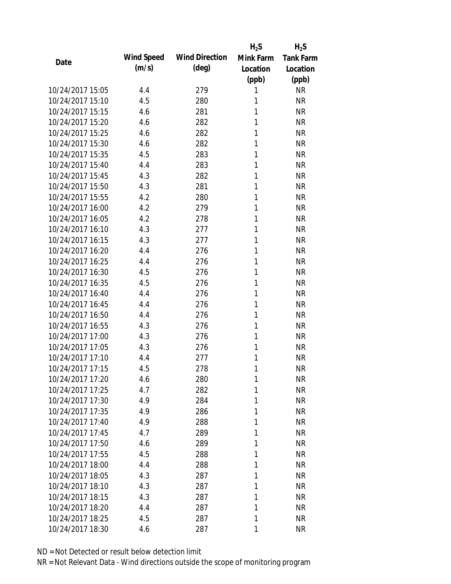|                  |                   |                       | $H_2S$    | $H_2S$           |
|------------------|-------------------|-----------------------|-----------|------------------|
| Date             | <b>Wind Speed</b> | <b>Wind Direction</b> | Mink Farm | <b>Tank Farm</b> |
|                  | (m/s)             | (deg)                 | Location  | Location         |
|                  |                   |                       | (ppb)     | (ppb)            |
| 10/24/2017 15:05 | 4.4               | 279                   | 1         | <b>NR</b>        |
| 10/24/2017 15:10 | 4.5               | 280                   | 1         | <b>NR</b>        |
| 10/24/2017 15:15 | 4.6               | 281                   | 1         | <b>NR</b>        |
| 10/24/2017 15:20 | 4.6               | 282                   | 1         | <b>NR</b>        |
| 10/24/2017 15:25 | 4.6               | 282                   | 1         | <b>NR</b>        |
| 10/24/2017 15:30 | 4.6               | 282                   | 1         | <b>NR</b>        |
| 10/24/2017 15:35 | 4.5               | 283                   | 1         | <b>NR</b>        |
| 10/24/2017 15:40 | 4.4               | 283                   | 1         | <b>NR</b>        |
| 10/24/2017 15:45 | 4.3               | 282                   | 1         | <b>NR</b>        |
| 10/24/2017 15:50 | 4.3               | 281                   | 1         | <b>NR</b>        |
| 10/24/2017 15:55 | 4.2               | 280                   | 1         | <b>NR</b>        |
| 10/24/2017 16:00 | 4.2               | 279                   | 1         | <b>NR</b>        |
| 10/24/2017 16:05 | 4.2               | 278                   | 1         | <b>NR</b>        |
| 10/24/2017 16:10 | 4.3               | 277                   | 1         | <b>NR</b>        |
| 10/24/2017 16:15 | 4.3               | 277                   | 1         | <b>NR</b>        |
| 10/24/2017 16:20 | 4.4               | 276                   | 1         | <b>NR</b>        |
| 10/24/2017 16:25 | 4.4               | 276                   | 1         | <b>NR</b>        |
| 10/24/2017 16:30 | 4.5               | 276                   | 1         | <b>NR</b>        |
| 10/24/2017 16:35 | 4.5               | 276                   | 1         | <b>NR</b>        |
| 10/24/2017 16:40 | 4.4               | 276                   | 1         | <b>NR</b>        |
| 10/24/2017 16:45 | 4.4               | 276                   | 1         | <b>NR</b>        |
| 10/24/2017 16:50 | 4.4               | 276                   | 1         | <b>NR</b>        |
| 10/24/2017 16:55 | 4.3               | 276                   | 1         | <b>NR</b>        |
| 10/24/2017 17:00 | 4.3               | 276                   | 1         | <b>NR</b>        |
| 10/24/2017 17:05 | 4.3               | 276                   | 1         | <b>NR</b>        |
| 10/24/2017 17:10 | 4.4               | 277                   | 1         | <b>NR</b>        |
| 10/24/2017 17:15 | 4.5               | 278                   | 1         | <b>NR</b>        |
| 10/24/2017 17:20 | 4.6               | 280                   | 1         | <b>NR</b>        |
| 10/24/2017 17:25 | 4.7               | 282                   | 1         | <b>NR</b>        |
| 10/24/2017 17:30 | 4.9               | 284                   | 1         | <b>NR</b>        |
| 10/24/2017 17:35 | 4.9               | 286                   | 1         | <b>NR</b>        |
| 10/24/2017 17:40 | 4.9               | 288                   | 1         | <b>NR</b>        |
| 10/24/2017 17:45 | 4.7               | 289                   | 1         | <b>NR</b>        |
| 10/24/2017 17:50 | 4.6               | 289                   | 1         | <b>NR</b>        |
| 10/24/2017 17:55 | 4.5               | 288                   | 1         | <b>NR</b>        |
| 10/24/2017 18:00 | 4.4               | 288                   | 1         | <b>NR</b>        |
| 10/24/2017 18:05 | 4.3               | 287                   | 1         | <b>NR</b>        |
| 10/24/2017 18:10 | 4.3               | 287                   | 1         | <b>NR</b>        |
| 10/24/2017 18:15 | 4.3               | 287                   | 1         | <b>NR</b>        |
| 10/24/2017 18:20 | 4.4               | 287                   | 1         | <b>NR</b>        |
| 10/24/2017 18:25 | 4.5               | 287                   | 1         | <b>NR</b>        |
| 10/24/2017 18:30 | 4.6               | 287                   | 1         | <b>NR</b>        |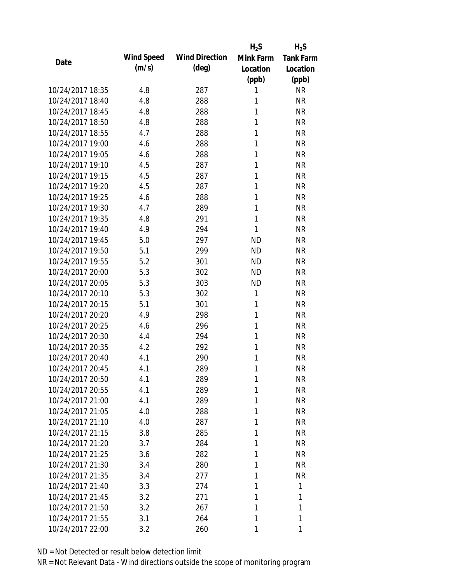|                  |                   |                       | $H_2S$    | $H_2S$           |
|------------------|-------------------|-----------------------|-----------|------------------|
| Date             | <b>Wind Speed</b> | <b>Wind Direction</b> | Mink Farm | <b>Tank Farm</b> |
|                  | (m/s)             | $(\text{deg})$        | Location  | Location         |
|                  |                   |                       | (ppb)     | (ppb)            |
| 10/24/2017 18:35 | 4.8               | 287                   | 1         | <b>NR</b>        |
| 10/24/2017 18:40 | 4.8               | 288                   | 1         | <b>NR</b>        |
| 10/24/2017 18:45 | 4.8               | 288                   | 1         | <b>NR</b>        |
| 10/24/2017 18:50 | 4.8               | 288                   | 1         | <b>NR</b>        |
| 10/24/2017 18:55 | 4.7               | 288                   | 1         | <b>NR</b>        |
| 10/24/2017 19:00 | 4.6               | 288                   | 1         | <b>NR</b>        |
| 10/24/2017 19:05 | 4.6               | 288                   | 1         | <b>NR</b>        |
| 10/24/2017 19:10 | 4.5               | 287                   | 1         | <b>NR</b>        |
| 10/24/2017 19:15 | 4.5               | 287                   | 1         | <b>NR</b>        |
| 10/24/2017 19:20 | 4.5               | 287                   | 1         | <b>NR</b>        |
| 10/24/2017 19:25 | 4.6               | 288                   | 1         | <b>NR</b>        |
| 10/24/2017 19:30 | 4.7               | 289                   | 1         | <b>NR</b>        |
| 10/24/2017 19:35 | 4.8               | 291                   | 1         | <b>NR</b>        |
| 10/24/2017 19:40 | 4.9               | 294                   | 1         | <b>NR</b>        |
| 10/24/2017 19:45 | 5.0               | 297                   | <b>ND</b> | <b>NR</b>        |
| 10/24/2017 19:50 | 5.1               | 299                   | <b>ND</b> | <b>NR</b>        |
| 10/24/2017 19:55 | 5.2               | 301                   | <b>ND</b> | <b>NR</b>        |
| 10/24/2017 20:00 | 5.3               | 302                   | <b>ND</b> | <b>NR</b>        |
| 10/24/2017 20:05 | 5.3               | 303                   | <b>ND</b> | <b>NR</b>        |
| 10/24/2017 20:10 | 5.3               | 302                   | 1         | <b>NR</b>        |
| 10/24/2017 20:15 | 5.1               | 301                   | 1         | <b>NR</b>        |
| 10/24/2017 20:20 | 4.9               | 298                   | 1         | <b>NR</b>        |
| 10/24/2017 20:25 | 4.6               | 296                   | 1         | <b>NR</b>        |
| 10/24/2017 20:30 | 4.4               | 294                   | 1         | <b>NR</b>        |
| 10/24/2017 20:35 | 4.2               | 292                   | 1         | <b>NR</b>        |
| 10/24/2017 20:40 | 4.1               | 290                   | 1         | <b>NR</b>        |
| 10/24/2017 20:45 | 4.1               | 289                   | 1         | <b>NR</b>        |
| 10/24/2017 20:50 | 4.1               | 289                   | 1         | <b>NR</b>        |
| 10/24/2017 20:55 | 4.1               | 289                   | 1         | <b>NR</b>        |
| 10/24/2017 21:00 | 4.1               | 289                   | 1         | <b>NR</b>        |
| 10/24/2017 21:05 | 4.0               | 288                   | 1         | <b>NR</b>        |
| 10/24/2017 21:10 | 4.0               | 287                   | 1         | <b>NR</b>        |
| 10/24/2017 21:15 | 3.8               | 285                   | 1         | <b>NR</b>        |
| 10/24/2017 21:20 | 3.7               | 284                   | 1         | <b>NR</b>        |
| 10/24/2017 21:25 | 3.6               | 282                   | 1         | <b>NR</b>        |
| 10/24/2017 21:30 | 3.4               | 280                   | 1         | <b>NR</b>        |
| 10/24/2017 21:35 | 3.4               | 277                   | 1         | <b>NR</b>        |
| 10/24/2017 21:40 | 3.3               | 274                   | 1         | 1                |
| 10/24/2017 21:45 | 3.2               | 271                   | 1         | 1                |
| 10/24/2017 21:50 | 3.2               | 267                   | 1         | 1                |
| 10/24/2017 21:55 | 3.1               | 264                   | 1         | 1                |
| 10/24/2017 22:00 | 3.2               | 260                   | 1         | 1                |
|                  |                   |                       |           |                  |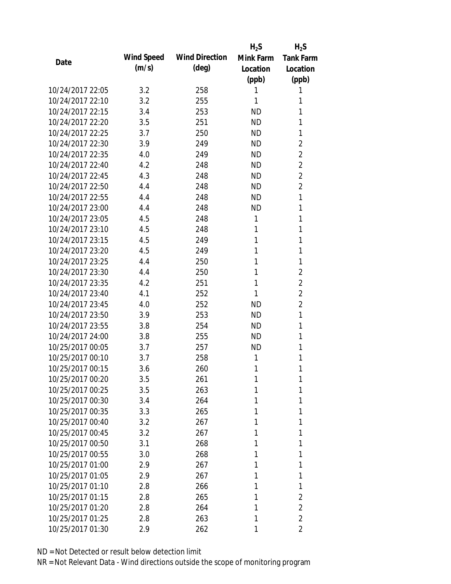|                  |                   |                       | $H_2S$    | $H_2S$           |
|------------------|-------------------|-----------------------|-----------|------------------|
| Date             | <b>Wind Speed</b> | <b>Wind Direction</b> | Mink Farm | <b>Tank Farm</b> |
|                  | (m/s)             | $(\text{deg})$        | Location  | Location         |
|                  |                   |                       | (ppb)     | (ppb)            |
| 10/24/2017 22:05 | 3.2               | 258                   | 1         | 1                |
| 10/24/2017 22:10 | 3.2               | 255                   | 1         | 1                |
| 10/24/2017 22:15 | 3.4               | 253                   | <b>ND</b> | 1                |
| 10/24/2017 22:20 | 3.5               | 251                   | <b>ND</b> | 1                |
| 10/24/2017 22:25 | 3.7               | 250                   | <b>ND</b> | 1                |
| 10/24/2017 22:30 | 3.9               | 249                   | <b>ND</b> | $\overline{2}$   |
| 10/24/2017 22:35 | 4.0               | 249                   | <b>ND</b> | $\overline{2}$   |
| 10/24/2017 22:40 | 4.2               | 248                   | <b>ND</b> | $\overline{2}$   |
| 10/24/2017 22:45 | 4.3               | 248                   | <b>ND</b> | $\overline{2}$   |
| 10/24/2017 22:50 | 4.4               | 248                   | <b>ND</b> | $\overline{2}$   |
| 10/24/2017 22:55 | 4.4               | 248                   | <b>ND</b> | 1                |
| 10/24/2017 23:00 | 4.4               | 248                   | <b>ND</b> | 1                |
| 10/24/2017 23:05 | 4.5               | 248                   | 1         | 1                |
| 10/24/2017 23:10 | 4.5               | 248                   | 1         | 1                |
| 10/24/2017 23:15 | 4.5               | 249                   | 1         | 1                |
| 10/24/2017 23:20 | 4.5               | 249                   | 1         | 1                |
| 10/24/2017 23:25 | 4.4               | 250                   | 1         | 1                |
| 10/24/2017 23:30 | 4.4               | 250                   | 1         | $\overline{2}$   |
| 10/24/2017 23:35 | 4.2               | 251                   | 1         | $\overline{2}$   |
| 10/24/2017 23:40 | 4.1               | 252                   | 1         | $\overline{2}$   |
| 10/24/2017 23:45 | 4.0               | 252                   | <b>ND</b> | $\overline{2}$   |
| 10/24/2017 23:50 | 3.9               | 253                   | <b>ND</b> | 1                |
| 10/24/2017 23:55 | 3.8               | 254                   | <b>ND</b> | 1                |
| 10/24/2017 24:00 | 3.8               | 255                   | <b>ND</b> | 1                |
| 10/25/2017 00:05 | 3.7               | 257                   | ND        | 1                |
| 10/25/2017 00:10 | 3.7               | 258                   | 1         | 1                |
| 10/25/2017 00:15 | 3.6               | 260                   | 1         | 1                |
| 10/25/2017 00:20 | 3.5               | 261                   | 1         | 1                |
| 10/25/2017 00:25 | 3.5               | 263                   | 1         | 1                |
| 10/25/2017 00:30 | 3.4               | 264                   | 1         | 1                |
| 10/25/2017 00:35 | 3.3               | 265                   | 1         | 1                |
| 10/25/2017 00:40 | 3.2               | 267                   | 1         | 1                |
| 10/25/2017 00:45 | 3.2               | 267                   | 1         | 1                |
| 10/25/2017 00:50 | 3.1               | 268                   | 1         | 1                |
| 10/25/2017 00:55 | 3.0               | 268                   | 1         | 1                |
| 10/25/2017 01:00 | 2.9               | 267                   | 1         | 1                |
| 10/25/2017 01:05 | 2.9               | 267                   | 1         | 1                |
| 10/25/2017 01:10 | 2.8               | 266                   | 1         | 1                |
| 10/25/2017 01:15 | 2.8               | 265                   | 1         | 2                |
| 10/25/2017 01:20 | 2.8               | 264                   | 1         | $\overline{2}$   |
| 10/25/2017 01:25 | 2.8               | 263                   | 1         | $\overline{2}$   |
| 10/25/2017 01:30 | 2.9               | 262                   | 1         | 2                |
|                  |                   |                       |           |                  |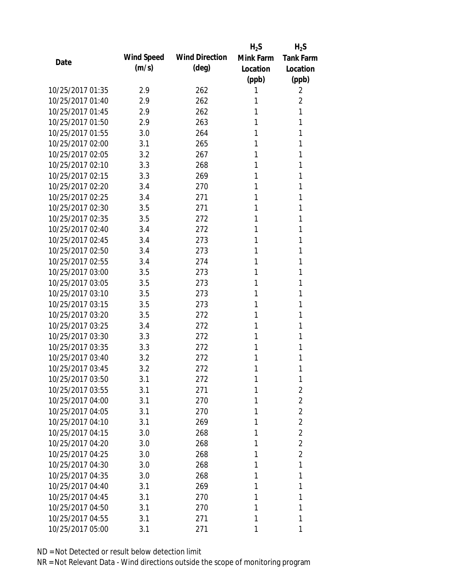|                  |                   |                       | $H_2S$    | $H_2S$           |
|------------------|-------------------|-----------------------|-----------|------------------|
| Date             | <b>Wind Speed</b> | <b>Wind Direction</b> | Mink Farm | <b>Tank Farm</b> |
|                  | (m/s)             | $(\text{deg})$        | Location  | Location         |
|                  |                   |                       | (ppb)     | (ppb)            |
| 10/25/2017 01:35 | 2.9               | 262                   |           | 2                |
| 10/25/2017 01:40 | 2.9               | 262                   | 1         | $\overline{2}$   |
| 10/25/2017 01:45 | 2.9               | 262                   |           | 1                |
| 10/25/2017 01:50 | 2.9               | 263                   | 1         | 1                |
| 10/25/2017 01:55 | 3.0               | 264                   | 1         | 1                |
| 10/25/2017 02:00 | 3.1               | 265                   | 1         | 1                |
| 10/25/2017 02:05 | 3.2               | 267                   | 1         | 1                |
| 10/25/2017 02:10 | 3.3               | 268                   | 1         | 1                |
| 10/25/2017 02:15 | 3.3               | 269                   | 1         | 1                |
| 10/25/2017 02:20 | 3.4               | 270                   | 1         | 1                |
| 10/25/2017 02:25 | 3.4               | 271                   | 1         | 1                |
| 10/25/2017 02:30 | 3.5               | 271                   | 1         | 1                |
| 10/25/2017 02:35 | 3.5               | 272                   | 1         | 1                |
| 10/25/2017 02:40 | 3.4               | 272                   | 1         | 1                |
| 10/25/2017 02:45 | 3.4               | 273                   | 1         | 1                |
| 10/25/2017 02:50 | 3.4               | 273                   | 1         | 1                |
| 10/25/2017 02:55 | 3.4               | 274                   | 1         | 1                |
| 10/25/2017 03:00 | 3.5               | 273                   | 1         | 1                |
| 10/25/2017 03:05 | 3.5               | 273                   | 1         | 1                |
| 10/25/2017 03:10 | 3.5               | 273                   | 1         | 1                |
| 10/25/2017 03:15 | 3.5               | 273                   | 1         | 1                |
| 10/25/2017 03:20 | 3.5               | 272                   | 1         | 1                |
| 10/25/2017 03:25 | 3.4               | 272                   | 1         | 1                |
| 10/25/2017 03:30 | 3.3               | 272                   | 1         | 1                |
| 10/25/2017 03:35 | 3.3               | 272                   | 1         | 1                |
| 10/25/2017 03:40 | 3.2               | 272                   | 1         | 1                |
| 10/25/2017 03:45 | 3.2               | 272                   | 1         | 1                |
| 10/25/2017 03:50 | 3.1               | 272                   | 1         | 1                |
| 10/25/2017 03:55 | 3.1               | 271                   | 1         | $\overline{2}$   |
| 10/25/2017 04:00 | 3.1               | 270                   | 1         | $\overline{2}$   |
| 10/25/2017 04:05 | 3.1               | 270                   | 1         | $\overline{2}$   |
| 10/25/2017 04:10 | 3.1               | 269                   | 1         | $\overline{2}$   |
| 10/25/2017 04:15 | 3.0               | 268                   | 1         | $\overline{2}$   |
| 10/25/2017 04:20 | 3.0               | 268                   | 1         | $\overline{2}$   |
| 10/25/2017 04:25 | 3.0               | 268                   | 1         | $\overline{2}$   |
| 10/25/2017 04:30 | 3.0               | 268                   | 1         | 1                |
| 10/25/2017 04:35 | 3.0               | 268                   | 1         | 1                |
| 10/25/2017 04:40 | 3.1               | 269                   | 1         | 1                |
| 10/25/2017 04:45 | 3.1               | 270                   | 1         | 1                |
| 10/25/2017 04:50 | 3.1               | 270                   | 1         | 1                |
| 10/25/2017 04:55 | 3.1               | 271                   | 1         | 1                |
| 10/25/2017 05:00 | 3.1               | 271                   | 1         | 1                |
|                  |                   |                       |           |                  |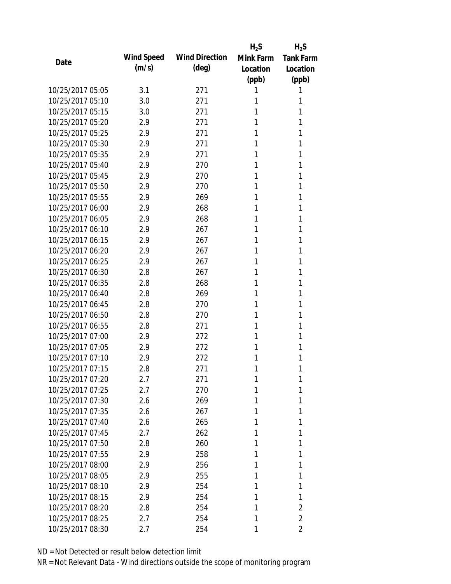|                  |                   |                       | $H_2S$    | $H_2S$           |
|------------------|-------------------|-----------------------|-----------|------------------|
| Date             | <b>Wind Speed</b> | <b>Wind Direction</b> | Mink Farm | <b>Tank Farm</b> |
|                  | (m/s)             | $(\text{deg})$        | Location  | Location         |
|                  |                   |                       | (ppb)     | (ppb)            |
| 10/25/2017 05:05 | 3.1               | 271                   |           | 1                |
| 10/25/2017 05:10 | 3.0               | 271                   | 1         | 1                |
| 10/25/2017 05:15 | 3.0               | 271                   | 1         | 1                |
| 10/25/2017 05:20 | 2.9               | 271                   | 1         | 1                |
| 10/25/2017 05:25 | 2.9               | 271                   | 1         | 1                |
| 10/25/2017 05:30 | 2.9               | 271                   | 1         | 1                |
| 10/25/2017 05:35 | 2.9               | 271                   | 1         | 1                |
| 10/25/2017 05:40 | 2.9               | 270                   | 1         | 1                |
| 10/25/2017 05:45 | 2.9               | 270                   | 1         | 1                |
| 10/25/2017 05:50 | 2.9               | 270                   | 1         | 1                |
| 10/25/2017 05:55 | 2.9               | 269                   | 1         | 1                |
| 10/25/2017 06:00 | 2.9               | 268                   | 1         | 1                |
| 10/25/2017 06:05 | 2.9               | 268                   | 1         | 1                |
| 10/25/2017 06:10 | 2.9               | 267                   | 1         | 1                |
| 10/25/2017 06:15 | 2.9               | 267                   | 1         | 1                |
| 10/25/2017 06:20 | 2.9               | 267                   | 1         | 1                |
| 10/25/2017 06:25 | 2.9               | 267                   | 1         | 1                |
| 10/25/2017 06:30 | 2.8               | 267                   | 1         | 1                |
| 10/25/2017 06:35 | 2.8               | 268                   | 1         | 1                |
| 10/25/2017 06:40 | 2.8               | 269                   | 1         | 1                |
| 10/25/2017 06:45 | 2.8               | 270                   | 1         | 1                |
| 10/25/2017 06:50 | 2.8               | 270                   | 1         | 1                |
| 10/25/2017 06:55 | 2.8               | 271                   | 1         | 1                |
| 10/25/2017 07:00 | 2.9               | 272                   | 1         | 1                |
| 10/25/2017 07:05 | 2.9               | 272                   | 1         | 1                |
| 10/25/2017 07:10 | 2.9               | 272                   | 1         | 1                |
| 10/25/2017 07:15 | 2.8               | 271                   | 1         | 1                |
| 10/25/2017 07:20 | 2.7               | 271                   | 1         | 1                |
| 10/25/2017 07:25 | 2.7               | 270                   | 1         | 1                |
| 10/25/2017 07:30 | 2.6               | 269                   | 1         | 1                |
| 10/25/2017 07:35 | 2.6               | 267                   | 1         | 1                |
| 10/25/2017 07:40 | 2.6               | 265                   | 1         | 1                |
| 10/25/2017 07:45 | 2.7               | 262                   | 1         | 1                |
| 10/25/2017 07:50 | 2.8               | 260                   | 1         | 1                |
| 10/25/2017 07:55 | 2.9               | 258                   | 1         | 1                |
| 10/25/2017 08:00 | 2.9               | 256                   | 1         | 1                |
| 10/25/2017 08:05 | 2.9               | 255                   | 1         | 1                |
| 10/25/2017 08:10 | 2.9               | 254                   | 1         | 1                |
| 10/25/2017 08:15 | 2.9               | 254                   | 1         | 1                |
| 10/25/2017 08:20 | 2.8               | 254                   | 1         | 2                |
| 10/25/2017 08:25 | 2.7               | 254                   | 1         | $\overline{2}$   |
| 10/25/2017 08:30 | 2.7               | 254                   | 1         | $\overline{2}$   |
|                  |                   |                       |           |                  |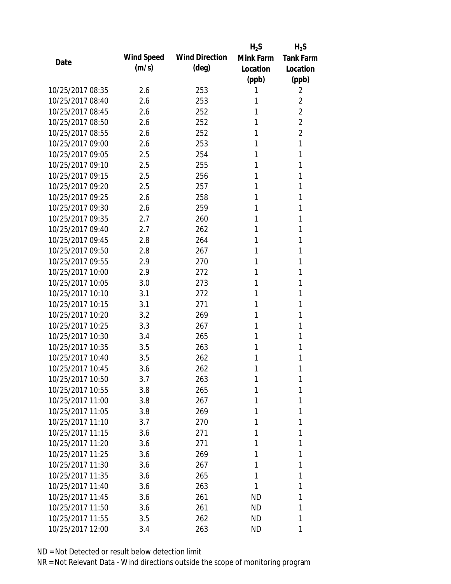|                  |                   |                       | $H_2S$    | $H_2S$           |
|------------------|-------------------|-----------------------|-----------|------------------|
| Date             | <b>Wind Speed</b> | <b>Wind Direction</b> | Mink Farm | <b>Tank Farm</b> |
|                  | (m/s)             | $(\text{deg})$        | Location  | Location         |
|                  |                   |                       | (ppb)     | (ppb)            |
| 10/25/2017 08:35 | 2.6               | 253                   | 1         | 2                |
| 10/25/2017 08:40 | 2.6               | 253                   | 1         | $\overline{2}$   |
| 10/25/2017 08:45 | 2.6               | 252                   | 1         | $\overline{2}$   |
| 10/25/2017 08:50 | 2.6               | 252                   | 1         | $\overline{2}$   |
| 10/25/2017 08:55 | 2.6               | 252                   | 1         | $\overline{2}$   |
| 10/25/2017 09:00 | 2.6               | 253                   | 1         | 1                |
| 10/25/2017 09:05 | 2.5               | 254                   | 1         | 1                |
| 10/25/2017 09:10 | 2.5               | 255                   | 1         | 1                |
| 10/25/2017 09:15 | 2.5               | 256                   | 1         | 1                |
| 10/25/2017 09:20 | 2.5               | 257                   | 1         | 1                |
| 10/25/2017 09:25 | 2.6               | 258                   | 1         | 1                |
| 10/25/2017 09:30 | 2.6               | 259                   | 1         | 1                |
| 10/25/2017 09:35 | 2.7               | 260                   | 1         | 1                |
| 10/25/2017 09:40 | 2.7               | 262                   | 1         | 1                |
| 10/25/2017 09:45 | 2.8               | 264                   | 1         | 1                |
| 10/25/2017 09:50 | 2.8               | 267                   | 1         | 1                |
| 10/25/2017 09:55 | 2.9               | 270                   | 1         | 1                |
| 10/25/2017 10:00 | 2.9               | 272                   | 1         | 1                |
| 10/25/2017 10:05 | 3.0               | 273                   | 1         | 1                |
| 10/25/2017 10:10 | 3.1               | 272                   | 1         | 1                |
| 10/25/2017 10:15 | 3.1               | 271                   | 1         | 1                |
| 10/25/2017 10:20 | 3.2               | 269                   | 1         | 1                |
| 10/25/2017 10:25 | 3.3               | 267                   | 1         | 1                |
| 10/25/2017 10:30 | 3.4               | 265                   | 1         | 1                |
| 10/25/2017 10:35 | 3.5               | 263                   | 1         | 1                |
| 10/25/2017 10:40 | 3.5               | 262                   | 1         | 1                |
| 10/25/2017 10:45 | 3.6               | 262                   | 1         | 1                |
| 10/25/2017 10:50 | 3.7               | 263                   | 1         | 1                |
| 10/25/2017 10:55 | 3.8               | 265                   |           | 1                |
| 10/25/2017 11:00 | 3.8               | 267                   | 1         | 1                |
| 10/25/2017 11:05 | 3.8               | 269                   | 1         | 1                |
| 10/25/2017 11:10 | 3.7               | 270                   | 1         | 1                |
| 10/25/2017 11:15 | 3.6               | 271                   | 1         | 1                |
| 10/25/2017 11:20 | 3.6               | 271                   |           | 1                |
| 10/25/2017 11:25 | 3.6               | 269                   | 1         | 1                |
| 10/25/2017 11:30 | 3.6               | 267                   | 1         | 1                |
| 10/25/2017 11:35 | 3.6               | 265                   | 1         | 1                |
| 10/25/2017 11:40 |                   |                       |           |                  |
| 10/25/2017 11:45 | 3.6               | 263                   | 1         | 1<br>1           |
| 10/25/2017 11:50 | 3.6               | 261                   | ND        |                  |
|                  | 3.6               | 261                   | ND        | 1                |
| 10/25/2017 11:55 | 3.5               | 262                   | <b>ND</b> | 1                |
| 10/25/2017 12:00 | 3.4               | 263                   | ND        | 1                |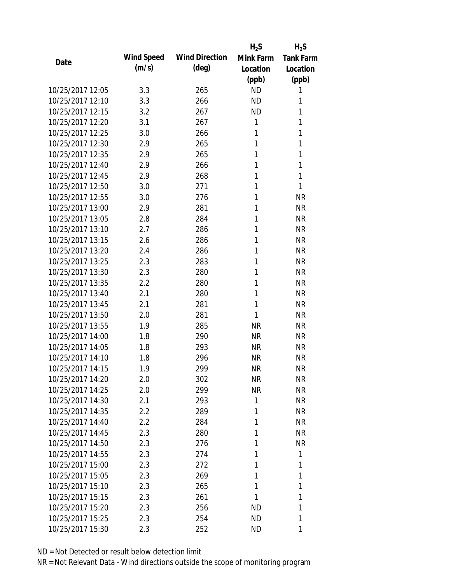|                  |                   |                       | $H_2S$    | $H_2S$           |
|------------------|-------------------|-----------------------|-----------|------------------|
| Date             | <b>Wind Speed</b> | <b>Wind Direction</b> | Mink Farm | <b>Tank Farm</b> |
|                  | (m/s)             | $(\text{deg})$        | Location  | Location         |
|                  |                   |                       | (ppb)     | (ppb)            |
| 10/25/2017 12:05 | 3.3               | 265                   | <b>ND</b> | 1                |
| 10/25/2017 12:10 | 3.3               | 266                   | <b>ND</b> | 1                |
| 10/25/2017 12:15 | 3.2               | 267                   | <b>ND</b> | 1                |
| 10/25/2017 12:20 | 3.1               | 267                   | 1         | 1                |
| 10/25/2017 12:25 | 3.0               | 266                   | 1         | 1                |
| 10/25/2017 12:30 | 2.9               | 265                   | 1         | 1                |
| 10/25/2017 12:35 | 2.9               | 265                   | 1         | 1                |
| 10/25/2017 12:40 | 2.9               | 266                   | 1         | 1                |
| 10/25/2017 12:45 | 2.9               | 268                   | 1         | 1                |
| 10/25/2017 12:50 | 3.0               | 271                   | 1         | 1                |
| 10/25/2017 12:55 | 3.0               | 276                   | 1         | <b>NR</b>        |
| 10/25/2017 13:00 | 2.9               | 281                   | 1         | <b>NR</b>        |
| 10/25/2017 13:05 | 2.8               | 284                   | 1         | <b>NR</b>        |
| 10/25/2017 13:10 | 2.7               | 286                   | 1         | <b>NR</b>        |
| 10/25/2017 13:15 | 2.6               | 286                   | 1         | <b>NR</b>        |
| 10/25/2017 13:20 | 2.4               | 286                   | 1         | <b>NR</b>        |
| 10/25/2017 13:25 | 2.3               | 283                   | 1         | <b>NR</b>        |
| 10/25/2017 13:30 | 2.3               | 280                   | 1         | <b>NR</b>        |
| 10/25/2017 13:35 | 2.2               | 280                   | 1         | <b>NR</b>        |
| 10/25/2017 13:40 | 2.1               | 280                   | 1         | <b>NR</b>        |
| 10/25/2017 13:45 | 2.1               | 281                   | 1         | <b>NR</b>        |
| 10/25/2017 13:50 | 2.0               | 281                   | 1         | <b>NR</b>        |
| 10/25/2017 13:55 | 1.9               | 285                   | <b>NR</b> | <b>NR</b>        |
| 10/25/2017 14:00 | 1.8               | 290                   | <b>NR</b> | <b>NR</b>        |
| 10/25/2017 14:05 | 1.8               | 293                   | <b>NR</b> | <b>NR</b>        |
| 10/25/2017 14:10 | 1.8               | 296                   | <b>NR</b> | <b>NR</b>        |
| 10/25/2017 14:15 | 1.9               | 299                   | <b>NR</b> | <b>NR</b>        |
| 10/25/2017 14:20 | 2.0               | 302                   | NR        | <b>NR</b>        |
| 10/25/2017 14:25 | 2.0               | 299                   | <b>NR</b> | <b>NR</b>        |
| 10/25/2017 14:30 | 2.1               | 293                   | 1         | <b>NR</b>        |
| 10/25/2017 14:35 | 2.2               | 289                   | 1         | <b>NR</b>        |
| 10/25/2017 14:40 | 2.2               | 284                   | 1         | <b>NR</b>        |
| 10/25/2017 14:45 | 2.3               | 280                   | 1         | <b>NR</b>        |
| 10/25/2017 14:50 | 2.3               | 276                   | 1         | <b>NR</b>        |
| 10/25/2017 14:55 | 2.3               | 274                   | 1         | 1                |
| 10/25/2017 15:00 | 2.3               | 272                   | 1         | 1                |
| 10/25/2017 15:05 | 2.3               | 269                   | 1         | 1                |
| 10/25/2017 15:10 | 2.3               | 265                   | 1         | 1                |
| 10/25/2017 15:15 | 2.3               | 261                   | 1         | 1                |
| 10/25/2017 15:20 | 2.3               | 256                   | ND        | 1                |
| 10/25/2017 15:25 | 2.3               | 254                   | <b>ND</b> | 1                |
| 10/25/2017 15:30 | 2.3               | 252                   | ND        | 1                |
|                  |                   |                       |           |                  |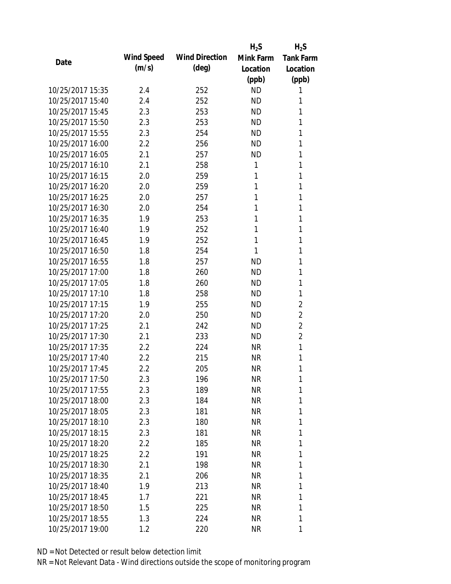|                  |            |                       | $H_2S$    | $H_2S$           |
|------------------|------------|-----------------------|-----------|------------------|
| Date             | Wind Speed | <b>Wind Direction</b> | Mink Farm | <b>Tank Farm</b> |
|                  | (m/s)      | $(\text{deg})$        | Location  | Location         |
|                  |            |                       | (ppb)     | (ppb)            |
| 10/25/2017 15:35 | 2.4        | 252                   | <b>ND</b> | 1                |
| 10/25/2017 15:40 | 2.4        | 252                   | <b>ND</b> | 1                |
| 10/25/2017 15:45 | 2.3        | 253                   | <b>ND</b> | 1                |
| 10/25/2017 15:50 | 2.3        | 253                   | <b>ND</b> | 1                |
| 10/25/2017 15:55 | 2.3        | 254                   | <b>ND</b> | 1                |
| 10/25/2017 16:00 | 2.2        | 256                   | ND        | 1                |
| 10/25/2017 16:05 | 2.1        | 257                   | <b>ND</b> | 1                |
| 10/25/2017 16:10 | 2.1        | 258                   | 1         | 1                |
| 10/25/2017 16:15 | 2.0        | 259                   | 1         | 1                |
| 10/25/2017 16:20 | 2.0        | 259                   | 1         | 1                |
| 10/25/2017 16:25 | 2.0        | 257                   | 1         | 1                |
| 10/25/2017 16:30 | 2.0        | 254                   | 1         | 1                |
| 10/25/2017 16:35 | 1.9        | 253                   | 1         | 1                |
| 10/25/2017 16:40 | 1.9        | 252                   | 1         | 1                |
| 10/25/2017 16:45 | 1.9        | 252                   | 1         | 1                |
| 10/25/2017 16:50 | 1.8        | 254                   | 1         | 1                |
| 10/25/2017 16:55 | 1.8        | 257                   | <b>ND</b> | 1                |
| 10/25/2017 17:00 | 1.8        | 260                   | <b>ND</b> | 1                |
| 10/25/2017 17:05 | 1.8        | 260                   | <b>ND</b> | 1                |
| 10/25/2017 17:10 | 1.8        | 258                   | <b>ND</b> | 1                |
| 10/25/2017 17:15 | 1.9        | 255                   | ND        | $\overline{2}$   |
| 10/25/2017 17:20 | 2.0        | 250                   | <b>ND</b> | $\overline{2}$   |
| 10/25/2017 17:25 | 2.1        | 242                   | ND        | $\overline{2}$   |
| 10/25/2017 17:30 | 2.1        | 233                   | <b>ND</b> | $\overline{2}$   |
| 10/25/2017 17:35 | 2.2        | 224                   | <b>NR</b> | 1                |
| 10/25/2017 17:40 | 2.2        | 215                   | <b>NR</b> | 1                |
| 10/25/2017 17:45 | 2.2        | 205                   | <b>NR</b> | 1                |
| 10/25/2017 17:50 | 2.3        | 196                   | NR        | 1                |
| 10/25/2017 17:55 | 2.3        | 189                   | <b>NR</b> | 1                |
| 10/25/2017 18:00 | 2.3        | 184                   | NR        | 1                |
| 10/25/2017 18:05 | 2.3        | 181                   | <b>NR</b> | 1                |
| 10/25/2017 18:10 | 2.3        | 180                   | <b>NR</b> | 1                |
| 10/25/2017 18:15 | 2.3        | 181                   | NR        | 1                |
| 10/25/2017 18:20 | 2.2        | 185                   | <b>NR</b> | 1                |
| 10/25/2017 18:25 | 2.2        | 191                   | NR        | 1                |
| 10/25/2017 18:30 | 2.1        | 198                   | <b>NR</b> | 1                |
| 10/25/2017 18:35 | 2.1        | 206                   | NR        | 1                |
| 10/25/2017 18:40 | 1.9        | 213                   | NR        | 1                |
| 10/25/2017 18:45 | 1.7        | 221                   | <b>NR</b> | 1                |
| 10/25/2017 18:50 | 1.5        | 225                   | NR        | 1                |
| 10/25/2017 18:55 | 1.3        | 224                   | <b>NR</b> | 1                |
| 10/25/2017 19:00 | 1.2        | 220                   | <b>NR</b> | 1                |
|                  |            |                       |           |                  |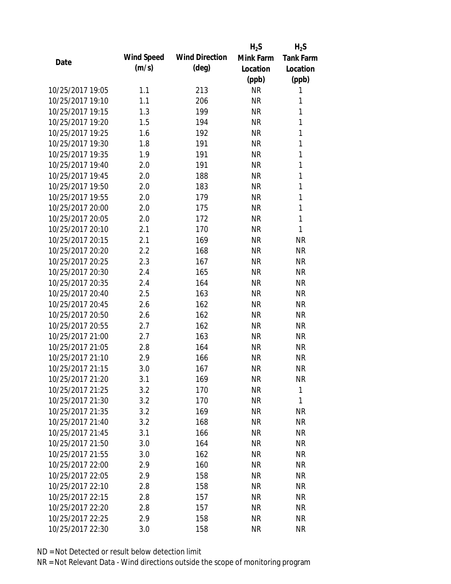|                  |                   |                       | $H_2S$    | $H_2S$           |
|------------------|-------------------|-----------------------|-----------|------------------|
| Date             | <b>Wind Speed</b> | <b>Wind Direction</b> | Mink Farm | <b>Tank Farm</b> |
|                  | (m/s)             | $(\text{deg})$        | Location  | Location         |
|                  |                   |                       | (ppb)     | (ppb)            |
| 10/25/2017 19:05 | 1.1               | 213                   | <b>NR</b> | 1                |
| 10/25/2017 19:10 | 1.1               | 206                   | <b>NR</b> | 1                |
| 10/25/2017 19:15 | 1.3               | 199                   | <b>NR</b> | 1                |
| 10/25/2017 19:20 | 1.5               | 194                   | <b>NR</b> | 1                |
| 10/25/2017 19:25 | 1.6               | 192                   | <b>NR</b> | 1                |
| 10/25/2017 19:30 | 1.8               | 191                   | <b>NR</b> | 1                |
| 10/25/2017 19:35 | 1.9               | 191                   | <b>NR</b> | 1                |
| 10/25/2017 19:40 | 2.0               | 191                   | <b>NR</b> | 1                |
| 10/25/2017 19:45 | 2.0               | 188                   | <b>NR</b> | $\mathbf{1}$     |
| 10/25/2017 19:50 | 2.0               | 183                   | <b>NR</b> | $\mathbf{1}$     |
| 10/25/2017 19:55 | 2.0               | 179                   | <b>NR</b> | 1                |
| 10/25/2017 20:00 | 2.0               | 175                   | <b>NR</b> | $\mathbf{1}$     |
| 10/25/2017 20:05 | 2.0               | 172                   | <b>NR</b> | 1                |
| 10/25/2017 20:10 | 2.1               | 170                   | <b>NR</b> | 1                |
| 10/25/2017 20:15 | 2.1               | 169                   | <b>NR</b> | <b>NR</b>        |
| 10/25/2017 20:20 | 2.2               | 168                   | <b>NR</b> | <b>NR</b>        |
| 10/25/2017 20:25 | 2.3               | 167                   | <b>NR</b> | <b>NR</b>        |
| 10/25/2017 20:30 | 2.4               | 165                   | <b>NR</b> | <b>NR</b>        |
| 10/25/2017 20:35 | 2.4               | 164                   | <b>NR</b> | <b>NR</b>        |
| 10/25/2017 20:40 | 2.5               | 163                   | <b>NR</b> | <b>NR</b>        |
| 10/25/2017 20:45 | 2.6               | 162                   | <b>NR</b> | <b>NR</b>        |
| 10/25/2017 20:50 | 2.6               | 162                   | <b>NR</b> | <b>NR</b>        |
| 10/25/2017 20:55 | 2.7               | 162                   | <b>NR</b> | <b>NR</b>        |
| 10/25/2017 21:00 | 2.7               | 163                   | <b>NR</b> | <b>NR</b>        |
| 10/25/2017 21:05 | 2.8               | 164                   | <b>NR</b> | <b>NR</b>        |
| 10/25/2017 21:10 | 2.9               | 166                   | <b>NR</b> | <b>NR</b>        |
| 10/25/2017 21:15 | 3.0               | 167                   | <b>NR</b> | <b>NR</b>        |
| 10/25/2017 21:20 | 3.1               | 169                   | NR        | <b>NR</b>        |
| 10/25/2017 21:25 | 3.2               | 170                   | <b>NR</b> | 1                |
| 10/25/2017 21:30 | 3.2               | 170                   | <b>NR</b> | 1                |
| 10/25/2017 21:35 | 3.2               | 169                   | <b>NR</b> | <b>NR</b>        |
| 10/25/2017 21:40 | 3.2               | 168                   | <b>NR</b> | <b>NR</b>        |
| 10/25/2017 21:45 | 3.1               | 166                   | NR        | <b>NR</b>        |
| 10/25/2017 21:50 | 3.0               | 164                   | <b>NR</b> | <b>NR</b>        |
| 10/25/2017 21:55 | 3.0               | 162                   | <b>NR</b> | <b>NR</b>        |
| 10/25/2017 22:00 | 2.9               | 160                   | <b>NR</b> | <b>NR</b>        |
| 10/25/2017 22:05 | 2.9               | 158                   | NR        | <b>NR</b>        |
| 10/25/2017 22:10 | 2.8               | 158                   | <b>NR</b> | <b>NR</b>        |
| 10/25/2017 22:15 | 2.8               | 157                   | <b>NR</b> | <b>NR</b>        |
| 10/25/2017 22:20 | 2.8               | 157                   | NR        | <b>NR</b>        |
| 10/25/2017 22:25 | 2.9               | 158                   | <b>NR</b> | <b>NR</b>        |
| 10/25/2017 22:30 | 3.0               | 158                   | <b>NR</b> | <b>NR</b>        |
|                  |                   |                       |           |                  |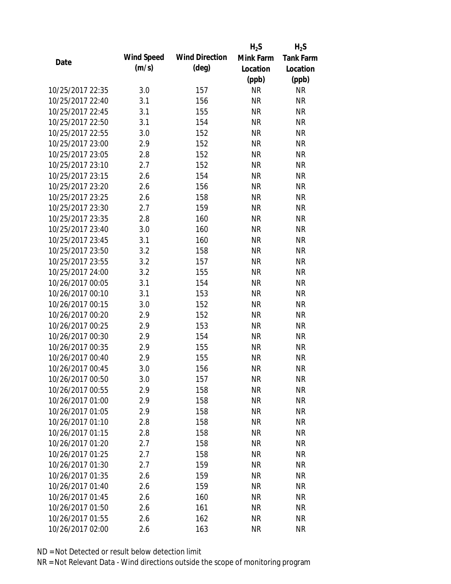|                  |                   |                       | $H_2S$    | $H_2S$           |
|------------------|-------------------|-----------------------|-----------|------------------|
| Date             | <b>Wind Speed</b> | <b>Wind Direction</b> | Mink Farm | <b>Tank Farm</b> |
|                  | (m/s)             | $(\text{deg})$        | Location  | Location         |
|                  |                   |                       | (ppb)     | (ppb)            |
| 10/25/2017 22:35 | 3.0               | 157                   | <b>NR</b> | <b>NR</b>        |
| 10/25/2017 22:40 | 3.1               | 156                   | <b>NR</b> | <b>NR</b>        |
| 10/25/2017 22:45 | 3.1               | 155                   | <b>NR</b> | <b>NR</b>        |
| 10/25/2017 22:50 | 3.1               | 154                   | <b>NR</b> | <b>NR</b>        |
| 10/25/2017 22:55 | 3.0               | 152                   | <b>NR</b> | <b>NR</b>        |
| 10/25/2017 23:00 | 2.9               | 152                   | <b>NR</b> | <b>NR</b>        |
| 10/25/2017 23:05 | 2.8               | 152                   | <b>NR</b> | <b>NR</b>        |
| 10/25/2017 23:10 | 2.7               | 152                   | <b>NR</b> | <b>NR</b>        |
| 10/25/2017 23:15 | 2.6               | 154                   | <b>NR</b> | <b>NR</b>        |
| 10/25/2017 23:20 | 2.6               | 156                   | <b>NR</b> | <b>NR</b>        |
| 10/25/2017 23:25 | 2.6               | 158                   | <b>NR</b> | <b>NR</b>        |
| 10/25/2017 23:30 | 2.7               | 159                   | <b>NR</b> | <b>NR</b>        |
| 10/25/2017 23:35 | 2.8               | 160                   | <b>NR</b> | <b>NR</b>        |
| 10/25/2017 23:40 | 3.0               | 160                   | <b>NR</b> | <b>NR</b>        |
| 10/25/2017 23:45 | 3.1               | 160                   | <b>NR</b> | <b>NR</b>        |
| 10/25/2017 23:50 | 3.2               | 158                   | <b>NR</b> | <b>NR</b>        |
| 10/25/2017 23:55 | 3.2               | 157                   | <b>NR</b> | <b>NR</b>        |
| 10/25/2017 24:00 | 3.2               | 155                   | <b>NR</b> | <b>NR</b>        |
| 10/26/2017 00:05 | 3.1               | 154                   | <b>NR</b> | <b>NR</b>        |
| 10/26/2017 00:10 | 3.1               | 153                   | <b>NR</b> | <b>NR</b>        |
| 10/26/2017 00:15 | 3.0               | 152                   | <b>NR</b> | <b>NR</b>        |
| 10/26/2017 00:20 | 2.9               | 152                   | <b>NR</b> | <b>NR</b>        |
| 10/26/2017 00:25 | 2.9               | 153                   | <b>NR</b> | <b>NR</b>        |
| 10/26/2017 00:30 | 2.9               | 154                   | <b>NR</b> | <b>NR</b>        |
| 10/26/2017 00:35 | 2.9               | 155                   | <b>NR</b> | <b>NR</b>        |
| 10/26/2017 00:40 | 2.9               | 155                   | <b>NR</b> | <b>NR</b>        |
| 10/26/2017 00:45 | 3.0               | 156                   | <b>NR</b> | <b>NR</b>        |
| 10/26/2017 00:50 | 3.0               | 157                   | <b>NR</b> | <b>NR</b>        |
| 10/26/2017 00:55 | 2.9               | 158                   | <b>NR</b> | <b>NR</b>        |
| 10/26/2017 01:00 | 2.9               | 158                   | <b>NR</b> | <b>NR</b>        |
| 10/26/2017 01:05 | 2.9               | 158                   | <b>NR</b> | <b>NR</b>        |
| 10/26/2017 01:10 | 2.8               | 158                   | <b>NR</b> | <b>NR</b>        |
| 10/26/2017 01:15 | 2.8               | 158                   | <b>NR</b> | <b>NR</b>        |
| 10/26/2017 01:20 | 2.7               | 158                   | <b>NR</b> | <b>NR</b>        |
| 10/26/2017 01:25 | 2.7               | 158                   | <b>NR</b> | <b>NR</b>        |
| 10/26/2017 01:30 | 2.7               | 159                   | <b>NR</b> | <b>NR</b>        |
| 10/26/2017 01:35 | 2.6               | 159                   | <b>NR</b> | <b>NR</b>        |
| 10/26/2017 01:40 | 2.6               | 159                   | <b>NR</b> | <b>NR</b>        |
| 10/26/2017 01:45 | 2.6               | 160                   | <b>NR</b> | <b>NR</b>        |
| 10/26/2017 01:50 | 2.6               | 161                   | <b>NR</b> | <b>NR</b>        |
| 10/26/2017 01:55 | 2.6               | 162                   | <b>NR</b> | <b>NR</b>        |
| 10/26/2017 02:00 | 2.6               | 163                   | <b>NR</b> | <b>NR</b>        |
|                  |                   |                       |           |                  |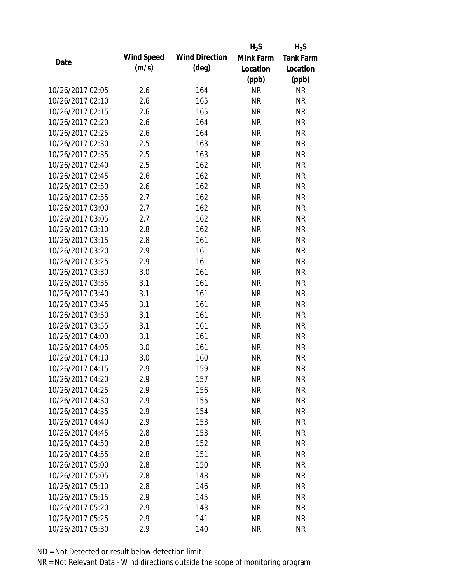|                  |                   |                       | $H_2S$    | $H_2S$           |
|------------------|-------------------|-----------------------|-----------|------------------|
| Date             | <b>Wind Speed</b> | <b>Wind Direction</b> | Mink Farm | <b>Tank Farm</b> |
|                  | (m/s)             | (deg)                 | Location  | Location         |
|                  |                   |                       | (ppb)     | (ppb)            |
| 10/26/2017 02:05 | 2.6               | 164                   | <b>NR</b> | <b>NR</b>        |
| 10/26/2017 02:10 | 2.6               | 165                   | <b>NR</b> | <b>NR</b>        |
| 10/26/2017 02:15 | 2.6               | 165                   | <b>NR</b> | <b>NR</b>        |
| 10/26/2017 02:20 | 2.6               | 164                   | <b>NR</b> | <b>NR</b>        |
| 10/26/2017 02:25 | 2.6               | 164                   | <b>NR</b> | <b>NR</b>        |
| 10/26/2017 02:30 | 2.5               | 163                   | <b>NR</b> | <b>NR</b>        |
| 10/26/2017 02:35 | 2.5               | 163                   | NR        | <b>NR</b>        |
| 10/26/2017 02:40 | 2.5               | 162                   | <b>NR</b> | <b>NR</b>        |
| 10/26/2017 02:45 | 2.6               | 162                   | <b>NR</b> | <b>NR</b>        |
| 10/26/2017 02:50 | 2.6               | 162                   | <b>NR</b> | <b>NR</b>        |
| 10/26/2017 02:55 | 2.7               | 162                   | <b>NR</b> | <b>NR</b>        |
| 10/26/2017 03:00 | 2.7               | 162                   | <b>NR</b> | <b>NR</b>        |
| 10/26/2017 03:05 | 2.7               | 162                   | <b>NR</b> | <b>NR</b>        |
| 10/26/2017 03:10 | 2.8               | 162                   | <b>NR</b> | <b>NR</b>        |
| 10/26/2017 03:15 | 2.8               | 161                   | <b>NR</b> | <b>NR</b>        |
| 10/26/2017 03:20 | 2.9               | 161                   | <b>NR</b> | <b>NR</b>        |
| 10/26/2017 03:25 | 2.9               | 161                   | <b>NR</b> | <b>NR</b>        |
| 10/26/2017 03:30 | 3.0               | 161                   | <b>NR</b> | <b>NR</b>        |
| 10/26/2017 03:35 | 3.1               | 161                   | <b>NR</b> | <b>NR</b>        |
| 10/26/2017 03:40 | 3.1               | 161                   | <b>NR</b> | <b>NR</b>        |
| 10/26/2017 03:45 | 3.1               | 161                   | <b>NR</b> | <b>NR</b>        |
| 10/26/2017 03:50 | 3.1               | 161                   | <b>NR</b> | <b>NR</b>        |
| 10/26/2017 03:55 | 3.1               | 161                   | <b>NR</b> | <b>NR</b>        |
| 10/26/2017 04:00 | 3.1               | 161                   | <b>NR</b> | <b>NR</b>        |
| 10/26/2017 04:05 | 3.0               | 161                   | <b>NR</b> | <b>NR</b>        |
| 10/26/2017 04:10 | 3.0               | 160                   | <b>NR</b> | <b>NR</b>        |
| 10/26/2017 04:15 | 2.9               | 159                   | <b>NR</b> | <b>NR</b>        |
| 10/26/2017 04:20 | 2.9               | 157                   | <b>NR</b> | <b>NR</b>        |
| 10/26/2017 04:25 | 2.9               | 156                   | <b>NR</b> | <b>NR</b>        |
| 10/26/2017 04:30 | 2.9               | 155                   | <b>NR</b> | <b>NR</b>        |
| 10/26/2017 04:35 | 2.9               | 154                   | <b>NR</b> | <b>NR</b>        |
| 10/26/2017 04:40 | 2.9               | 153                   | <b>NR</b> | <b>NR</b>        |
| 10/26/2017 04:45 | 2.8               | 153                   | <b>NR</b> | <b>NR</b>        |
| 10/26/2017 04:50 | 2.8               | 152                   | <b>NR</b> | <b>NR</b>        |
| 10/26/2017 04:55 | 2.8               | 151                   | <b>NR</b> | <b>NR</b>        |
| 10/26/2017 05:00 | 2.8               | 150                   | <b>NR</b> | <b>NR</b>        |
| 10/26/2017 05:05 | 2.8               | 148                   | <b>NR</b> | <b>NR</b>        |
| 10/26/2017 05:10 | 2.8               | 146                   | <b>NR</b> | <b>NR</b>        |
| 10/26/2017 05:15 | 2.9               | 145                   | NR        | <b>NR</b>        |
| 10/26/2017 05:20 | 2.9               | 143                   | <b>NR</b> | <b>NR</b>        |
| 10/26/2017 05:25 | 2.9               | 141                   | <b>NR</b> | <b>NR</b>        |
| 10/26/2017 05:30 | 2.9               | 140                   | <b>NR</b> | <b>NR</b>        |
|                  |                   |                       |           |                  |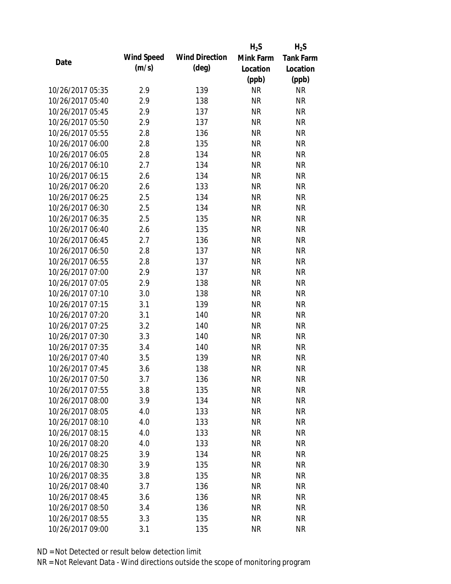|                  |                   |                       | $H_2S$    | $H_2S$           |
|------------------|-------------------|-----------------------|-----------|------------------|
| Date             | <b>Wind Speed</b> | <b>Wind Direction</b> | Mink Farm | <b>Tank Farm</b> |
|                  | (m/s)             | (deg)                 | Location  | Location         |
|                  |                   |                       | (ppb)     | (ppb)            |
| 10/26/2017 05:35 | 2.9               | 139                   | <b>NR</b> | <b>NR</b>        |
| 10/26/2017 05:40 | 2.9               | 138                   | <b>NR</b> | <b>NR</b>        |
| 10/26/2017 05:45 | 2.9               | 137                   | <b>NR</b> | <b>NR</b>        |
| 10/26/2017 05:50 | 2.9               | 137                   | <b>NR</b> | <b>NR</b>        |
| 10/26/2017 05:55 | 2.8               | 136                   | <b>NR</b> | <b>NR</b>        |
| 10/26/2017 06:00 | 2.8               | 135                   | <b>NR</b> | <b>NR</b>        |
| 10/26/2017 06:05 | 2.8               | 134                   | <b>NR</b> | <b>NR</b>        |
| 10/26/2017 06:10 | 2.7               | 134                   | <b>NR</b> | <b>NR</b>        |
| 10/26/2017 06:15 | 2.6               | 134                   | <b>NR</b> | <b>NR</b>        |
| 10/26/2017 06:20 | 2.6               | 133                   | <b>NR</b> | <b>NR</b>        |
| 10/26/2017 06:25 | 2.5               | 134                   | <b>NR</b> | <b>NR</b>        |
| 10/26/2017 06:30 | 2.5               | 134                   | <b>NR</b> | <b>NR</b>        |
| 10/26/2017 06:35 | 2.5               | 135                   | <b>NR</b> | <b>NR</b>        |
| 10/26/2017 06:40 | 2.6               | 135                   | <b>NR</b> | <b>NR</b>        |
| 10/26/2017 06:45 | 2.7               | 136                   | <b>NR</b> | <b>NR</b>        |
| 10/26/2017 06:50 | 2.8               | 137                   | <b>NR</b> | <b>NR</b>        |
| 10/26/2017 06:55 | 2.8               | 137                   | <b>NR</b> | <b>NR</b>        |
| 10/26/2017 07:00 | 2.9               | 137                   | <b>NR</b> | <b>NR</b>        |
| 10/26/2017 07:05 | 2.9               | 138                   | <b>NR</b> | <b>NR</b>        |
| 10/26/2017 07:10 | 3.0               | 138                   | <b>NR</b> | <b>NR</b>        |
| 10/26/2017 07:15 | 3.1               | 139                   | <b>NR</b> | <b>NR</b>        |
| 10/26/2017 07:20 | 3.1               | 140                   | <b>NR</b> | <b>NR</b>        |
| 10/26/2017 07:25 | 3.2               | 140                   | <b>NR</b> | <b>NR</b>        |
| 10/26/2017 07:30 | 3.3               | 140                   | <b>NR</b> | <b>NR</b>        |
| 10/26/2017 07:35 | 3.4               | 140                   | <b>NR</b> | <b>NR</b>        |
| 10/26/2017 07:40 | 3.5               | 139                   | <b>NR</b> | <b>NR</b>        |
| 10/26/2017 07:45 | 3.6               | 138                   | <b>NR</b> | <b>NR</b>        |
| 10/26/2017 07:50 | 3.7               | 136                   | <b>NR</b> | <b>NR</b>        |
| 10/26/2017 07:55 | 3.8               | 135                   | <b>NR</b> | <b>NR</b>        |
| 10/26/2017 08:00 | 3.9               | 134                   | <b>NR</b> | <b>NR</b>        |
| 10/26/2017 08:05 | 4.0               | 133                   | <b>NR</b> | <b>NR</b>        |
| 10/26/2017 08:10 | 4.0               | 133                   | <b>NR</b> | <b>NR</b>        |
| 10/26/2017 08:15 | 4.0               | 133                   | <b>NR</b> | <b>NR</b>        |
| 10/26/2017 08:20 | 4.0               | 133                   | <b>NR</b> | <b>NR</b>        |
| 10/26/2017 08:25 | 3.9               | 134                   | <b>NR</b> | <b>NR</b>        |
| 10/26/2017 08:30 | 3.9               | 135                   | <b>NR</b> | <b>NR</b>        |
| 10/26/2017 08:35 | 3.8               | 135                   | <b>NR</b> | <b>NR</b>        |
| 10/26/2017 08:40 | 3.7               | 136                   | <b>NR</b> | <b>NR</b>        |
| 10/26/2017 08:45 | 3.6               | 136                   | <b>NR</b> | <b>NR</b>        |
| 10/26/2017 08:50 | 3.4               | 136                   | NR        | <b>NR</b>        |
| 10/26/2017 08:55 | 3.3               | 135                   | <b>NR</b> | <b>NR</b>        |
| 10/26/2017 09:00 | 3.1               | 135                   | <b>NR</b> | <b>NR</b>        |
|                  |                   |                       |           |                  |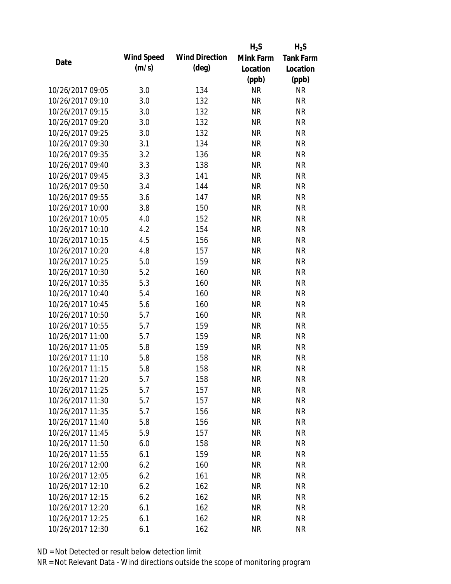|                  |                   |                       | $H_2S$    | $H_2S$           |
|------------------|-------------------|-----------------------|-----------|------------------|
| Date             | <b>Wind Speed</b> | <b>Wind Direction</b> | Mink Farm | <b>Tank Farm</b> |
|                  | (m/s)             | $(\text{deg})$        | Location  | Location         |
|                  |                   |                       | (ppb)     | (ppb)            |
| 10/26/2017 09:05 | 3.0               | 134                   | <b>NR</b> | <b>NR</b>        |
| 10/26/2017 09:10 | 3.0               | 132                   | <b>NR</b> | <b>NR</b>        |
| 10/26/2017 09:15 | 3.0               | 132                   | <b>NR</b> | <b>NR</b>        |
| 10/26/2017 09:20 | 3.0               | 132                   | <b>NR</b> | <b>NR</b>        |
| 10/26/2017 09:25 | 3.0               | 132                   | <b>NR</b> | <b>NR</b>        |
| 10/26/2017 09:30 | 3.1               | 134                   | <b>NR</b> | <b>NR</b>        |
| 10/26/2017 09:35 | 3.2               | 136                   | <b>NR</b> | <b>NR</b>        |
| 10/26/2017 09:40 | 3.3               | 138                   | <b>NR</b> | <b>NR</b>        |
| 10/26/2017 09:45 | 3.3               | 141                   | <b>NR</b> | <b>NR</b>        |
| 10/26/2017 09:50 | 3.4               | 144                   | <b>NR</b> | <b>NR</b>        |
| 10/26/2017 09:55 | 3.6               | 147                   | <b>NR</b> | <b>NR</b>        |
| 10/26/2017 10:00 | 3.8               | 150                   | <b>NR</b> | <b>NR</b>        |
| 10/26/2017 10:05 | 4.0               | 152                   | <b>NR</b> | <b>NR</b>        |
| 10/26/2017 10:10 | 4.2               | 154                   | <b>NR</b> | <b>NR</b>        |
| 10/26/2017 10:15 | 4.5               | 156                   | <b>NR</b> | <b>NR</b>        |
| 10/26/2017 10:20 | 4.8               | 157                   | <b>NR</b> | <b>NR</b>        |
| 10/26/2017 10:25 | 5.0               | 159                   | <b>NR</b> | <b>NR</b>        |
| 10/26/2017 10:30 | 5.2               | 160                   | <b>NR</b> | <b>NR</b>        |
| 10/26/2017 10:35 | 5.3               | 160                   | <b>NR</b> | <b>NR</b>        |
| 10/26/2017 10:40 | 5.4               | 160                   | <b>NR</b> | <b>NR</b>        |
| 10/26/2017 10:45 | 5.6               | 160                   | <b>NR</b> | <b>NR</b>        |
| 10/26/2017 10:50 | 5.7               | 160                   | <b>NR</b> | <b>NR</b>        |
| 10/26/2017 10:55 | 5.7               | 159                   | <b>NR</b> | <b>NR</b>        |
| 10/26/2017 11:00 | 5.7               | 159                   | <b>NR</b> | <b>NR</b>        |
| 10/26/2017 11:05 | 5.8               | 159                   | <b>NR</b> | <b>NR</b>        |
| 10/26/2017 11:10 | 5.8               | 158                   | <b>NR</b> | <b>NR</b>        |
| 10/26/2017 11:15 | 5.8               | 158                   | <b>NR</b> | <b>NR</b>        |
| 10/26/2017 11:20 | 5.7               | 158                   | <b>NR</b> | <b>NR</b>        |
| 10/26/2017 11:25 | 5.7               | 157                   | <b>NR</b> | <b>NR</b>        |
| 10/26/2017 11:30 | 5.7               | 157                   | <b>NR</b> | <b>NR</b>        |
| 10/26/2017 11:35 | 5.7               | 156                   | <b>NR</b> | <b>NR</b>        |
| 10/26/2017 11:40 | 5.8               | 156                   | <b>NR</b> | <b>NR</b>        |
| 10/26/2017 11:45 | 5.9               | 157                   | <b>NR</b> | <b>NR</b>        |
| 10/26/2017 11:50 | 6.0               | 158                   | <b>NR</b> | <b>NR</b>        |
| 10/26/2017 11:55 | 6.1               | 159                   | <b>NR</b> | <b>NR</b>        |
| 10/26/2017 12:00 | 6.2               | 160                   | <b>NR</b> | <b>NR</b>        |
| 10/26/2017 12:05 | 6.2               | 161                   | <b>NR</b> | <b>NR</b>        |
| 10/26/2017 12:10 | 6.2               | 162                   | <b>NR</b> | <b>NR</b>        |
| 10/26/2017 12:15 | 6.2               | 162                   | <b>NR</b> | <b>NR</b>        |
| 10/26/2017 12:20 | 6.1               | 162                   | <b>NR</b> | <b>NR</b>        |
| 10/26/2017 12:25 | 6.1               | 162                   | <b>NR</b> | <b>NR</b>        |
| 10/26/2017 12:30 | 6.1               | 162                   | <b>NR</b> | <b>NR</b>        |
|                  |                   |                       |           |                  |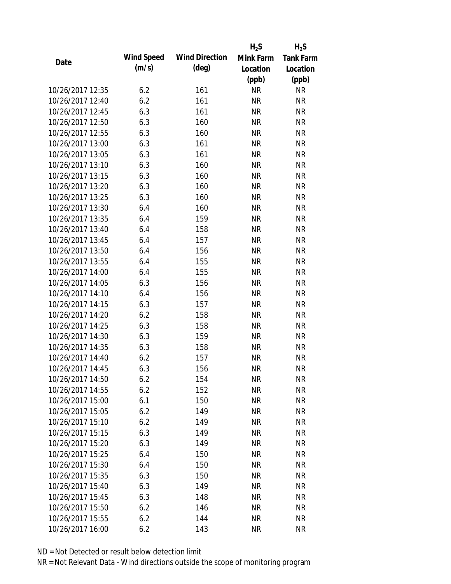|                  |                   |                       | $H_2S$    | $H_2S$           |
|------------------|-------------------|-----------------------|-----------|------------------|
| Date             | <b>Wind Speed</b> | <b>Wind Direction</b> | Mink Farm | <b>Tank Farm</b> |
|                  | (m/s)             | (deg)                 | Location  | Location         |
|                  |                   |                       | (ppb)     | (ppb)            |
| 10/26/2017 12:35 | 6.2               | 161                   | <b>NR</b> | <b>NR</b>        |
| 10/26/2017 12:40 | 6.2               | 161                   | <b>NR</b> | <b>NR</b>        |
| 10/26/2017 12:45 | 6.3               | 161                   | <b>NR</b> | <b>NR</b>        |
| 10/26/2017 12:50 | 6.3               | 160                   | <b>NR</b> | <b>NR</b>        |
| 10/26/2017 12:55 | 6.3               | 160                   | <b>NR</b> | <b>NR</b>        |
| 10/26/2017 13:00 | 6.3               | 161                   | <b>NR</b> | <b>NR</b>        |
| 10/26/2017 13:05 | 6.3               | 161                   | NR        | <b>NR</b>        |
| 10/26/2017 13:10 | 6.3               | 160                   | <b>NR</b> | <b>NR</b>        |
| 10/26/2017 13:15 | 6.3               | 160                   | <b>NR</b> | <b>NR</b>        |
| 10/26/2017 13:20 | 6.3               | 160                   | <b>NR</b> | <b>NR</b>        |
| 10/26/2017 13:25 | 6.3               | 160                   | <b>NR</b> | <b>NR</b>        |
| 10/26/2017 13:30 | 6.4               | 160                   | <b>NR</b> | <b>NR</b>        |
| 10/26/2017 13:35 | 6.4               | 159                   | <b>NR</b> | <b>NR</b>        |
| 10/26/2017 13:40 | 6.4               | 158                   | <b>NR</b> | <b>NR</b>        |
| 10/26/2017 13:45 | 6.4               | 157                   | <b>NR</b> | <b>NR</b>        |
| 10/26/2017 13:50 | 6.4               | 156                   | <b>NR</b> | <b>NR</b>        |
| 10/26/2017 13:55 | 6.4               | 155                   | <b>NR</b> | <b>NR</b>        |
| 10/26/2017 14:00 | 6.4               | 155                   | <b>NR</b> | <b>NR</b>        |
| 10/26/2017 14:05 | 6.3               | 156                   | <b>NR</b> | <b>NR</b>        |
| 10/26/2017 14:10 | 6.4               | 156                   | <b>NR</b> | <b>NR</b>        |
| 10/26/2017 14:15 | 6.3               | 157                   | <b>NR</b> | <b>NR</b>        |
| 10/26/2017 14:20 | 6.2               | 158                   | <b>NR</b> | <b>NR</b>        |
| 10/26/2017 14:25 | 6.3               | 158                   | <b>NR</b> | <b>NR</b>        |
| 10/26/2017 14:30 | 6.3               | 159                   | <b>NR</b> | <b>NR</b>        |
| 10/26/2017 14:35 | 6.3               | 158                   | <b>NR</b> | <b>NR</b>        |
| 10/26/2017 14:40 | 6.2               | 157                   | <b>NR</b> | <b>NR</b>        |
| 10/26/2017 14:45 | 6.3               | 156                   | <b>NR</b> | <b>NR</b>        |
| 10/26/2017 14:50 | 6.2               | 154                   | NR        | <b>NR</b>        |
| 10/26/2017 14:55 | 6.2               | 152                   | <b>NR</b> | <b>NR</b>        |
| 10/26/2017 15:00 | 6.1               | 150                   | <b>NR</b> | <b>NR</b>        |
| 10/26/2017 15:05 | 6.2               | 149                   | <b>NR</b> | <b>NR</b>        |
| 10/26/2017 15:10 | 6.2               | 149                   | <b>NR</b> | <b>NR</b>        |
| 10/26/2017 15:15 | 6.3               | 149                   | <b>NR</b> | <b>NR</b>        |
| 10/26/2017 15:20 | 6.3               | 149                   | <b>NR</b> | <b>NR</b>        |
| 10/26/2017 15:25 | 6.4               | 150                   | NR        | <b>NR</b>        |
| 10/26/2017 15:30 | 6.4               | 150                   | <b>NR</b> | <b>NR</b>        |
| 10/26/2017 15:35 | 6.3               | 150                   | <b>NR</b> | <b>NR</b>        |
| 10/26/2017 15:40 | 6.3               | 149                   | <b>NR</b> | <b>NR</b>        |
| 10/26/2017 15:45 | 6.3               | 148                   | NR        | <b>NR</b>        |
| 10/26/2017 15:50 | 6.2               | 146                   | <b>NR</b> | <b>NR</b>        |
| 10/26/2017 15:55 | 6.2               | 144                   | <b>NR</b> | <b>NR</b>        |
| 10/26/2017 16:00 | 6.2               | 143                   | <b>NR</b> | <b>NR</b>        |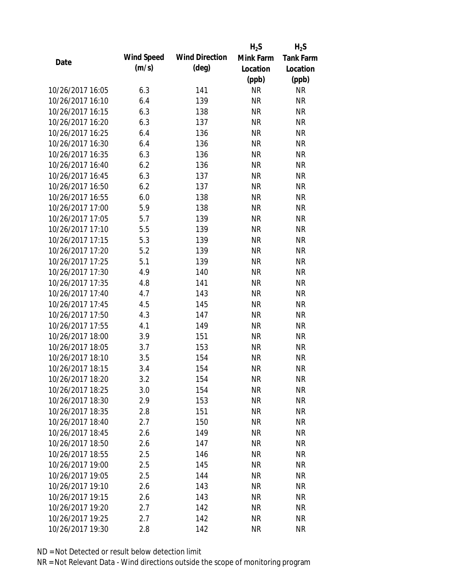|                  |                   |                       | $H_2S$    | $H_2S$           |
|------------------|-------------------|-----------------------|-----------|------------------|
| Date             | <b>Wind Speed</b> | <b>Wind Direction</b> | Mink Farm | <b>Tank Farm</b> |
|                  | (m/s)             | (deg)                 | Location  | Location         |
|                  |                   |                       | (ppb)     | (ppb)            |
| 10/26/2017 16:05 | 6.3               | 141                   | <b>NR</b> | <b>NR</b>        |
| 10/26/2017 16:10 | 6.4               | 139                   | <b>NR</b> | <b>NR</b>        |
| 10/26/2017 16:15 | 6.3               | 138                   | <b>NR</b> | <b>NR</b>        |
| 10/26/2017 16:20 | 6.3               | 137                   | <b>NR</b> | <b>NR</b>        |
| 10/26/2017 16:25 | 6.4               | 136                   | <b>NR</b> | <b>NR</b>        |
| 10/26/2017 16:30 | 6.4               | 136                   | <b>NR</b> | <b>NR</b>        |
| 10/26/2017 16:35 | 6.3               | 136                   | <b>NR</b> | <b>NR</b>        |
| 10/26/2017 16:40 | 6.2               | 136                   | <b>NR</b> | <b>NR</b>        |
| 10/26/2017 16:45 | 6.3               | 137                   | <b>NR</b> | <b>NR</b>        |
| 10/26/2017 16:50 | 6.2               | 137                   | <b>NR</b> | <b>NR</b>        |
| 10/26/2017 16:55 | 6.0               | 138                   | <b>NR</b> | <b>NR</b>        |
| 10/26/2017 17:00 | 5.9               | 138                   | <b>NR</b> | <b>NR</b>        |
| 10/26/2017 17:05 | 5.7               | 139                   | <b>NR</b> | <b>NR</b>        |
| 10/26/2017 17:10 | 5.5               | 139                   | <b>NR</b> | <b>NR</b>        |
| 10/26/2017 17:15 | 5.3               | 139                   | <b>NR</b> | <b>NR</b>        |
| 10/26/2017 17:20 | 5.2               | 139                   | <b>NR</b> | <b>NR</b>        |
| 10/26/2017 17:25 | 5.1               | 139                   | <b>NR</b> | <b>NR</b>        |
| 10/26/2017 17:30 | 4.9               | 140                   | <b>NR</b> | <b>NR</b>        |
| 10/26/2017 17:35 | 4.8               | 141                   | <b>NR</b> | <b>NR</b>        |
| 10/26/2017 17:40 | 4.7               | 143                   | <b>NR</b> | <b>NR</b>        |
| 10/26/2017 17:45 | 4.5               | 145                   | <b>NR</b> | <b>NR</b>        |
| 10/26/2017 17:50 | 4.3               | 147                   | <b>NR</b> | <b>NR</b>        |
| 10/26/2017 17:55 | 4.1               | 149                   | <b>NR</b> | <b>NR</b>        |
| 10/26/2017 18:00 | 3.9               | 151                   | <b>NR</b> | <b>NR</b>        |
| 10/26/2017 18:05 | 3.7               | 153                   | <b>NR</b> | <b>NR</b>        |
| 10/26/2017 18:10 | 3.5               | 154                   | <b>NR</b> | <b>NR</b>        |
| 10/26/2017 18:15 | 3.4               | 154                   | <b>NR</b> | <b>NR</b>        |
| 10/26/2017 18:20 | 3.2               | 154                   | NR        | <b>NR</b>        |
| 10/26/2017 18:25 | 3.0               | 154                   | <b>NR</b> | <b>NR</b>        |
| 10/26/2017 18:30 | 2.9               | 153                   | <b>NR</b> | <b>NR</b>        |
| 10/26/2017 18:35 | 2.8               | 151                   | <b>NR</b> | <b>NR</b>        |
| 10/26/2017 18:40 | 2.7               | 150                   | <b>NR</b> | <b>NR</b>        |
| 10/26/2017 18:45 | 2.6               | 149                   | <b>NR</b> | <b>NR</b>        |
| 10/26/2017 18:50 | 2.6               | 147                   | <b>NR</b> | <b>NR</b>        |
| 10/26/2017 18:55 | 2.5               | 146                   | <b>NR</b> | <b>NR</b>        |
| 10/26/2017 19:00 | 2.5               | 145                   | <b>NR</b> | <b>NR</b>        |
| 10/26/2017 19:05 | 2.5               | 144                   | <b>NR</b> | <b>NR</b>        |
| 10/26/2017 19:10 | 2.6               | 143                   | <b>NR</b> | <b>NR</b>        |
| 10/26/2017 19:15 | 2.6               | 143                   | <b>NR</b> | <b>NR</b>        |
| 10/26/2017 19:20 | 2.7               | 142                   | <b>NR</b> | <b>NR</b>        |
| 10/26/2017 19:25 | 2.7               | 142                   | <b>NR</b> | <b>NR</b>        |
| 10/26/2017 19:30 | 2.8               | 142                   | <b>NR</b> | <b>NR</b>        |
|                  |                   |                       |           |                  |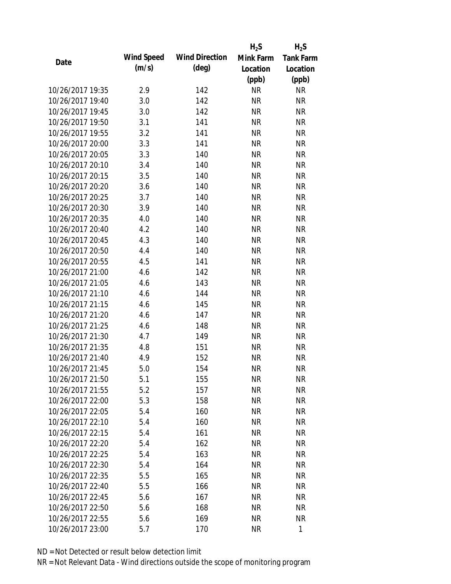|                  |                   |                       | $H_2S$    | $H_2S$           |
|------------------|-------------------|-----------------------|-----------|------------------|
| Date             | <b>Wind Speed</b> | <b>Wind Direction</b> | Mink Farm | <b>Tank Farm</b> |
|                  | (m/s)             | $(\text{deg})$        | Location  | Location         |
|                  |                   |                       | (ppb)     | (ppb)            |
| 10/26/2017 19:35 | 2.9               | 142                   | <b>NR</b> | <b>NR</b>        |
| 10/26/2017 19:40 | 3.0               | 142                   | <b>NR</b> | <b>NR</b>        |
| 10/26/2017 19:45 | 3.0               | 142                   | <b>NR</b> | <b>NR</b>        |
| 10/26/2017 19:50 | 3.1               | 141                   | <b>NR</b> | <b>NR</b>        |
| 10/26/2017 19:55 | 3.2               | 141                   | <b>NR</b> | <b>NR</b>        |
| 10/26/2017 20:00 | 3.3               | 141                   | <b>NR</b> | <b>NR</b>        |
| 10/26/2017 20:05 | 3.3               | 140                   | NR        | <b>NR</b>        |
| 10/26/2017 20:10 | 3.4               | 140                   | <b>NR</b> | <b>NR</b>        |
| 10/26/2017 20:15 | 3.5               | 140                   | <b>NR</b> | <b>NR</b>        |
| 10/26/2017 20:20 | 3.6               | 140                   | <b>NR</b> | <b>NR</b>        |
| 10/26/2017 20:25 | 3.7               | 140                   | <b>NR</b> | <b>NR</b>        |
| 10/26/2017 20:30 | 3.9               | 140                   | NR        | <b>NR</b>        |
| 10/26/2017 20:35 | 4.0               | 140                   | <b>NR</b> | <b>NR</b>        |
| 10/26/2017 20:40 | 4.2               | 140                   | <b>NR</b> | <b>NR</b>        |
| 10/26/2017 20:45 | 4.3               | 140                   | <b>NR</b> | <b>NR</b>        |
| 10/26/2017 20:50 | 4.4               | 140                   | <b>NR</b> | <b>NR</b>        |
| 10/26/2017 20:55 | 4.5               | 141                   | <b>NR</b> | <b>NR</b>        |
| 10/26/2017 21:00 | 4.6               | 142                   | <b>NR</b> | <b>NR</b>        |
| 10/26/2017 21:05 | 4.6               | 143                   | <b>NR</b> | <b>NR</b>        |
| 10/26/2017 21:10 | 4.6               | 144                   | <b>NR</b> | <b>NR</b>        |
| 10/26/2017 21:15 | 4.6               | 145                   | <b>NR</b> | <b>NR</b>        |
| 10/26/2017 21:20 | 4.6               | 147                   | <b>NR</b> | <b>NR</b>        |
| 10/26/2017 21:25 | 4.6               | 148                   | <b>NR</b> | <b>NR</b>        |
| 10/26/2017 21:30 | 4.7               | 149                   | <b>NR</b> | <b>NR</b>        |
| 10/26/2017 21:35 | 4.8               | 151                   | <b>NR</b> | <b>NR</b>        |
| 10/26/2017 21:40 | 4.9               | 152                   | <b>NR</b> | <b>NR</b>        |
| 10/26/2017 21:45 | 5.0               | 154                   | <b>NR</b> | <b>NR</b>        |
| 10/26/2017 21:50 | 5.1               | 155                   | NR        | <b>NR</b>        |
| 10/26/2017 21:55 | 5.2               | 157                   | <b>NR</b> | <b>NR</b>        |
| 10/26/2017 22:00 | 5.3               | 158                   | <b>NR</b> | <b>NR</b>        |
| 10/26/2017 22:05 | 5.4               | 160                   | <b>NR</b> | <b>NR</b>        |
| 10/26/2017 22:10 | 5.4               | 160                   | <b>NR</b> | <b>NR</b>        |
| 10/26/2017 22:15 | 5.4               | 161                   | <b>NR</b> | <b>NR</b>        |
| 10/26/2017 22:20 | 5.4               | 162                   | <b>NR</b> | <b>NR</b>        |
| 10/26/2017 22:25 | 5.4               | 163                   | NR        | <b>NR</b>        |
| 10/26/2017 22:30 | 5.4               | 164                   | <b>NR</b> | <b>NR</b>        |
| 10/26/2017 22:35 | 5.5               | 165                   | <b>NR</b> | <b>NR</b>        |
| 10/26/2017 22:40 | 5.5               | 166                   | NR        | <b>NR</b>        |
| 10/26/2017 22:45 | 5.6               | 167                   | <b>NR</b> | <b>NR</b>        |
| 10/26/2017 22:50 | 5.6               | 168                   | NR        | <b>NR</b>        |
| 10/26/2017 22:55 | 5.6               | 169                   | <b>NR</b> | <b>NR</b>        |
| 10/26/2017 23:00 | 5.7               | 170                   | <b>NR</b> | $\mathbf{1}$     |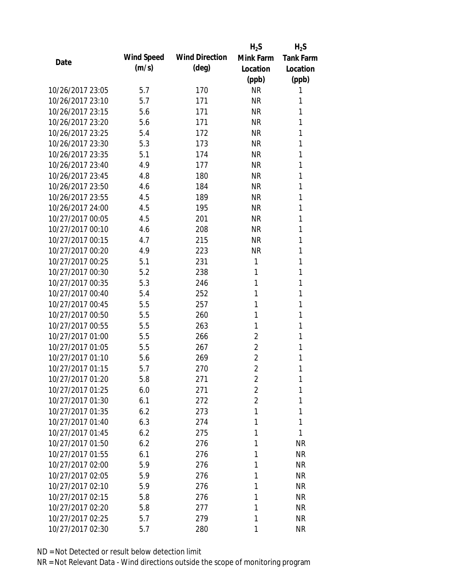|                  |                   |                       | $H_2S$         | $H_2S$           |
|------------------|-------------------|-----------------------|----------------|------------------|
| Date             | <b>Wind Speed</b> | <b>Wind Direction</b> | Mink Farm      | <b>Tank Farm</b> |
|                  | (m/s)             | $(\text{deg})$        | Location       | Location         |
|                  |                   |                       | (ppb)          | (ppb)            |
| 10/26/2017 23:05 | 5.7               | 170                   | <b>NR</b>      | 1                |
| 10/26/2017 23:10 | 5.7               | 171                   | <b>NR</b>      | 1                |
| 10/26/2017 23:15 | 5.6               | 171                   | <b>NR</b>      | 1                |
| 10/26/2017 23:20 | 5.6               | 171                   | <b>NR</b>      | 1                |
| 10/26/2017 23:25 | 5.4               | 172                   | <b>NR</b>      | 1                |
| 10/26/2017 23:30 | 5.3               | 173                   | <b>NR</b>      | 1                |
| 10/26/2017 23:35 | 5.1               | 174                   | <b>NR</b>      | 1                |
| 10/26/2017 23:40 | 4.9               | 177                   | <b>NR</b>      | 1                |
| 10/26/2017 23:45 | 4.8               | 180                   | <b>NR</b>      | 1                |
| 10/26/2017 23:50 | 4.6               | 184                   | <b>NR</b>      | 1                |
| 10/26/2017 23:55 | 4.5               | 189                   | <b>NR</b>      | 1                |
| 10/26/2017 24:00 | 4.5               | 195                   | <b>NR</b>      | 1                |
| 10/27/2017 00:05 | 4.5               | 201                   | <b>NR</b>      | 1                |
| 10/27/2017 00:10 | 4.6               | 208                   | <b>NR</b>      | 1                |
| 10/27/2017 00:15 | 4.7               | 215                   | <b>NR</b>      | 1                |
| 10/27/2017 00:20 | 4.9               | 223                   | <b>NR</b>      | 1                |
| 10/27/2017 00:25 | 5.1               | 231                   | 1              | 1                |
| 10/27/2017 00:30 | 5.2               | 238                   | 1              | 1                |
| 10/27/2017 00:35 | 5.3               | 246                   | 1              | 1                |
| 10/27/2017 00:40 | 5.4               | 252                   | 1              | 1                |
| 10/27/2017 00:45 | 5.5               | 257                   | 1              | 1                |
| 10/27/2017 00:50 | 5.5               | 260                   | 1              | 1                |
| 10/27/2017 00:55 | 5.5               | 263                   | 1              | 1                |
| 10/27/2017 01:00 | 5.5               | 266                   | $\overline{2}$ | 1                |
| 10/27/2017 01:05 | 5.5               | 267                   | $\overline{2}$ | 1                |
| 10/27/2017 01:10 | 5.6               | 269                   | $\overline{2}$ | 1                |
| 10/27/2017 01:15 | 5.7               | 270                   | $\overline{2}$ | 1                |
| 10/27/2017 01:20 | 5.8               | 271                   | $\overline{2}$ | 1                |
| 10/27/2017 01:25 | 6.0               | 271                   | $\overline{2}$ | 1                |
| 10/27/2017 01:30 | 6.1               | 272                   | $\overline{2}$ | 1                |
| 10/27/2017 01:35 | 6.2               | 273                   | 1              | 1                |
| 10/27/2017 01:40 | 6.3               | 274                   | 1              | 1                |
| 10/27/2017 01:45 | 6.2               | 275                   | 1              | 1                |
| 10/27/2017 01:50 | 6.2               | 276                   | 1              | <b>NR</b>        |
| 10/27/2017 01:55 | 6.1               | 276                   | 1              | <b>NR</b>        |
| 10/27/2017 02:00 | 5.9               | 276                   | 1              | <b>NR</b>        |
| 10/27/2017 02:05 | 5.9               | 276                   | 1              | <b>NR</b>        |
| 10/27/2017 02:10 | 5.9               | 276                   | 1              | <b>NR</b>        |
| 10/27/2017 02:15 | 5.8               | 276                   | 1              | <b>NR</b>        |
| 10/27/2017 02:20 | 5.8               | 277                   | 1              | <b>NR</b>        |
| 10/27/2017 02:25 | 5.7               | 279                   | 1              | <b>NR</b>        |
| 10/27/2017 02:30 | 5.7               | 280                   | 1              | <b>NR</b>        |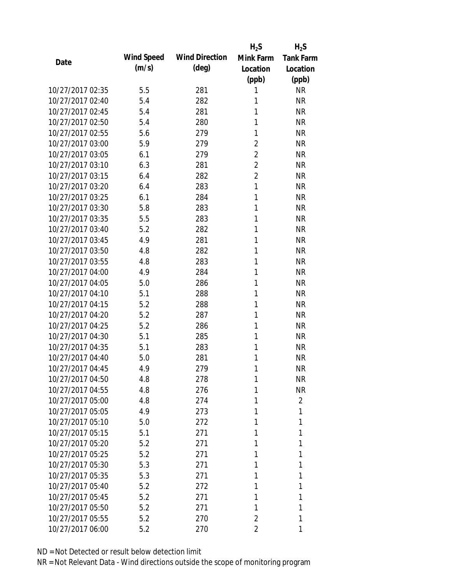|                  |                   |                       | $H_2S$         | $H_2S$           |
|------------------|-------------------|-----------------------|----------------|------------------|
| Date             | <b>Wind Speed</b> | <b>Wind Direction</b> | Mink Farm      | <b>Tank Farm</b> |
|                  | (m/s)             | $(\text{deg})$        | Location       | Location         |
|                  |                   |                       | (ppb)          | (ppb)            |
| 10/27/2017 02:35 | 5.5               | 281                   | 1              | <b>NR</b>        |
| 10/27/2017 02:40 | 5.4               | 282                   | 1              | <b>NR</b>        |
| 10/27/2017 02:45 | 5.4               | 281                   | 1              | <b>NR</b>        |
| 10/27/2017 02:50 | 5.4               | 280                   | 1              | <b>NR</b>        |
| 10/27/2017 02:55 | 5.6               | 279                   | 1              | <b>NR</b>        |
| 10/27/2017 03:00 | 5.9               | 279                   | $\overline{2}$ | <b>NR</b>        |
| 10/27/2017 03:05 | 6.1               | 279                   | $\overline{2}$ | <b>NR</b>        |
| 10/27/2017 03:10 | 6.3               | 281                   | $\overline{2}$ | <b>NR</b>        |
| 10/27/2017 03:15 | 6.4               | 282                   | $\overline{2}$ | <b>NR</b>        |
| 10/27/2017 03:20 | 6.4               | 283                   | $\mathbf{1}$   | <b>NR</b>        |
| 10/27/2017 03:25 | 6.1               | 284                   | 1              | <b>NR</b>        |
| 10/27/2017 03:30 | 5.8               | 283                   | 1              | <b>NR</b>        |
| 10/27/2017 03:35 | 5.5               | 283                   | 1              | <b>NR</b>        |
| 10/27/2017 03:40 | 5.2               | 282                   | 1              | <b>NR</b>        |
| 10/27/2017 03:45 | 4.9               | 281                   | 1              | <b>NR</b>        |
| 10/27/2017 03:50 | 4.8               | 282                   | 1              | <b>NR</b>        |
| 10/27/2017 03:55 | 4.8               | 283                   | 1              | <b>NR</b>        |
| 10/27/2017 04:00 | 4.9               | 284                   | 1              | <b>NR</b>        |
| 10/27/2017 04:05 | 5.0               | 286                   | 1              | <b>NR</b>        |
| 10/27/2017 04:10 | 5.1               | 288                   | 1              | <b>NR</b>        |
| 10/27/2017 04:15 | 5.2               | 288                   | 1              | <b>NR</b>        |
| 10/27/2017 04:20 | 5.2               | 287                   | 1              | <b>NR</b>        |
| 10/27/2017 04:25 | 5.2               | 286                   | 1              | <b>NR</b>        |
| 10/27/2017 04:30 | 5.1               | 285                   | 1              | <b>NR</b>        |
| 10/27/2017 04:35 | 5.1               | 283                   | 1              | <b>NR</b>        |
| 10/27/2017 04:40 | 5.0               | 281                   | 1              | <b>NR</b>        |
| 10/27/2017 04:45 | 4.9               | 279                   | 1              | <b>NR</b>        |
| 10/27/2017 04:50 | 4.8               | 278                   | 1              | <b>NR</b>        |
| 10/27/2017 04:55 | 4.8               | 276                   | 1              | <b>NR</b>        |
| 10/27/2017 05:00 | 4.8               | 274                   | 1              | $\overline{2}$   |
| 10/27/2017 05:05 | 4.9               | 273                   | 1              | 1                |
| 10/27/2017 05:10 | 5.0               | 272                   | 1              | 1                |
| 10/27/2017 05:15 | 5.1               | 271                   | 1              | 1                |
| 10/27/2017 05:20 | 5.2               | 271                   | 1              | 1                |
| 10/27/2017 05:25 | 5.2               | 271                   | 1              | 1                |
| 10/27/2017 05:30 | 5.3               | 271                   | 1              | 1                |
| 10/27/2017 05:35 | 5.3               | 271                   | 1              | 1                |
| 10/27/2017 05:40 | 5.2               | 272                   | 1              | 1                |
| 10/27/2017 05:45 | 5.2               | 271                   | 1              | 1                |
| 10/27/2017 05:50 | 5.2               | 271                   | 1              | 1                |
| 10/27/2017 05:55 | 5.2               | 270                   | 2              | 1                |
| 10/27/2017 06:00 | 5.2               | 270                   | 2              | 1                |
|                  |                   |                       |                |                  |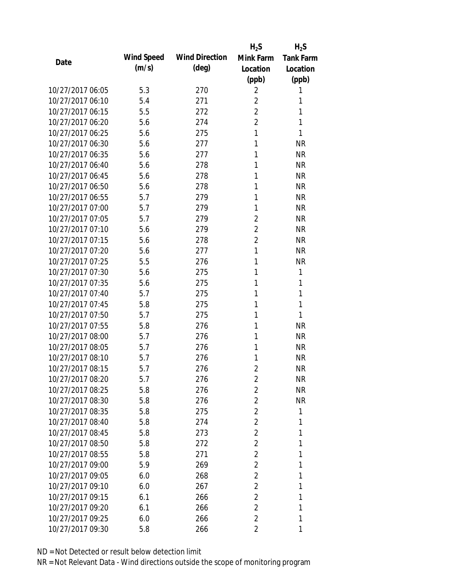|                  |            |                       | $H_2S$         | $H_2S$           |
|------------------|------------|-----------------------|----------------|------------------|
| Date             | Wind Speed | <b>Wind Direction</b> | Mink Farm      | <b>Tank Farm</b> |
|                  | (m/s)      | $(\text{deg})$        | Location       | Location         |
|                  |            |                       | (ppb)          | (ppb)            |
| 10/27/2017 06:05 | 5.3        | 270                   | 2              | 1                |
| 10/27/2017 06:10 | 5.4        | 271                   | $\overline{2}$ | 1                |
| 10/27/2017 06:15 | 5.5        | 272                   | $\overline{2}$ | 1                |
| 10/27/2017 06:20 | 5.6        | 274                   | $\overline{2}$ | 1                |
| 10/27/2017 06:25 | 5.6        | 275                   | 1              | 1                |
| 10/27/2017 06:30 | 5.6        | 277                   | 1              | <b>NR</b>        |
| 10/27/2017 06:35 | 5.6        | 277                   | 1              | <b>NR</b>        |
| 10/27/2017 06:40 | 5.6        | 278                   | 1              | <b>NR</b>        |
| 10/27/2017 06:45 | 5.6        | 278                   | 1              | <b>NR</b>        |
| 10/27/2017 06:50 | 5.6        | 278                   | 1              | <b>NR</b>        |
| 10/27/2017 06:55 | 5.7        | 279                   | 1              | <b>NR</b>        |
| 10/27/2017 07:00 | 5.7        | 279                   | 1              | <b>NR</b>        |
| 10/27/2017 07:05 | 5.7        | 279                   | $\overline{2}$ | <b>NR</b>        |
| 10/27/2017 07:10 | 5.6        | 279                   | $\overline{2}$ | <b>NR</b>        |
| 10/27/2017 07:15 | 5.6        | 278                   | $\overline{2}$ | <b>NR</b>        |
| 10/27/2017 07:20 | 5.6        | 277                   | 1              | <b>NR</b>        |
| 10/27/2017 07:25 | 5.5        | 276                   | 1              | <b>NR</b>        |
| 10/27/2017 07:30 | 5.6        | 275                   | 1              | 1                |
| 10/27/2017 07:35 | 5.6        | 275                   | 1              | 1                |
| 10/27/2017 07:40 | 5.7        | 275                   | 1              | 1                |
| 10/27/2017 07:45 | 5.8        | 275                   | 1              | 1                |
| 10/27/2017 07:50 | 5.7        | 275                   | 1              | 1                |
| 10/27/2017 07:55 | 5.8        | 276                   | 1              | <b>NR</b>        |
| 10/27/2017 08:00 | 5.7        | 276                   | 1              | <b>NR</b>        |
| 10/27/2017 08:05 | 5.7        | 276                   | 1              | <b>NR</b>        |
| 10/27/2017 08:10 | 5.7        | 276                   | 1              | <b>NR</b>        |
| 10/27/2017 08:15 | 5.7        | 276                   | $\overline{2}$ | <b>NR</b>        |
| 10/27/2017 08:20 | 5.7        | 276                   | $\overline{2}$ | NR               |
| 10/27/2017 08:25 | 5.8        | 276                   | $\overline{2}$ | <b>NR</b>        |
| 10/27/2017 08:30 | 5.8        | 276                   | $\overline{2}$ | <b>NR</b>        |
| 10/27/2017 08:35 | 5.8        | 275                   | $\overline{2}$ | 1                |
| 10/27/2017 08:40 | 5.8        | 274                   | $\overline{2}$ | 1                |
| 10/27/2017 08:45 | 5.8        | 273                   | $\overline{2}$ | 1                |
| 10/27/2017 08:50 | 5.8        | 272                   | $\overline{2}$ | 1                |
| 10/27/2017 08:55 | 5.8        | 271                   | $\overline{2}$ | 1                |
| 10/27/2017 09:00 | 5.9        | 269                   | $\overline{2}$ | 1                |
| 10/27/2017 09:05 | 6.0        | 268                   | 2              | 1                |
| 10/27/2017 09:10 | 6.0        | 267                   | $\overline{2}$ | 1                |
| 10/27/2017 09:15 | 6.1        | 266                   | $\overline{2}$ | 1                |
| 10/27/2017 09:20 | 6.1        | 266                   | $\overline{2}$ | 1                |
| 10/27/2017 09:25 | 6.0        | 266                   | $\overline{2}$ | 1                |
| 10/27/2017 09:30 | 5.8        | 266                   | 2              | 1                |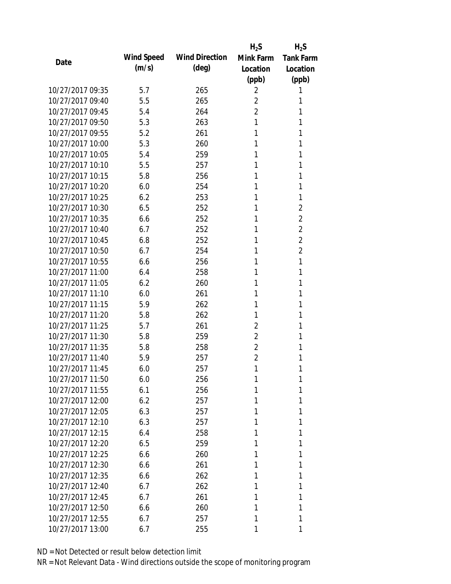|                  |            |                       | $H_2S$         | $H_2S$           |
|------------------|------------|-----------------------|----------------|------------------|
| Date             | Wind Speed | <b>Wind Direction</b> | Mink Farm      | <b>Tank Farm</b> |
|                  | (m/s)      | $(\text{deg})$        | Location       | Location         |
|                  |            |                       | (ppb)          | (ppb)            |
| 10/27/2017 09:35 | 5.7        | 265                   | 2              | 1                |
| 10/27/2017 09:40 | 5.5        | 265                   | $\overline{2}$ | 1                |
| 10/27/2017 09:45 | 5.4        | 264                   | $\overline{2}$ | 1                |
| 10/27/2017 09:50 | 5.3        | 263                   | 1              | 1                |
| 10/27/2017 09:55 | 5.2        | 261                   | 1              | 1                |
| 10/27/2017 10:00 | 5.3        | 260                   | 1              | 1                |
| 10/27/2017 10:05 | 5.4        | 259                   | 1              | 1                |
| 10/27/2017 10:10 | 5.5        | 257                   | 1              | 1                |
| 10/27/2017 10:15 | 5.8        | 256                   | 1              | 1                |
| 10/27/2017 10:20 | 6.0        | 254                   | 1              | 1                |
| 10/27/2017 10:25 | 6.2        | 253                   | 1              | 1                |
| 10/27/2017 10:30 | 6.5        | 252                   | 1              | 2                |
| 10/27/2017 10:35 | 6.6        | 252                   | 1              | $\overline{2}$   |
| 10/27/2017 10:40 | 6.7        | 252                   | 1              | $\overline{2}$   |
| 10/27/2017 10:45 | 6.8        | 252                   | 1              | $\overline{2}$   |
| 10/27/2017 10:50 | 6.7        | 254                   | 1              | $\overline{2}$   |
| 10/27/2017 10:55 | 6.6        | 256                   | 1              | 1                |
| 10/27/2017 11:00 | 6.4        | 258                   | 1              | 1                |
| 10/27/2017 11:05 | 6.2        | 260                   | 1              | 1                |
| 10/27/2017 11:10 | 6.0        | 261                   | 1              | 1                |
| 10/27/2017 11:15 | 5.9        | 262                   | 1              | 1                |
| 10/27/2017 11:20 | 5.8        | 262                   | 1              | 1                |
| 10/27/2017 11:25 | 5.7        | 261                   | $\overline{2}$ | 1                |
| 10/27/2017 11:30 | 5.8        | 259                   | $\overline{2}$ | 1                |
| 10/27/2017 11:35 | 5.8        | 258                   | $\overline{2}$ | 1                |
| 10/27/2017 11:40 | 5.9        | 257                   | $\overline{2}$ | 1                |
| 10/27/2017 11:45 | 6.0        | 257                   | 1              | 1                |
| 10/27/2017 11:50 | 6.0        | 256                   | 1              | 1                |
| 10/27/2017 11:55 | 6.1        | 256                   | 1              | 1                |
| 10/27/2017 12:00 | 6.2        | 257                   | 1              | 1                |
| 10/27/2017 12:05 | 6.3        | 257                   | 1              | 1                |
| 10/27/2017 12:10 | 6.3        | 257                   | 1              | 1                |
| 10/27/2017 12:15 | 6.4        | 258                   | 1              | 1                |
| 10/27/2017 12:20 | 6.5        | 259                   |                | 1                |
| 10/27/2017 12:25 | 6.6        | 260                   | 1              | 1                |
| 10/27/2017 12:30 |            |                       | 1              | 1                |
|                  | 6.6        | 261                   |                |                  |
| 10/27/2017 12:35 | 6.6        | 262                   | 1              | 1                |
| 10/27/2017 12:40 | 6.7        | 262                   | 1              | 1                |
| 10/27/2017 12:45 | 6.7        | 261                   | 1              | 1                |
| 10/27/2017 12:50 | 6.6        | 260                   | 1              | 1                |
| 10/27/2017 12:55 | 6.7        | 257                   | 1              | 1                |
| 10/27/2017 13:00 | 6.7        | 255                   | 1              | 1                |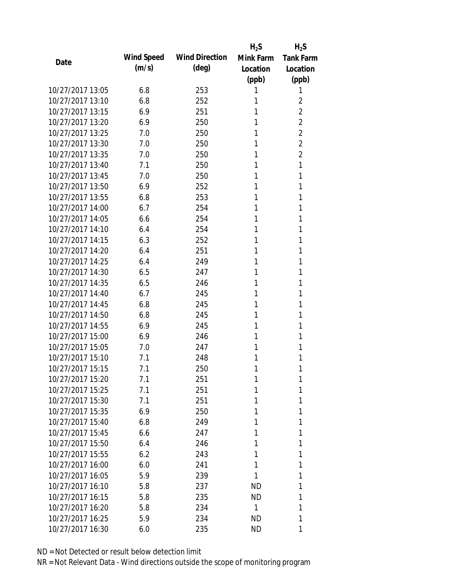|                  |                   |                       | $H_2S$    | $H_2S$           |
|------------------|-------------------|-----------------------|-----------|------------------|
| Date             | <b>Wind Speed</b> | <b>Wind Direction</b> | Mink Farm | <b>Tank Farm</b> |
|                  | (m/s)             | $(\text{deg})$        | Location  | Location         |
|                  |                   |                       | (ppb)     | (ppb)            |
| 10/27/2017 13:05 | 6.8               | 253                   | 1         | 1                |
| 10/27/2017 13:10 | 6.8               | 252                   | 1         | 2                |
| 10/27/2017 13:15 | 6.9               | 251                   | 1         | $\overline{2}$   |
| 10/27/2017 13:20 | 6.9               | 250                   | 1         | $\overline{2}$   |
| 10/27/2017 13:25 | 7.0               | 250                   | 1         | $\overline{2}$   |
| 10/27/2017 13:30 | 7.0               | 250                   | 1         | $\overline{2}$   |
| 10/27/2017 13:35 | 7.0               | 250                   | 1         | $\overline{2}$   |
| 10/27/2017 13:40 | 7.1               | 250                   | 1         | 1                |
| 10/27/2017 13:45 | 7.0               | 250                   | 1         | 1                |
| 10/27/2017 13:50 | 6.9               | 252                   | 1         | 1                |
| 10/27/2017 13:55 | 6.8               | 253                   | 1         | 1                |
| 10/27/2017 14:00 | 6.7               | 254                   | 1         | 1                |
| 10/27/2017 14:05 | 6.6               | 254                   | 1         | 1                |
| 10/27/2017 14:10 | 6.4               | 254                   | 1         | 1                |
| 10/27/2017 14:15 | 6.3               | 252                   | 1         | 1                |
| 10/27/2017 14:20 | 6.4               | 251                   | 1         | 1                |
| 10/27/2017 14:25 | 6.4               | 249                   | 1         | 1                |
| 10/27/2017 14:30 | 6.5               | 247                   | 1         | 1                |
| 10/27/2017 14:35 | 6.5               | 246                   | 1         | 1                |
| 10/27/2017 14:40 | 6.7               | 245                   | 1         | 1                |
| 10/27/2017 14:45 | 6.8               | 245                   | 1         | 1                |
| 10/27/2017 14:50 | 6.8               | 245                   | 1         | 1                |
| 10/27/2017 14:55 | 6.9               | 245                   | 1         | 1                |
| 10/27/2017 15:00 | 6.9               | 246                   | 1         | 1                |
| 10/27/2017 15:05 | 7.0               | 247                   | 1         | 1                |
| 10/27/2017 15:10 | 7.1               | 248                   | 1         | 1                |
| 10/27/2017 15:15 | 7.1               | 250                   | 1         | 1                |
| 10/27/2017 15:20 | 7.1               | 251                   | 1         | 1                |
| 10/27/2017 15:25 | 7.1               | 251                   | 1         | 1                |
| 10/27/2017 15:30 | 7.1               | 251                   | 1         | 1                |
| 10/27/2017 15:35 | 6.9               | 250                   | 1         | 1                |
| 10/27/2017 15:40 | 6.8               | 249                   | 1         | 1                |
| 10/27/2017 15:45 | 6.6               | 247                   | 1         | 1                |
| 10/27/2017 15:50 | 6.4               | 246                   |           | 1                |
| 10/27/2017 15:55 | 6.2               | 243                   | 1         | 1                |
| 10/27/2017 16:00 | 6.0               | 241                   | 1         | 1                |
| 10/27/2017 16:05 | 5.9               | 239                   | 1         | 1                |
| 10/27/2017 16:10 | 5.8               | 237                   | ND        | 1                |
| 10/27/2017 16:15 | 5.8               | 235                   | <b>ND</b> | 1                |
| 10/27/2017 16:20 | 5.8               | 234                   | 1         | 1                |
| 10/27/2017 16:25 | 5.9               | 234                   | <b>ND</b> | 1                |
| 10/27/2017 16:30 | 6.0               | 235                   | <b>ND</b> | 1                |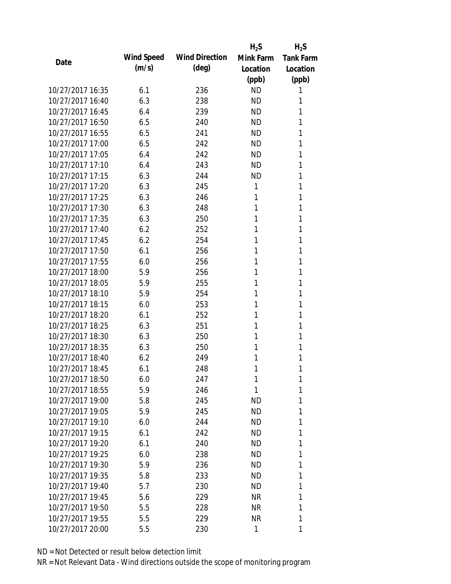|                  |            |                       | $H_2S$    | $H_2S$           |
|------------------|------------|-----------------------|-----------|------------------|
| Date             | Wind Speed | <b>Wind Direction</b> | Mink Farm | <b>Tank Farm</b> |
|                  | (m/s)      | $(\text{deg})$        | Location  | Location         |
|                  |            |                       | (ppb)     | (ppb)            |
| 10/27/2017 16:35 | 6.1        | 236                   | <b>ND</b> | 1                |
| 10/27/2017 16:40 | 6.3        | 238                   | <b>ND</b> | 1                |
| 10/27/2017 16:45 | 6.4        | 239                   | <b>ND</b> | 1                |
| 10/27/2017 16:50 | 6.5        | 240                   | <b>ND</b> | 1                |
| 10/27/2017 16:55 | 6.5        | 241                   | <b>ND</b> | 1                |
| 10/27/2017 17:00 | 6.5        | 242                   | ND        | 1                |
| 10/27/2017 17:05 | 6.4        | 242                   | ND        | 1                |
| 10/27/2017 17:10 | 6.4        | 243                   | <b>ND</b> | 1                |
| 10/27/2017 17:15 | 6.3        | 244                   | <b>ND</b> | 1                |
| 10/27/2017 17:20 | 6.3        | 245                   | 1         | 1                |
| 10/27/2017 17:25 | 6.3        | 246                   | 1         | 1                |
| 10/27/2017 17:30 | 6.3        | 248                   | 1         | 1                |
| 10/27/2017 17:35 | 6.3        | 250                   | 1         | 1                |
| 10/27/2017 17:40 | 6.2        | 252                   | 1         | 1                |
| 10/27/2017 17:45 | 6.2        | 254                   | 1         | 1                |
| 10/27/2017 17:50 | 6.1        | 256                   | 1         | 1                |
| 10/27/2017 17:55 | 6.0        | 256                   | 1         | 1                |
| 10/27/2017 18:00 | 5.9        | 256                   | 1         | 1                |
| 10/27/2017 18:05 | 5.9        | 255                   | 1         | 1                |
| 10/27/2017 18:10 | 5.9        | 254                   | 1         | 1                |
| 10/27/2017 18:15 | 6.0        | 253                   | 1         | 1                |
| 10/27/2017 18:20 | 6.1        | 252                   | 1         | 1                |
| 10/27/2017 18:25 | 6.3        | 251                   | 1         | 1                |
| 10/27/2017 18:30 | 6.3        | 250                   | 1         | 1                |
| 10/27/2017 18:35 | 6.3        | 250                   | 1         | 1                |
| 10/27/2017 18:40 | 6.2        | 249                   | 1         | 1                |
| 10/27/2017 18:45 | 6.1        | 248                   | 1         | 1                |
| 10/27/2017 18:50 | 6.0        | 247                   | 1         | 1                |
| 10/27/2017 18:55 | 5.9        | 246                   | 1         | 1                |
| 10/27/2017 19:00 | 5.8        | 245                   | ND        | 1                |
| 10/27/2017 19:05 | 5.9        | 245                   | ND        | 1                |
| 10/27/2017 19:10 | 6.0        | 244                   | <b>ND</b> | 1                |
| 10/27/2017 19:15 | 6.1        | 242                   | ND        | 1                |
| 10/27/2017 19:20 | 6.1        | 240                   | <b>ND</b> | 1                |
| 10/27/2017 19:25 | 6.0        | 238                   | ND        | 1                |
| 10/27/2017 19:30 | 5.9        | 236                   | <b>ND</b> | 1                |
| 10/27/2017 19:35 | 5.8        | 233                   | ND        | 1                |
| 10/27/2017 19:40 | 5.7        | 230                   | ND        | 1                |
| 10/27/2017 19:45 | 5.6        | 229                   | <b>NR</b> | 1                |
| 10/27/2017 19:50 | 5.5        | 228                   | NR        | 1                |
| 10/27/2017 19:55 | 5.5        | 229                   | <b>NR</b> | 1                |
| 10/27/2017 20:00 | 5.5        | 230                   | 1         | 1                |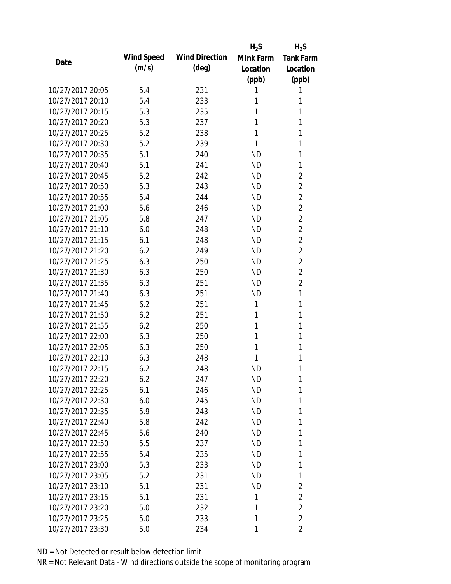|                  |                   |                       | $H_2S$    | $H_2S$           |
|------------------|-------------------|-----------------------|-----------|------------------|
| Date             | <b>Wind Speed</b> | <b>Wind Direction</b> | Mink Farm | <b>Tank Farm</b> |
|                  | (m/s)             | $(\text{deg})$        | Location  | Location         |
|                  |                   |                       | (ppb)     | (ppb)            |
| 10/27/2017 20:05 | 5.4               | 231                   | 1         | 1                |
| 10/27/2017 20:10 | 5.4               | 233                   | 1         | 1                |
| 10/27/2017 20:15 | 5.3               | 235                   | 1         | 1                |
| 10/27/2017 20:20 | 5.3               | 237                   | 1         | 1                |
| 10/27/2017 20:25 | 5.2               | 238                   | 1         | 1                |
| 10/27/2017 20:30 | 5.2               | 239                   | 1         | 1                |
| 10/27/2017 20:35 | 5.1               | 240                   | <b>ND</b> | 1                |
| 10/27/2017 20:40 | 5.1               | 241                   | <b>ND</b> | 1                |
| 10/27/2017 20:45 | 5.2               | 242                   | <b>ND</b> | $\overline{2}$   |
| 10/27/2017 20:50 | 5.3               | 243                   | <b>ND</b> | $\overline{2}$   |
| 10/27/2017 20:55 | 5.4               | 244                   | <b>ND</b> | $\overline{2}$   |
| 10/27/2017 21:00 | 5.6               | 246                   | <b>ND</b> | $\overline{2}$   |
| 10/27/2017 21:05 | 5.8               | 247                   | <b>ND</b> | $\overline{2}$   |
| 10/27/2017 21:10 | 6.0               | 248                   | <b>ND</b> | $\overline{2}$   |
| 10/27/2017 21:15 | 6.1               | 248                   | <b>ND</b> | $\overline{2}$   |
| 10/27/2017 21:20 | 6.2               | 249                   | <b>ND</b> | $\overline{2}$   |
| 10/27/2017 21:25 | 6.3               | 250                   | <b>ND</b> | $\overline{2}$   |
| 10/27/2017 21:30 | 6.3               | 250                   | <b>ND</b> | $\overline{2}$   |
| 10/27/2017 21:35 | 6.3               | 251                   | <b>ND</b> | $\overline{2}$   |
| 10/27/2017 21:40 | 6.3               | 251                   | <b>ND</b> | 1                |
| 10/27/2017 21:45 | 6.2               | 251                   | 1         | 1                |
| 10/27/2017 21:50 | 6.2               | 251                   | 1         | 1                |
| 10/27/2017 21:55 | 6.2               | 250                   | 1         | 1                |
| 10/27/2017 22:00 | 6.3               | 250                   | 1         | 1                |
| 10/27/2017 22:05 | 6.3               | 250                   | 1         | 1                |
| 10/27/2017 22:10 | 6.3               | 248                   | 1         | 1                |
| 10/27/2017 22:15 | 6.2               | 248                   | <b>ND</b> | 1                |
| 10/27/2017 22:20 | 6.2               | 247                   | ND        | 1                |
| 10/27/2017 22:25 | 6.1               | 246                   | <b>ND</b> | 1                |
| 10/27/2017 22:30 | 6.0               | 245                   | <b>ND</b> | 1                |
| 10/27/2017 22:35 | 5.9               | 243                   | <b>ND</b> | 1                |
| 10/27/2017 22:40 | 5.8               | 242                   | <b>ND</b> | 1                |
| 10/27/2017 22:45 | 5.6               | 240                   | <b>ND</b> | 1                |
| 10/27/2017 22:50 | 5.5               | 237                   | <b>ND</b> | 1                |
| 10/27/2017 22:55 | 5.4               | 235                   | <b>ND</b> | 1                |
| 10/27/2017 23:00 | 5.3               | 233                   | <b>ND</b> | 1                |
| 10/27/2017 23:05 | 5.2               | 231                   | ND        | 1                |
| 10/27/2017 23:10 | 5.1               | 231                   | ND        | $\overline{2}$   |
| 10/27/2017 23:15 | 5.1               | 231                   | 1         | $\overline{2}$   |
| 10/27/2017 23:20 | 5.0               | 232                   | 1         | $\overline{2}$   |
| 10/27/2017 23:25 | 5.0               | 233                   | 1         | $\overline{2}$   |
| 10/27/2017 23:30 | 5.0               | 234                   | 1         | $\overline{2}$   |
|                  |                   |                       |           |                  |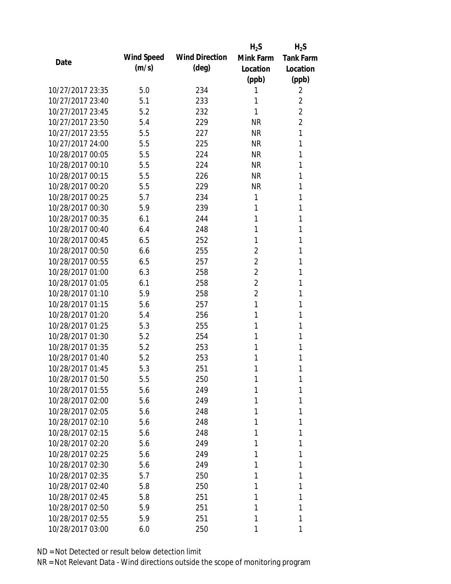|                  |                   |                       | $H_2S$         | $H_2S$           |
|------------------|-------------------|-----------------------|----------------|------------------|
| Date             | <b>Wind Speed</b> | <b>Wind Direction</b> | Mink Farm      | <b>Tank Farm</b> |
|                  | (m/s)             | (deg)                 | Location       | Location         |
|                  |                   |                       | (ppb)          | (ppb)            |
| 10/27/2017 23:35 | 5.0               | 234                   | 1              | 2                |
| 10/27/2017 23:40 | 5.1               | 233                   | 1              | $\overline{2}$   |
| 10/27/2017 23:45 | 5.2               | 232                   | 1              | $\overline{2}$   |
| 10/27/2017 23:50 | 5.4               | 229                   | <b>NR</b>      | $\overline{2}$   |
| 10/27/2017 23:55 | 5.5               | 227                   | <b>NR</b>      | 1                |
| 10/27/2017 24:00 | 5.5               | 225                   | <b>NR</b>      | 1                |
| 10/28/2017 00:05 | 5.5               | 224                   | <b>NR</b>      | 1                |
| 10/28/2017 00:10 | 5.5               | 224                   | <b>NR</b>      | 1                |
| 10/28/2017 00:15 | 5.5               | 226                   | <b>NR</b>      | 1                |
| 10/28/2017 00:20 | 5.5               | 229                   | <b>NR</b>      | 1                |
| 10/28/2017 00:25 | 5.7               | 234                   | 1              | 1                |
| 10/28/2017 00:30 | 5.9               | 239                   | 1              | 1                |
| 10/28/2017 00:35 | 6.1               | 244                   | 1              | 1                |
| 10/28/2017 00:40 | 6.4               | 248                   | 1              | 1                |
| 10/28/2017 00:45 | 6.5               | 252                   | 1              | 1                |
| 10/28/2017 00:50 | 6.6               | 255                   | $\overline{2}$ | 1                |
| 10/28/2017 00:55 | 6.5               | 257                   | $\overline{2}$ | 1                |
| 10/28/2017 01:00 | 6.3               | 258                   | $\overline{2}$ | 1                |
| 10/28/2017 01:05 | 6.1               | 258                   | $\overline{2}$ | 1                |
| 10/28/2017 01:10 | 5.9               | 258                   | $\overline{2}$ | 1                |
| 10/28/2017 01:15 | 5.6               | 257                   | 1              | 1                |
| 10/28/2017 01:20 | 5.4               | 256                   | 1              | 1                |
| 10/28/2017 01:25 | 5.3               | 255                   | 1              | 1                |
| 10/28/2017 01:30 | 5.2               | 254                   | 1              | 1                |
| 10/28/2017 01:35 | 5.2               | 253                   | 1              | 1                |
| 10/28/2017 01:40 | 5.2               | 253                   | 1              | 1                |
| 10/28/2017 01:45 | 5.3               | 251                   | 1              | 1                |
| 10/28/2017 01:50 | 5.5               | 250                   | 1              | 1                |
| 10/28/2017 01:55 | 5.6               | 249                   | 1              | 1                |
| 10/28/2017 02:00 | 5.6               | 249                   | 1              | 1                |
| 10/28/2017 02:05 | 5.6               | 248                   | 1              | 1                |
| 10/28/2017 02:10 | 5.6               | 248                   | 1              | 1                |
| 10/28/2017 02:15 | 5.6               | 248                   | 1              | 1                |
| 10/28/2017 02:20 | 5.6               | 249                   | 1              | 1                |
| 10/28/2017 02:25 | 5.6               | 249                   | 1              | 1                |
| 10/28/2017 02:30 | 5.6               | 249                   | 1              | 1                |
| 10/28/2017 02:35 | 5.7               | 250                   | 1              | 1                |
| 10/28/2017 02:40 | 5.8               | 250                   | 1              | 1                |
| 10/28/2017 02:45 | 5.8               | 251                   | 1              | 1                |
| 10/28/2017 02:50 | 5.9               | 251                   | 1              | 1                |
| 10/28/2017 02:55 | 5.9               | 251                   | 1              | 1                |
| 10/28/2017 03:00 | 6.0               | 250                   | 1              | 1                |
|                  |                   |                       |                |                  |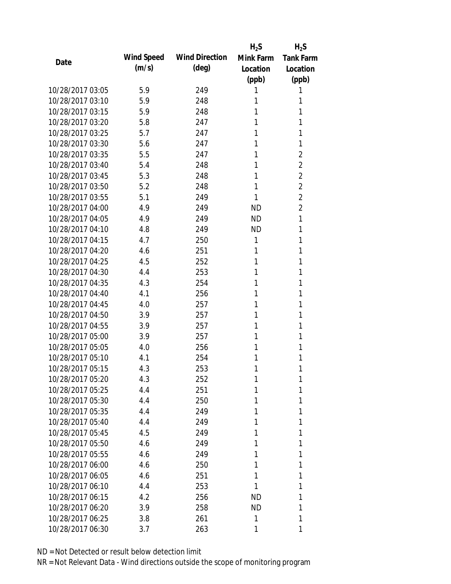|                  |                   |                       | $H_2S$    | $H_2S$           |
|------------------|-------------------|-----------------------|-----------|------------------|
| Date             | <b>Wind Speed</b> | <b>Wind Direction</b> | Mink Farm | <b>Tank Farm</b> |
|                  | (m/s)             | $(\text{deg})$        | Location  | Location         |
|                  |                   |                       | (ppb)     | (ppb)            |
| 10/28/2017 03:05 | 5.9               | 249                   | 1         | 1                |
| 10/28/2017 03:10 | 5.9               | 248                   | 1         | 1                |
| 10/28/2017 03:15 | 5.9               | 248                   | 1         | 1                |
| 10/28/2017 03:20 | 5.8               | 247                   | 1         | 1                |
| 10/28/2017 03:25 | 5.7               | 247                   | 1         | 1                |
| 10/28/2017 03:30 | 5.6               | 247                   | 1         | 1                |
| 10/28/2017 03:35 | 5.5               | 247                   | 1         | $\overline{2}$   |
| 10/28/2017 03:40 | 5.4               | 248                   | 1         | $\overline{2}$   |
| 10/28/2017 03:45 | 5.3               | 248                   | 1         | $\overline{2}$   |
| 10/28/2017 03:50 | 5.2               | 248                   | 1         | $\overline{2}$   |
| 10/28/2017 03:55 | 5.1               | 249                   | 1         | $\overline{2}$   |
| 10/28/2017 04:00 | 4.9               | 249                   | <b>ND</b> | $\overline{2}$   |
| 10/28/2017 04:05 | 4.9               | 249                   | <b>ND</b> | 1                |
| 10/28/2017 04:10 | 4.8               | 249                   | <b>ND</b> | 1                |
| 10/28/2017 04:15 | 4.7               | 250                   | 1         | 1                |
| 10/28/2017 04:20 | 4.6               | 251                   | 1         | 1                |
| 10/28/2017 04:25 | 4.5               | 252                   | 1         | 1                |
| 10/28/2017 04:30 | 4.4               | 253                   | 1         | 1                |
| 10/28/2017 04:35 | 4.3               | 254                   | 1         | 1                |
| 10/28/2017 04:40 | 4.1               | 256                   | 1         | 1                |
| 10/28/2017 04:45 | 4.0               | 257                   | 1         | 1                |
| 10/28/2017 04:50 | 3.9               | 257                   | 1         | 1                |
| 10/28/2017 04:55 | 3.9               | 257                   | 1         | 1                |
| 10/28/2017 05:00 | 3.9               | 257                   | 1         | 1                |
| 10/28/2017 05:05 | 4.0               | 256                   | 1         | 1                |
| 10/28/2017 05:10 | 4.1               | 254                   | 1         | 1                |
| 10/28/2017 05:15 | 4.3               | 253                   | 1         | 1                |
| 10/28/2017 05:20 | 4.3               | 252                   | 1         | 1                |
| 10/28/2017 05:25 | 4.4               | 251                   |           | 1                |
| 10/28/2017 05:30 | 4.4               | 250                   | 1         | 1                |
| 10/28/2017 05:35 | 4.4               | 249                   | 1         | 1                |
| 10/28/2017 05:40 | 4.4               | 249                   | 1         | 1                |
| 10/28/2017 05:45 | 4.5               | 249                   | 1         | 1                |
| 10/28/2017 05:50 | 4.6               | 249                   |           | 1                |
| 10/28/2017 05:55 | 4.6               | 249                   | 1         | 1                |
| 10/28/2017 06:00 | 4.6               | 250                   | 1         | 1                |
| 10/28/2017 06:05 |                   |                       | 1         |                  |
| 10/28/2017 06:10 | 4.6               | 251<br>253            | 1         | 1<br>1           |
| 10/28/2017 06:15 | 4.4               |                       |           |                  |
| 10/28/2017 06:20 | 4.2               | 256                   | ND        | 1                |
|                  | 3.9               | 258                   | ND        | 1                |
| 10/28/2017 06:25 | 3.8               | 261                   | 1         | 1                |
| 10/28/2017 06:30 | 3.7               | 263                   | 1         | 1                |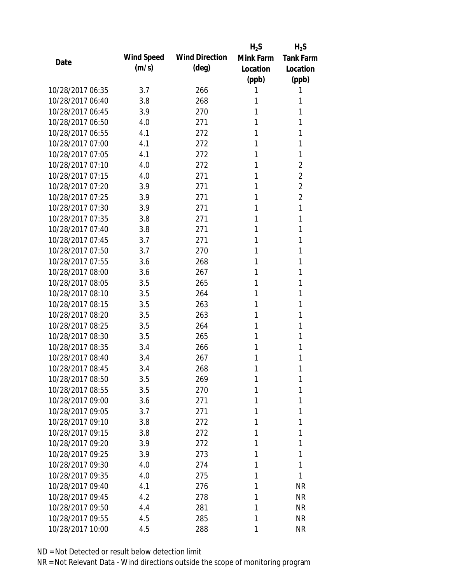|                  |                   |                       | $H_2S$    | $H_2S$           |
|------------------|-------------------|-----------------------|-----------|------------------|
| Date             | <b>Wind Speed</b> | <b>Wind Direction</b> | Mink Farm | <b>Tank Farm</b> |
|                  | (m/s)             | $(\text{deg})$        | Location  | Location         |
|                  |                   |                       | (ppb)     | (ppb)            |
| 10/28/2017 06:35 | 3.7               | 266                   | 1         | 1                |
| 10/28/2017 06:40 | 3.8               | 268                   | 1         | 1                |
| 10/28/2017 06:45 | 3.9               | 270                   | 1         | 1                |
| 10/28/2017 06:50 | 4.0               | 271                   | 1         | 1                |
| 10/28/2017 06:55 | 4.1               | 272                   | 1         | 1                |
| 10/28/2017 07:00 | 4.1               | 272                   | 1         | 1                |
| 10/28/2017 07:05 | 4.1               | 272                   | 1         | 1                |
| 10/28/2017 07:10 | 4.0               | 272                   | 1         | $\overline{2}$   |
| 10/28/2017 07:15 | 4.0               | 271                   | 1         | $\overline{2}$   |
| 10/28/2017 07:20 | 3.9               | 271                   | 1         | $\overline{2}$   |
| 10/28/2017 07:25 | 3.9               | 271                   | 1         | $\overline{2}$   |
| 10/28/2017 07:30 | 3.9               | 271                   | 1         | 1                |
| 10/28/2017 07:35 | 3.8               | 271                   | 1         | 1                |
| 10/28/2017 07:40 | 3.8               | 271                   | 1         | 1                |
| 10/28/2017 07:45 | 3.7               | 271                   | 1         | 1                |
| 10/28/2017 07:50 | 3.7               | 270                   | 1         | 1                |
| 10/28/2017 07:55 | 3.6               | 268                   | 1         | 1                |
| 10/28/2017 08:00 | 3.6               | 267                   | 1         | 1                |
| 10/28/2017 08:05 | 3.5               | 265                   | 1         | 1                |
| 10/28/2017 08:10 | 3.5               | 264                   | 1         | 1                |
| 10/28/2017 08:15 | 3.5               | 263                   | 1         | 1                |
| 10/28/2017 08:20 | 3.5               | 263                   | 1         | 1                |
| 10/28/2017 08:25 | 3.5               | 264                   | 1         | 1                |
| 10/28/2017 08:30 | 3.5               | 265                   | 1         | 1                |
| 10/28/2017 08:35 | 3.4               | 266                   | 1         | 1                |
| 10/28/2017 08:40 | 3.4               | 267                   | 1         | 1                |
| 10/28/2017 08:45 | 3.4               | 268                   | 1         | 1                |
| 10/28/2017 08:50 | 3.5               | 269                   | 1         | 1                |
| 10/28/2017 08:55 | 3.5               | 270                   | 1         | 1                |
| 10/28/2017 09:00 | 3.6               | 271                   | 1         | 1                |
| 10/28/2017 09:05 | 3.7               | 271                   | 1         | 1                |
| 10/28/2017 09:10 | 3.8               | 272                   | 1         | 1                |
| 10/28/2017 09:15 | 3.8               | 272                   | 1         | 1                |
| 10/28/2017 09:20 | 3.9               | 272                   | 1         | 1                |
| 10/28/2017 09:25 | 3.9               | 273                   | 1         | 1                |
| 10/28/2017 09:30 | 4.0               | 274                   | 1         | 1                |
| 10/28/2017 09:35 | 4.0               | 275                   | 1         | 1                |
| 10/28/2017 09:40 | 4.1               | 276                   | 1         | <b>NR</b>        |
| 10/28/2017 09:45 | 4.2               | 278                   | 1         | <b>NR</b>        |
| 10/28/2017 09:50 | 4.4               | 281                   | 1         | <b>NR</b>        |
| 10/28/2017 09:55 | 4.5               | 285                   | 1         | <b>NR</b>        |
| 10/28/2017 10:00 | 4.5               | 288                   | 1         | <b>NR</b>        |
|                  |                   |                       |           |                  |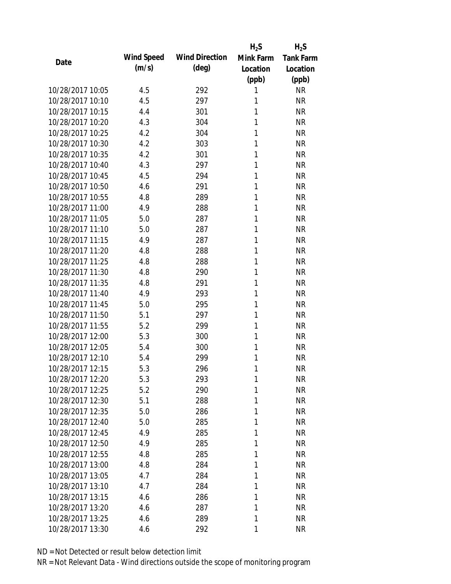|                  |                   |                       | $H_2S$    | $H_2S$           |
|------------------|-------------------|-----------------------|-----------|------------------|
| Date             | <b>Wind Speed</b> | <b>Wind Direction</b> | Mink Farm | <b>Tank Farm</b> |
|                  | (m/s)             | $(\text{deg})$        | Location  | Location         |
|                  |                   |                       | (ppb)     | (ppb)            |
| 10/28/2017 10:05 | 4.5               | 292                   | 1         | <b>NR</b>        |
| 10/28/2017 10:10 | 4.5               | 297                   | 1         | <b>NR</b>        |
| 10/28/2017 10:15 | 4.4               | 301                   | 1         | <b>NR</b>        |
| 10/28/2017 10:20 | 4.3               | 304                   | 1         | <b>NR</b>        |
| 10/28/2017 10:25 | 4.2               | 304                   | 1         | <b>NR</b>        |
| 10/28/2017 10:30 | 4.2               | 303                   | 1         | <b>NR</b>        |
| 10/28/2017 10:35 | 4.2               | 301                   | 1         | <b>NR</b>        |
| 10/28/2017 10:40 | 4.3               | 297                   | 1         | <b>NR</b>        |
| 10/28/2017 10:45 | 4.5               | 294                   | 1         | <b>NR</b>        |
| 10/28/2017 10:50 | 4.6               | 291                   | 1         | <b>NR</b>        |
| 10/28/2017 10:55 | 4.8               | 289                   | 1         | <b>NR</b>        |
| 10/28/2017 11:00 | 4.9               | 288                   | 1         | <b>NR</b>        |
| 10/28/2017 11:05 | 5.0               | 287                   | 1         | <b>NR</b>        |
| 10/28/2017 11:10 | 5.0               | 287                   | 1         | <b>NR</b>        |
| 10/28/2017 11:15 | 4.9               | 287                   | 1         | <b>NR</b>        |
| 10/28/2017 11:20 | 4.8               | 288                   | 1         | <b>NR</b>        |
| 10/28/2017 11:25 | 4.8               | 288                   | 1         | <b>NR</b>        |
| 10/28/2017 11:30 | 4.8               | 290                   | 1         | <b>NR</b>        |
| 10/28/2017 11:35 | 4.8               | 291                   | 1         | <b>NR</b>        |
| 10/28/2017 11:40 | 4.9               | 293                   | 1         | <b>NR</b>        |
| 10/28/2017 11:45 | 5.0               | 295                   | 1         | <b>NR</b>        |
| 10/28/2017 11:50 | 5.1               | 297                   | 1         | <b>NR</b>        |
| 10/28/2017 11:55 | 5.2               | 299                   | 1         | <b>NR</b>        |
| 10/28/2017 12:00 | 5.3               | 300                   | 1         | <b>NR</b>        |
| 10/28/2017 12:05 | 5.4               | 300                   | 1         | <b>NR</b>        |
| 10/28/2017 12:10 | 5.4               | 299                   | 1         | <b>NR</b>        |
| 10/28/2017 12:15 | 5.3               | 296                   | 1         | <b>NR</b>        |
| 10/28/2017 12:20 | 5.3               | 293                   | 1         | <b>NR</b>        |
| 10/28/2017 12:25 | 5.2               | 290                   | 1         | <b>NR</b>        |
| 10/28/2017 12:30 | 5.1               | 288                   | 1         | <b>NR</b>        |
| 10/28/2017 12:35 | 5.0               | 286                   | 1         | <b>NR</b>        |
| 10/28/2017 12:40 | 5.0               | 285                   | 1         | <b>NR</b>        |
| 10/28/2017 12:45 | 4.9               | 285                   | 1         | <b>NR</b>        |
| 10/28/2017 12:50 | 4.9               | 285                   | 1         | <b>NR</b>        |
| 10/28/2017 12:55 | 4.8               | 285                   | 1         | <b>NR</b>        |
| 10/28/2017 13:00 | 4.8               | 284                   | 1         | <b>NR</b>        |
| 10/28/2017 13:05 | 4.7               | 284                   | 1         | <b>NR</b>        |
| 10/28/2017 13:10 | 4.7               | 284                   | 1         | <b>NR</b>        |
| 10/28/2017 13:15 | 4.6               | 286                   | 1         | <b>NR</b>        |
| 10/28/2017 13:20 | 4.6               | 287                   | 1         | <b>NR</b>        |
| 10/28/2017 13:25 | 4.6               | 289                   | 1         | <b>NR</b>        |
| 10/28/2017 13:30 | 4.6               | 292                   | 1         | <b>NR</b>        |
|                  |                   |                       |           |                  |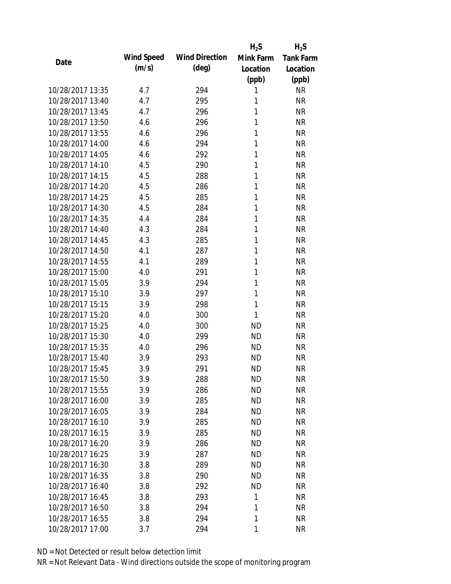|                  |                   |                       | $H_2S$    | $H_2S$           |
|------------------|-------------------|-----------------------|-----------|------------------|
| Date             | <b>Wind Speed</b> | <b>Wind Direction</b> | Mink Farm | <b>Tank Farm</b> |
|                  | (m/s)             | $(\text{deg})$        | Location  | Location         |
|                  |                   |                       | (ppb)     | (ppb)            |
| 10/28/2017 13:35 | 4.7               | 294                   | 1         | <b>NR</b>        |
| 10/28/2017 13:40 | 4.7               | 295                   | 1         | <b>NR</b>        |
| 10/28/2017 13:45 | 4.7               | 296                   | 1         | <b>NR</b>        |
| 10/28/2017 13:50 | 4.6               | 296                   | 1         | <b>NR</b>        |
| 10/28/2017 13:55 | 4.6               | 296                   | 1         | <b>NR</b>        |
| 10/28/2017 14:00 | 4.6               | 294                   | 1         | <b>NR</b>        |
| 10/28/2017 14:05 | 4.6               | 292                   | 1         | <b>NR</b>        |
| 10/28/2017 14:10 | 4.5               | 290                   | 1         | <b>NR</b>        |
| 10/28/2017 14:15 | 4.5               | 288                   | 1         | <b>NR</b>        |
| 10/28/2017 14:20 | 4.5               | 286                   | 1         | <b>NR</b>        |
| 10/28/2017 14:25 | 4.5               | 285                   | 1         | <b>NR</b>        |
| 10/28/2017 14:30 | 4.5               | 284                   | 1         | <b>NR</b>        |
| 10/28/2017 14:35 | 4.4               | 284                   | 1         | <b>NR</b>        |
| 10/28/2017 14:40 | 4.3               | 284                   | 1         | <b>NR</b>        |
| 10/28/2017 14:45 | 4.3               | 285                   | 1         | <b>NR</b>        |
| 10/28/2017 14:50 | 4.1               | 287                   | 1         | <b>NR</b>        |
| 10/28/2017 14:55 | 4.1               | 289                   | 1         | <b>NR</b>        |
| 10/28/2017 15:00 | 4.0               | 291                   | 1         | <b>NR</b>        |
| 10/28/2017 15:05 | 3.9               | 294                   | 1         | <b>NR</b>        |
| 10/28/2017 15:10 | 3.9               | 297                   | 1         | <b>NR</b>        |
| 10/28/2017 15:15 | 3.9               | 298                   | 1         | <b>NR</b>        |
| 10/28/2017 15:20 | 4.0               | 300                   | 1         | <b>NR</b>        |
| 10/28/2017 15:25 | 4.0               | 300                   | <b>ND</b> | <b>NR</b>        |
| 10/28/2017 15:30 | 4.0               | 299                   | <b>ND</b> | <b>NR</b>        |
| 10/28/2017 15:35 | 4.0               | 296                   | <b>ND</b> | <b>NR</b>        |
| 10/28/2017 15:40 | 3.9               | 293                   | <b>ND</b> | <b>NR</b>        |
| 10/28/2017 15:45 | 3.9               | 291                   | <b>ND</b> | <b>NR</b>        |
| 10/28/2017 15:50 | 3.9               | 288                   | <b>ND</b> | <b>NR</b>        |
| 10/28/2017 15:55 | 3.9               | 286                   | <b>ND</b> | <b>NR</b>        |
| 10/28/2017 16:00 | 3.9               | 285                   | <b>ND</b> | <b>NR</b>        |
| 10/28/2017 16:05 | 3.9               | 284                   | <b>ND</b> | <b>NR</b>        |
| 10/28/2017 16:10 | 3.9               | 285                   | <b>ND</b> | <b>NR</b>        |
| 10/28/2017 16:15 | 3.9               | 285                   | <b>ND</b> | <b>NR</b>        |
| 10/28/2017 16:20 | 3.9               | 286                   | <b>ND</b> | <b>NR</b>        |
| 10/28/2017 16:25 | 3.9               | 287                   | <b>ND</b> | <b>NR</b>        |
| 10/28/2017 16:30 | 3.8               | 289                   | <b>ND</b> | <b>NR</b>        |
| 10/28/2017 16:35 | 3.8               | 290                   | ND.       | <b>NR</b>        |
| 10/28/2017 16:40 | 3.8               | 292                   | <b>ND</b> | <b>NR</b>        |
| 10/28/2017 16:45 | 3.8               | 293                   | 1         | <b>NR</b>        |
| 10/28/2017 16:50 | 3.8               | 294                   | 1         | <b>NR</b>        |
| 10/28/2017 16:55 | 3.8               | 294                   | 1         | <b>NR</b>        |
| 10/28/2017 17:00 | 3.7               | 294                   | 1         | <b>NR</b>        |
|                  |                   |                       |           |                  |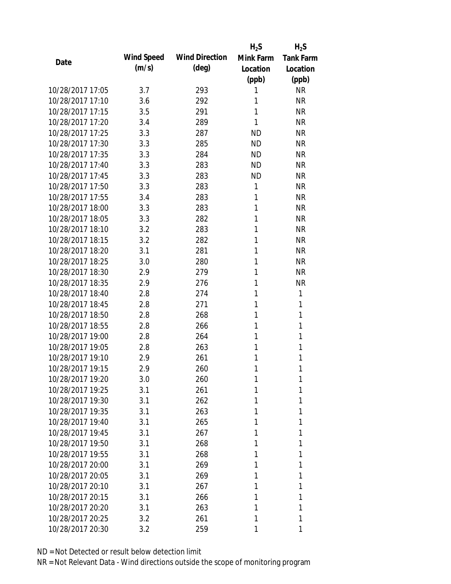|                  |                   |                       | $H_2S$    | $H_2S$           |
|------------------|-------------------|-----------------------|-----------|------------------|
| Date             | <b>Wind Speed</b> | <b>Wind Direction</b> | Mink Farm | <b>Tank Farm</b> |
|                  | (m/s)             | $(\text{deg})$        | Location  | Location         |
|                  |                   |                       | (ppb)     | (ppb)            |
| 10/28/2017 17:05 | 3.7               | 293                   | 1         | <b>NR</b>        |
| 10/28/2017 17:10 | 3.6               | 292                   | 1         | <b>NR</b>        |
| 10/28/2017 17:15 | 3.5               | 291                   | 1         | <b>NR</b>        |
| 10/28/2017 17:20 | 3.4               | 289                   | 1         | <b>NR</b>        |
| 10/28/2017 17:25 | 3.3               | 287                   | <b>ND</b> | <b>NR</b>        |
| 10/28/2017 17:30 | 3.3               | 285                   | <b>ND</b> | <b>NR</b>        |
| 10/28/2017 17:35 | 3.3               | 284                   | <b>ND</b> | <b>NR</b>        |
| 10/28/2017 17:40 | 3.3               | 283                   | <b>ND</b> | <b>NR</b>        |
| 10/28/2017 17:45 | 3.3               | 283                   | <b>ND</b> | <b>NR</b>        |
| 10/28/2017 17:50 | 3.3               | 283                   | 1         | <b>NR</b>        |
| 10/28/2017 17:55 | 3.4               | 283                   | 1         | <b>NR</b>        |
| 10/28/2017 18:00 | 3.3               | 283                   | 1         | <b>NR</b>        |
| 10/28/2017 18:05 | 3.3               | 282                   | 1         | <b>NR</b>        |
| 10/28/2017 18:10 | 3.2               | 283                   | 1         | <b>NR</b>        |
| 10/28/2017 18:15 | 3.2               | 282                   | 1         | <b>NR</b>        |
| 10/28/2017 18:20 | 3.1               | 281                   | 1         | <b>NR</b>        |
| 10/28/2017 18:25 | 3.0               | 280                   | 1         | <b>NR</b>        |
| 10/28/2017 18:30 | 2.9               | 279                   | 1         | <b>NR</b>        |
| 10/28/2017 18:35 | 2.9               | 276                   | 1         | <b>NR</b>        |
| 10/28/2017 18:40 | 2.8               | 274                   | 1         | 1                |
| 10/28/2017 18:45 | 2.8               | 271                   | 1         | 1                |
| 10/28/2017 18:50 | 2.8               | 268                   | 1         | 1                |
| 10/28/2017 18:55 | 2.8               | 266                   | 1         | 1                |
| 10/28/2017 19:00 | 2.8               | 264                   | 1         | 1                |
| 10/28/2017 19:05 | 2.8               | 263                   | 1         | 1                |
| 10/28/2017 19:10 | 2.9               | 261                   | 1         | 1                |
| 10/28/2017 19:15 | 2.9               | 260                   | 1         | 1                |
| 10/28/2017 19:20 | 3.0               | 260                   | 1         | 1                |
| 10/28/2017 19:25 | 3.1               | 261                   | 1         | 1                |
| 10/28/2017 19:30 | 3.1               | 262                   | 1         | 1                |
| 10/28/2017 19:35 | 3.1               | 263                   | 1         | 1                |
| 10/28/2017 19:40 | 3.1               | 265                   | 1         | 1                |
| 10/28/2017 19:45 | 3.1               | 267                   | 1         | 1                |
| 10/28/2017 19:50 | 3.1               | 268                   | 1         | 1                |
| 10/28/2017 19:55 | 3.1               | 268                   | 1         | 1                |
| 10/28/2017 20:00 | 3.1               | 269                   | 1         | 1                |
| 10/28/2017 20:05 | 3.1               | 269                   | 1         | 1                |
| 10/28/2017 20:10 | 3.1               | 267                   | 1         | 1                |
| 10/28/2017 20:15 | 3.1               | 266                   | 1         | 1                |
| 10/28/2017 20:20 | 3.1               | 263                   | 1         | 1                |
| 10/28/2017 20:25 | 3.2               | 261                   | 1         | 1                |
| 10/28/2017 20:30 | 3.2               | 259                   | 1         | 1                |
|                  |                   |                       |           |                  |